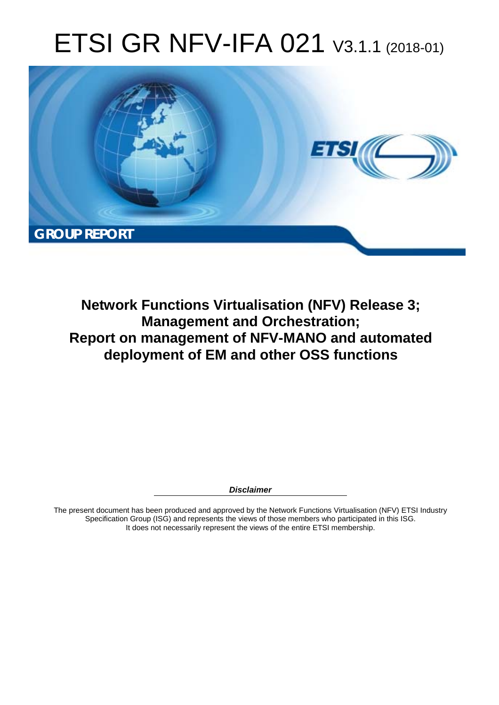# ETSI GR NFV-IFA 021 V3.1.1 (2018-01)



**Network Functions Virtualisation (NFV) Release 3; Management and Orchestration; Report on management of NFV-MANO and automated deployment of EM and other OSS functions** 

*Disclaimer* 

The present document has been produced and approved by the Network Functions Virtualisation (NFV) ETSI Industry Specification Group (ISG) and represents the views of those members who participated in this ISG. It does not necessarily represent the views of the entire ETSI membership.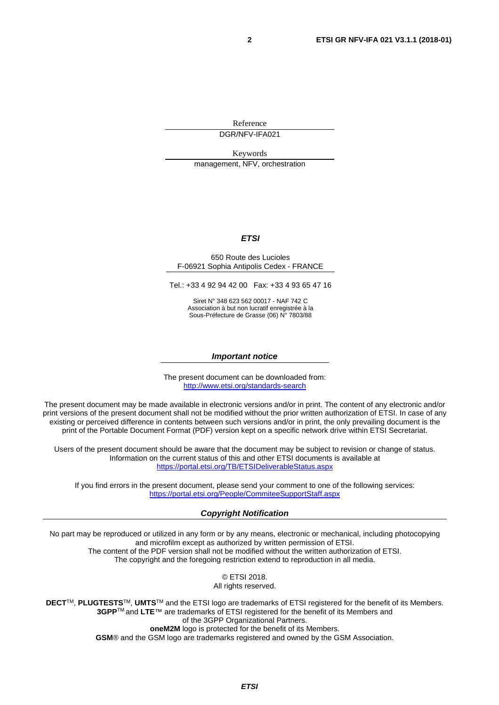Reference

DGR/NFV-IFA021

Keywords management, NFV, orchestration

#### *ETSI*

#### 650 Route des Lucioles F-06921 Sophia Antipolis Cedex - FRANCE

Tel.: +33 4 92 94 42 00 Fax: +33 4 93 65 47 16

Siret N° 348 623 562 00017 - NAF 742 C Association à but non lucratif enregistrée à la Sous-Préfecture de Grasse (06) N° 7803/88

#### *Important notice*

The present document can be downloaded from: <http://www.etsi.org/standards-search>

The present document may be made available in electronic versions and/or in print. The content of any electronic and/or print versions of the present document shall not be modified without the prior written authorization of ETSI. In case of any existing or perceived difference in contents between such versions and/or in print, the only prevailing document is the print of the Portable Document Format (PDF) version kept on a specific network drive within ETSI Secretariat.

Users of the present document should be aware that the document may be subject to revision or change of status. Information on the current status of this and other ETSI documents is available at <https://portal.etsi.org/TB/ETSIDeliverableStatus.aspx>

If you find errors in the present document, please send your comment to one of the following services: <https://portal.etsi.org/People/CommiteeSupportStaff.aspx>

#### *Copyright Notification*

No part may be reproduced or utilized in any form or by any means, electronic or mechanical, including photocopying and microfilm except as authorized by written permission of ETSI. The content of the PDF version shall not be modified without the written authorization of ETSI. The copyright and the foregoing restriction extend to reproduction in all media.

> © ETSI 2018. All rights reserved.

**DECT**TM, **PLUGTESTS**TM, **UMTS**TM and the ETSI logo are trademarks of ETSI registered for the benefit of its Members. **3GPP**TM and **LTE**™ are trademarks of ETSI registered for the benefit of its Members and of the 3GPP Organizational Partners. **oneM2M** logo is protected for the benefit of its Members.

**GSM**® and the GSM logo are trademarks registered and owned by the GSM Association.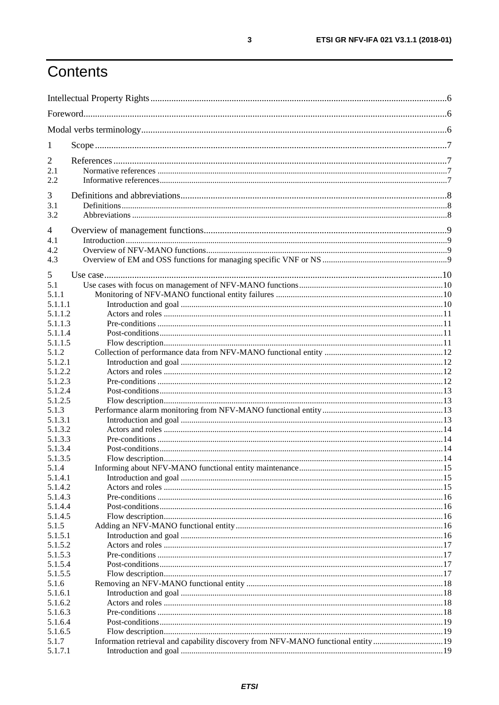## Contents

| 1                  |                                                                                   |  |
|--------------------|-----------------------------------------------------------------------------------|--|
| 2                  |                                                                                   |  |
| 2.1                |                                                                                   |  |
| 2.2                |                                                                                   |  |
| 3                  |                                                                                   |  |
| 3.1                |                                                                                   |  |
| 3.2                |                                                                                   |  |
| $\overline{4}$     |                                                                                   |  |
| 4.1                |                                                                                   |  |
| 4.2                |                                                                                   |  |
| 4.3                |                                                                                   |  |
| 5                  |                                                                                   |  |
| 5.1                |                                                                                   |  |
| 5.1.1              |                                                                                   |  |
| 5.1.1.1            |                                                                                   |  |
| 5.1.1.2            |                                                                                   |  |
| 5.1.1.3            |                                                                                   |  |
| 5.1.1.4            |                                                                                   |  |
| 5.1.1.5            |                                                                                   |  |
| 5.1.2              |                                                                                   |  |
| 5.1.2.1<br>5.1.2.2 |                                                                                   |  |
| 5.1.2.3            |                                                                                   |  |
| 5.1.2.4            |                                                                                   |  |
| 5.1.2.5            |                                                                                   |  |
| 5.1.3              |                                                                                   |  |
| 5.1.3.1            |                                                                                   |  |
| 5.1.3.2            |                                                                                   |  |
| 5.1.3.3            |                                                                                   |  |
| 5.1.3.4<br>5.1.3.5 |                                                                                   |  |
| 5.1.4              |                                                                                   |  |
| 5.1.4.1            |                                                                                   |  |
| 5.1.4.2            |                                                                                   |  |
| 5.1.4.3            |                                                                                   |  |
| 5.1.4.4            |                                                                                   |  |
| 5.1.4.5            |                                                                                   |  |
| 5.1.5              |                                                                                   |  |
| 5.1.5.1<br>5.1.5.2 |                                                                                   |  |
| 5.1.5.3            |                                                                                   |  |
| 5.1.5.4            |                                                                                   |  |
| 5.1.5.5            |                                                                                   |  |
| 5.1.6              |                                                                                   |  |
| 5.1.6.1            |                                                                                   |  |
| 5.1.6.2            |                                                                                   |  |
| 5.1.6.3            |                                                                                   |  |
| 5.1.6.4<br>5.1.6.5 |                                                                                   |  |
| 5.1.7              | Information retrieval and capability discovery from NFV-MANO functional entity 19 |  |
| 5.1.7.1            |                                                                                   |  |
|                    |                                                                                   |  |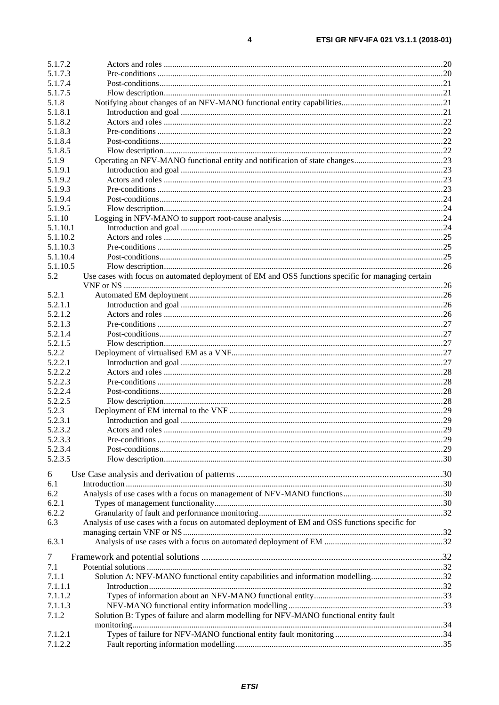$\overline{\mathbf{4}}$ 

| 5.1.7.2  |                                                                                                    |  |
|----------|----------------------------------------------------------------------------------------------------|--|
| 5.1.7.3  |                                                                                                    |  |
| 5.1.7.4  |                                                                                                    |  |
| 5.1.7.5  |                                                                                                    |  |
| 5.1.8    |                                                                                                    |  |
| 5.1.8.1  |                                                                                                    |  |
| 5.1.8.2  |                                                                                                    |  |
| 5.1.8.3  |                                                                                                    |  |
| 5.1.8.4  |                                                                                                    |  |
| 5.1.8.5  |                                                                                                    |  |
| 5.1.9    |                                                                                                    |  |
| 5.1.9.1  |                                                                                                    |  |
| 5.1.9.2  |                                                                                                    |  |
| 5.1.9.3  |                                                                                                    |  |
| 5.1.9.4  |                                                                                                    |  |
| 5.1.9.5  |                                                                                                    |  |
| 5.1.10   |                                                                                                    |  |
| 5.1.10.1 |                                                                                                    |  |
| 5.1.10.2 |                                                                                                    |  |
| 5.1.10.3 |                                                                                                    |  |
| 5.1.10.4 |                                                                                                    |  |
| 5.1.10.5 |                                                                                                    |  |
| 5.2      | Use cases with focus on automated deployment of EM and OSS functions specific for managing certain |  |
|          |                                                                                                    |  |
| 5.2.1    |                                                                                                    |  |
| 5.2.1.1  |                                                                                                    |  |
| 5.2.1.2  |                                                                                                    |  |
| 5.2.1.3  |                                                                                                    |  |
| 5.2.1.4  |                                                                                                    |  |
| 5.2.1.5  |                                                                                                    |  |
| 5.2.2    |                                                                                                    |  |
| 5.2.2.1  |                                                                                                    |  |
| 5.2.2.2  |                                                                                                    |  |
| 5.2.2.3  |                                                                                                    |  |
| 5.2.2.4  |                                                                                                    |  |
| 5.2.2.5  |                                                                                                    |  |
| 5.2.3    |                                                                                                    |  |
| 5.2.3.1  |                                                                                                    |  |
| 5.2.3.2  |                                                                                                    |  |
| 5.2.3.3  |                                                                                                    |  |
| 5.2.3.4  |                                                                                                    |  |
| 5.2.3.5  |                                                                                                    |  |
|          |                                                                                                    |  |
| 6        |                                                                                                    |  |
| 6.1      |                                                                                                    |  |
| 6.2      |                                                                                                    |  |
| 6.2.1    |                                                                                                    |  |
| 6.2.2    |                                                                                                    |  |
| 6.3      | Analysis of use cases with a focus on automated deployment of EM and OSS functions specific for    |  |
|          |                                                                                                    |  |
| 6.3.1    |                                                                                                    |  |
|          |                                                                                                    |  |
| 7        |                                                                                                    |  |
| 7.1      |                                                                                                    |  |
| 7.1.1    | Solution A: NFV-MANO functional entity capabilities and information modelling32                    |  |
| 7.1.1.1  |                                                                                                    |  |
| 7.1.1.2  |                                                                                                    |  |
| 7.1.1.3  |                                                                                                    |  |
| 7.1.2    | Solution B: Types of failure and alarm modelling for NFV-MANO functional entity fault              |  |
|          |                                                                                                    |  |
| 7.1.2.1  |                                                                                                    |  |
| 7.1.2.2  |                                                                                                    |  |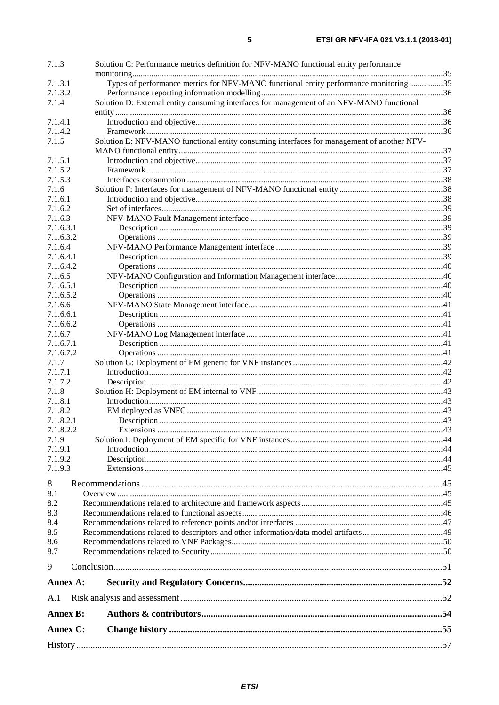| 7.1.3                | Solution C: Performance metrics definition for NFV-MANO functional entity performance      |  |
|----------------------|--------------------------------------------------------------------------------------------|--|
|                      |                                                                                            |  |
| 7.1.3.1              | Types of performance metrics for NFV-MANO functional entity performance monitoring35       |  |
| 7.1.3.2              |                                                                                            |  |
| 7.1.4                | Solution D: External entity consuming interfaces for management of an NFV-MANO functional  |  |
| 7.1.4.1              |                                                                                            |  |
| 7.1.4.2              |                                                                                            |  |
| 7.1.5                | Solution E: NFV-MANO functional entity consuming interfaces for management of another NFV- |  |
|                      |                                                                                            |  |
| 7.1.5.1              |                                                                                            |  |
| 7.1.5.2              |                                                                                            |  |
| 7.1.5.3              |                                                                                            |  |
| 7.1.6                |                                                                                            |  |
| 7.1.6.1              |                                                                                            |  |
| 7.1.6.2              |                                                                                            |  |
| 7.1.6.3              |                                                                                            |  |
| 7.1.6.3.1            |                                                                                            |  |
| 7.1.6.3.2            |                                                                                            |  |
| 7.1.6.4              |                                                                                            |  |
| 7.1.6.4.1            |                                                                                            |  |
| 7.1.6.4.2            |                                                                                            |  |
| 7.1.6.5              |                                                                                            |  |
| 7.1.6.5.1            |                                                                                            |  |
| 7.1.6.5.2            |                                                                                            |  |
| 7.1.6.6              |                                                                                            |  |
| 7.1.6.6.1            |                                                                                            |  |
| 7.1.6.6.2            |                                                                                            |  |
| 7.1.6.7<br>7.1.6.7.1 |                                                                                            |  |
| 7.1.6.7.2            |                                                                                            |  |
| 7.1.7                |                                                                                            |  |
| 7.1.7.1              |                                                                                            |  |
| 7.1.7.2              |                                                                                            |  |
| 7.1.8                |                                                                                            |  |
| 7.1.8.1              |                                                                                            |  |
| 7.1.8.2              |                                                                                            |  |
| 7.1.8.2.1            |                                                                                            |  |
| 7.1.8.2.2            |                                                                                            |  |
| 7.1.9                |                                                                                            |  |
| 7.1.9.1              |                                                                                            |  |
| 7.1.9.2              |                                                                                            |  |
| 7.1.9.3              |                                                                                            |  |
| 8                    |                                                                                            |  |
| 8.1                  |                                                                                            |  |
| 8.2                  |                                                                                            |  |
| 8.3                  |                                                                                            |  |
| 8.4                  |                                                                                            |  |
| 8.5                  |                                                                                            |  |
| 8.6                  |                                                                                            |  |
| 8.7                  |                                                                                            |  |
| 9                    |                                                                                            |  |
| Annex A:             |                                                                                            |  |
| A.1                  |                                                                                            |  |
| <b>Annex B:</b>      |                                                                                            |  |
| Annex C:             |                                                                                            |  |
|                      |                                                                                            |  |
|                      |                                                                                            |  |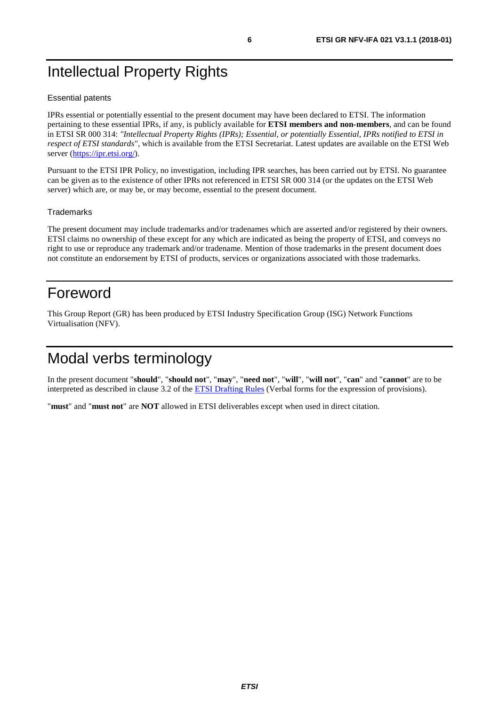## <span id="page-5-0"></span>Intellectual Property Rights

#### Essential patents

IPRs essential or potentially essential to the present document may have been declared to ETSI. The information pertaining to these essential IPRs, if any, is publicly available for **ETSI members and non-members**, and can be found in ETSI SR 000 314: *"Intellectual Property Rights (IPRs); Essential, or potentially Essential, IPRs notified to ETSI in respect of ETSI standards"*, which is available from the ETSI Secretariat. Latest updates are available on the ETSI Web server (<https://ipr.etsi.org/>).

Pursuant to the ETSI IPR Policy, no investigation, including IPR searches, has been carried out by ETSI. No guarantee can be given as to the existence of other IPRs not referenced in ETSI SR 000 314 (or the updates on the ETSI Web server) which are, or may be, or may become, essential to the present document.

#### **Trademarks**

The present document may include trademarks and/or tradenames which are asserted and/or registered by their owners. ETSI claims no ownership of these except for any which are indicated as being the property of ETSI, and conveys no right to use or reproduce any trademark and/or tradename. Mention of those trademarks in the present document does not constitute an endorsement by ETSI of products, services or organizations associated with those trademarks.

## Foreword

This Group Report (GR) has been produced by ETSI Industry Specification Group (ISG) Network Functions Virtualisation (NFV).

## Modal verbs terminology

In the present document "**should**", "**should not**", "**may**", "**need not**", "**will**", "**will not**", "**can**" and "**cannot**" are to be interpreted as described in clause 3.2 of the **ETSI** Drafting Rules (Verbal forms for the expression of provisions).

"**must**" and "**must not**" are **NOT** allowed in ETSI deliverables except when used in direct citation.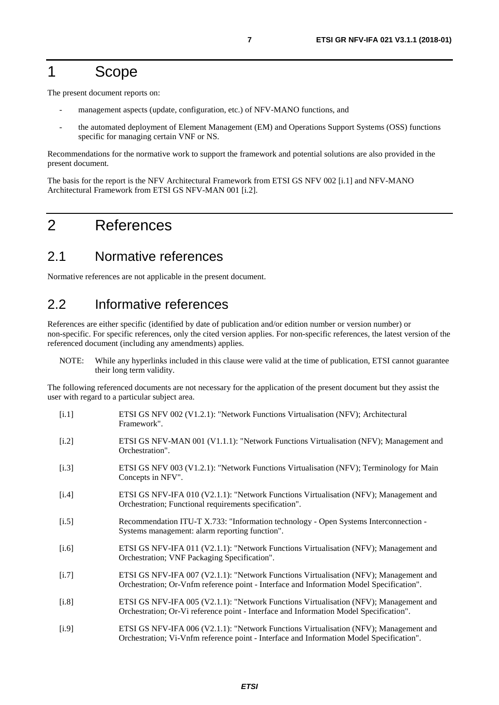## <span id="page-6-0"></span>1 Scope

The present document reports on:

- management aspects (update, configuration, etc.) of NFV-MANO functions, and
- the automated deployment of Element Management (EM) and Operations Support Systems (OSS) functions specific for managing certain VNF or NS.

Recommendations for the normative work to support the framework and potential solutions are also provided in the present document.

The basis for the report is the NFV Architectural Framework from ETSI GS NFV 002 [i.1] and NFV-MANO Architectural Framework from ETSI GS NFV-MAN 001 [i.2].

## 2 References

## 2.1 Normative references

Normative references are not applicable in the present document.

## 2.2 Informative references

References are either specific (identified by date of publication and/or edition number or version number) or non-specific. For specific references, only the cited version applies. For non-specific references, the latest version of the referenced document (including any amendments) applies.

NOTE: While any hyperlinks included in this clause were valid at the time of publication, ETSI cannot guarantee their long term validity.

The following referenced documents are not necessary for the application of the present document but they assist the user with regard to a particular subject area.

- [i.1] ETSI GS NFV 002 (V1.2.1): "Network Functions Virtualisation (NFV); Architectural Framework".
- [i.2] ETSI GS NFV-MAN 001 (V1.1.1): "Network Functions Virtualisation (NFV); Management and Orchestration".
- [i.3] ETSI GS NFV 003 (V1.2.1): "Network Functions Virtualisation (NFV); Terminology for Main Concepts in NFV".
- [i.4] ETSI GS NFV-IFA 010 (V2.1.1): "Network Functions Virtualisation (NFV); Management and Orchestration; Functional requirements specification".
- [i.5] Recommendation ITU-T X.733: "Information technology Open Systems Interconnection Systems management: alarm reporting function".
- [i.6] ETSI GS NFV-IFA 011 (V2.1.1): "Network Functions Virtualisation (NFV); Management and Orchestration; VNF Packaging Specification".
- [i.7] ETSI GS NFV-IFA 007 (V2.1.1): "Network Functions Virtualisation (NFV); Management and Orchestration; Or-Vnfm reference point - Interface and Information Model Specification".
- [i.8] ETSI GS NFV-IFA 005 (V2.1.1): "Network Functions Virtualisation (NFV); Management and Orchestration; Or-Vi reference point - Interface and Information Model Specification".
- [i.9] ETSI GS NFV-IFA 006 (V2.1.1): "Network Functions Virtualisation (NFV); Management and Orchestration; Vi-Vnfm reference point - Interface and Information Model Specification".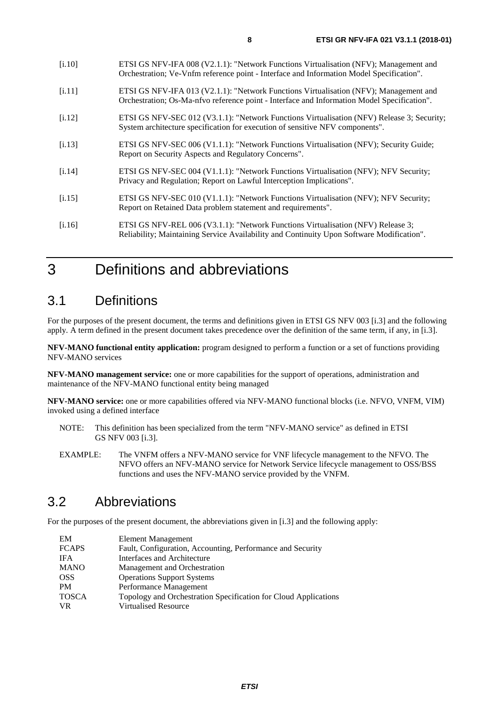<span id="page-7-0"></span>

| ETSI GS NFV-IFA 008 (V2.1.1): "Network Functions Virtualisation (NFV); Management and<br>Orchestration; Ve-Vnfm reference point - Interface and Information Model Specification".    |
|--------------------------------------------------------------------------------------------------------------------------------------------------------------------------------------|
| ETSI GS NFV-IFA 013 (V2.1.1): "Network Functions Virtualisation (NFV); Management and<br>Orchestration; Os-Ma-nfvo reference point - Interface and Information Model Specification". |
| ETSI GS NFV-SEC 012 (V3.1.1): "Network Functions Virtualisation (NFV) Release 3; Security;<br>System architecture specification for execution of sensitive NFV components".          |
| ETSI GS NFV-SEC 006 (V1.1.1): "Network Functions Virtualisation (NFV); Security Guide;<br>Report on Security Aspects and Regulatory Concerns".                                       |
| ETSI GS NFV-SEC 004 (V1.1.1): "Network Functions Virtualisation (NFV); NFV Security;<br>Privacy and Regulation; Report on Lawful Interception Implications".                         |
| ETSI GS NFV-SEC 010 (V1.1.1): "Network Functions Virtualisation (NFV); NFV Security;<br>Report on Retained Data problem statement and requirements".                                 |
|                                                                                                                                                                                      |

[i.16] ETSI GS NFV-REL 006 (V3.1.1): "Network Functions Virtualisation (NFV) Release 3; Reliability; Maintaining Service Availability and Continuity Upon Software Modification".

## 3 Definitions and abbreviations

## 3.1 Definitions

For the purposes of the present document, the terms and definitions given in ETSI GS NFV 003 [\[i.3](#page-6-0)] and the following apply. A term defined in the present document takes precedence over the definition of the same term, if any, in [\[i.3\]](#page-6-0).

**NFV-MANO functional entity application:** program designed to perform a function or a set of functions providing NFV-MANO services

**NFV-MANO management service:** one or more capabilities for the support of operations, administration and maintenance of the NFV-MANO functional entity being managed

**NFV-MANO service:** one or more capabilities offered via NFV-MANO functional blocks (i.e. NFVO, VNFM, VIM) invoked using a defined interface

- NOTE: This definition has been specialized from the term "NFV-MANO service" as defined in ETSI GS NFV 003 [[i.3](#page-6-0)].
- EXAMPLE: The VNFM offers a NFV-MANO service for VNF lifecycle management to the NFVO. The NFVO offers an NFV-MANO service for Network Service lifecycle management to OSS/BSS functions and uses the NFV-MANO service provided by the VNFM.

## 3.2 Abbreviations

For the purposes of the present document, the abbreviations given in [\[i.3\]](#page-6-0) and the following apply:

| EM           | Element Management                                              |
|--------------|-----------------------------------------------------------------|
| <b>FCAPS</b> | Fault, Configuration, Accounting, Performance and Security      |
| <b>IFA</b>   | Interfaces and Architecture                                     |
| <b>MANO</b>  | Management and Orchestration                                    |
| <b>OSS</b>   | <b>Operations Support Systems</b>                               |
| PM           | Performance Management                                          |
| <b>TOSCA</b> | Topology and Orchestration Specification for Cloud Applications |
| <b>VR</b>    | Virtualised Resource                                            |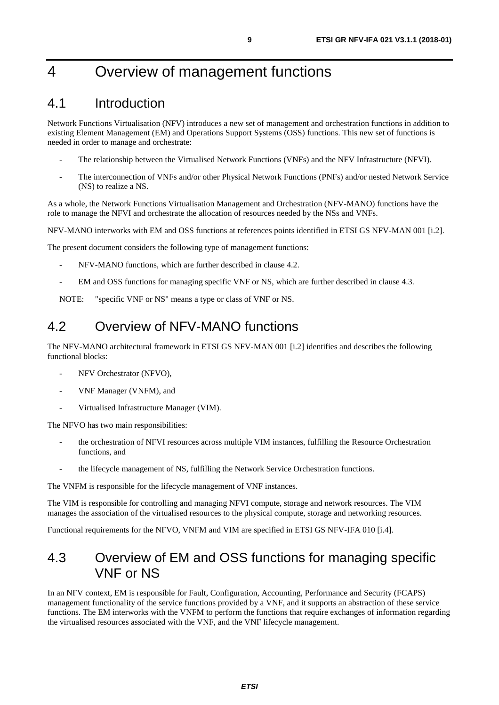## <span id="page-8-0"></span>4 Overview of management functions

## 4.1 Introduction

Network Functions Virtualisation (NFV) introduces a new set of management and orchestration functions in addition to existing Element Management (EM) and Operations Support Systems (OSS) functions. This new set of functions is needed in order to manage and orchestrate:

- The relationship between the Virtualised Network Functions (VNFs) and the NFV Infrastructure (NFVI).
- The interconnection of VNFs and/or other Physical Network Functions (PNFs) and/or nested Network Service (NS) to realize a NS.

As a whole, the Network Functions Virtualisation Management and Orchestration (NFV-MANO) functions have the role to manage the NFVI and orchestrate the allocation of resources needed by the NSs and VNFs.

NFV-MANO interworks with EM and OSS functions at references points identified in ETSI GS NFV-MAN 001 [[i.2](#page-6-0)].

The present document considers the following type of management functions:

- NFV-MANO functions, which are further described in clause 4.2.
- EM and OSS functions for managing specific VNF or NS, which are further described in clause 4.3.

NOTE: "specific VNF or NS" means a type or class of VNF or NS.

## 4.2 Overview of NFV-MANO functions

The NFV-MANO architectural framework in ETSI GS NFV-MAN 001 [\[i.2\]](#page-6-0) identifies and describes the following functional blocks:

- NFV Orchestrator (NFVO),
- VNF Manager (VNFM), and
- Virtualised Infrastructure Manager (VIM).

The NFVO has two main responsibilities:

- the orchestration of NFVI resources across multiple VIM instances, fulfilling the Resource Orchestration functions, and
- the lifecycle management of NS, fulfilling the Network Service Orchestration functions.

The VNFM is responsible for the lifecycle management of VNF instances.

The VIM is responsible for controlling and managing NFVI compute, storage and network resources. The VIM manages the association of the virtualised resources to the physical compute, storage and networking resources.

Functional requirements for the NFVO, VNFM and VIM are specified in ETSI GS NFV-IFA 010 [\[i.4](#page-6-0)].

## 4.3 Overview of EM and OSS functions for managing specific VNF or NS

In an NFV context, EM is responsible for Fault, Configuration, Accounting, Performance and Security (FCAPS) management functionality of the service functions provided by a VNF, and it supports an abstraction of these service functions. The EM interworks with the VNFM to perform the functions that require exchanges of information regarding the virtualised resources associated with the VNF, and the VNF lifecycle management.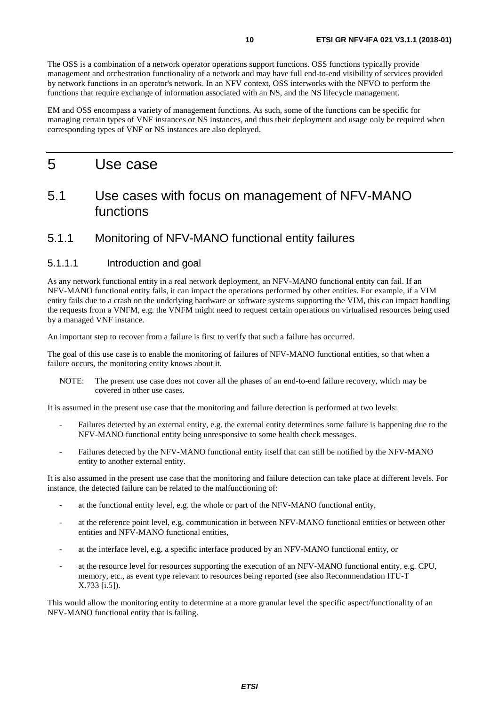<span id="page-9-0"></span>The OSS is a combination of a network operator operations support functions. OSS functions typically provide management and orchestration functionality of a network and may have full end-to-end visibility of services provided by network functions in an operator's network. In an NFV context, OSS interworks with the NFVO to perform the functions that require exchange of information associated with an NS, and the NS lifecycle management.

EM and OSS encompass a variety of management functions. As such, some of the functions can be specific for managing certain types of VNF instances or NS instances, and thus their deployment and usage only be required when corresponding types of VNF or NS instances are also deployed.

## 5 Use case

## 5.1 Use cases with focus on management of NFV-MANO functions

### 5.1.1 Monitoring of NFV-MANO functional entity failures

#### 5.1.1.1 Introduction and goal

As any network functional entity in a real network deployment, an NFV-MANO functional entity can fail. If an NFV-MANO functional entity fails, it can impact the operations performed by other entities. For example, if a VIM entity fails due to a crash on the underlying hardware or software systems supporting the VIM, this can impact handling the requests from a VNFM, e.g. the VNFM might need to request certain operations on virtualised resources being used by a managed VNF instance.

An important step to recover from a failure is first to verify that such a failure has occurred.

The goal of this use case is to enable the monitoring of failures of NFV-MANO functional entities, so that when a failure occurs, the monitoring entity knows about it.

NOTE: The present use case does not cover all the phases of an end-to-end failure recovery, which may be covered in other use cases.

It is assumed in the present use case that the monitoring and failure detection is performed at two levels:

- Failures detected by an external entity, e.g. the external entity determines some failure is happening due to the NFV-MANO functional entity being unresponsive to some health check messages.
- Failures detected by the NFV-MANO functional entity itself that can still be notified by the NFV-MANO entity to another external entity.

It is also assumed in the present use case that the monitoring and failure detection can take place at different levels. For instance, the detected failure can be related to the malfunctioning of:

- at the functional entity level, e.g. the whole or part of the NFV-MANO functional entity,
- at the reference point level, e.g. communication in between NFV-MANO functional entities or between other entities and NFV-MANO functional entities,
- at the interface level, e.g. a specific interface produced by an NFV-MANO functional entity, or
- at the resource level for resources supporting the execution of an NFV-MANO functional entity, e.g. CPU, memory, etc., as event type relevant to resources being reported (see also Recommendation ITU-T X.733 [\[i.5](#page-6-0)]).

This would allow the monitoring entity to determine at a more granular level the specific aspect/functionality of an NFV-MANO functional entity that is failing.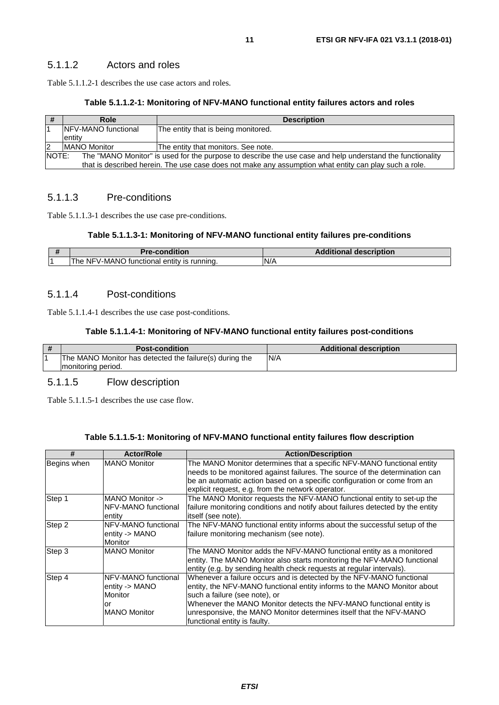#### <span id="page-10-0"></span>5.1.1.2 Actors and roles

Table 5.1.1.2-1 describes the use case actors and roles.

#### **Table 5.1.1.2-1: Monitoring of NFV-MANO functional entity failures actors and roles**

|   | Role                                                                                                               | <b>Description</b>                                                                                    |
|---|--------------------------------------------------------------------------------------------------------------------|-------------------------------------------------------------------------------------------------------|
|   | <b>INFV-MANO</b> functional                                                                                        | The entity that is being monitored.                                                                   |
|   | entity                                                                                                             |                                                                                                       |
| 2 | <b>IMANO Monitor</b>                                                                                               | The entity that monitors. See note.                                                                   |
|   | NOTE:<br>The "MANO Monitor" is used for the purpose to describe the use case and help understand the functionality |                                                                                                       |
|   |                                                                                                                    | that is described herein. The use case does not make any assumption what entity can play such a role. |

#### 5.1.1.3 Pre-conditions

Table 5.1.1.3-1 describes the use case pre-conditions.

#### **Table 5.1.1.3-1: Monitoring of NFV-MANO functional entity failures pre-conditions**

| <b>Pre-condition</b>                       | <b>Additional description</b> |
|--------------------------------------------|-------------------------------|
| The NFV-MANO functional entity is running. | N/A                           |

#### 5.1.1.4 Post-conditions

Table 5.1.1.4-1 describes the use case post-conditions.

#### **Table 5.1.1.4-1: Monitoring of NFV-MANO functional entity failures post-conditions**

| <b>Post-condition</b>                                   | <b>Additional description</b> |
|---------------------------------------------------------|-------------------------------|
| The MANO Monitor has detected the failure(s) during the | N/A                           |
| monitoring period.                                      |                               |

#### 5.1.1.5 Flow description

Table 5.1.1.5-1 describes the use case flow.

#### **Table 5.1.1.5-1: Monitoring of NFV-MANO functional entity failures flow description**

| #                             | <b>Actor/Role</b>   | <b>Action/Description</b>                                                      |
|-------------------------------|---------------------|--------------------------------------------------------------------------------|
| Begins when                   | <b>MANO Monitor</b> | The MANO Monitor determines that a specific NFV-MANO functional entity         |
|                               |                     | needs to be monitored against failures. The source of the determination can    |
|                               |                     | be an automatic action based on a specific configuration or come from an       |
|                               |                     | explicit request, e.g. from the network operator.                              |
| Step 1                        | MANO Monitor ->     | The MANO Monitor requests the NFV-MANO functional entity to set-up the         |
|                               | NFV-MANO functional | failure monitoring conditions and notify about failures detected by the entity |
|                               | entity              | itself (see note).                                                             |
| Step 2<br>NFV-MANO functional |                     | The NFV-MANO functional entity informs about the successful setup of the       |
|                               | entity -> MANO      | failure monitoring mechanism (see note).                                       |
|                               | Monitor             |                                                                                |
| Step 3                        | <b>MANO Monitor</b> | The MANO Monitor adds the NFV-MANO functional entity as a monitored            |
|                               |                     | entity. The MANO Monitor also starts monitoring the NFV-MANO functional        |
|                               |                     | entity (e.g. by sending health check requests at regular intervals).           |
| Step 4                        | NFV-MANO functional | Whenever a failure occurs and is detected by the NFV-MANO functional           |
|                               | entity -> MANO      | entity, the NFV-MANO functional entity informs to the MANO Monitor about       |
|                               | Monitor             | such a failure (see note), or                                                  |
|                               | or                  | Whenever the MANO Monitor detects the NFV-MANO functional entity is            |
|                               | <b>MANO Monitor</b> | unresponsive, the MANO Monitor determines itself that the NFV-MANO             |
|                               |                     | functional entity is faulty.                                                   |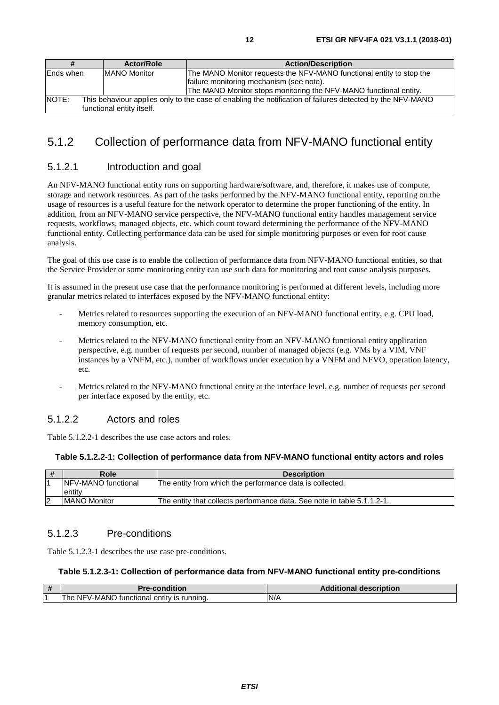<span id="page-11-0"></span>

| #          | <b>Actor/Role</b>                                                                                                                      | <b>Action/Description</b>                                            |  |
|------------|----------------------------------------------------------------------------------------------------------------------------------------|----------------------------------------------------------------------|--|
| lEnds when | <b>MANO Monitor</b>                                                                                                                    | The MANO Monitor requests the NFV-MANO functional entity to stop the |  |
|            |                                                                                                                                        | failure monitoring mechanism (see note).                             |  |
|            |                                                                                                                                        | The MANO Monitor stops monitoring the NFV-MANO functional entity.    |  |
| NOTE:      | This behaviour applies only to the case of enabling the notification of failures detected by the NFV-MANO<br>functional entity itself. |                                                                      |  |

## 5.1.2 Collection of performance data from NFV-MANO functional entity

#### 5.1.2.1 Introduction and goal

An NFV-MANO functional entity runs on supporting hardware/software, and, therefore, it makes use of compute, storage and network resources. As part of the tasks performed by the NFV-MANO functional entity, reporting on the usage of resources is a useful feature for the network operator to determine the proper functioning of the entity. In addition, from an NFV-MANO service perspective, the NFV-MANO functional entity handles management service requests, workflows, managed objects, etc. which count toward determining the performance of the NFV-MANO functional entity. Collecting performance data can be used for simple monitoring purposes or even for root cause analysis.

The goal of this use case is to enable the collection of performance data from NFV-MANO functional entities, so that the Service Provider or some monitoring entity can use such data for monitoring and root cause analysis purposes.

It is assumed in the present use case that the performance monitoring is performed at different levels, including more granular metrics related to interfaces exposed by the NFV-MANO functional entity:

- Metrics related to resources supporting the execution of an NFV-MANO functional entity, e.g. CPU load, memory consumption, etc.
- Metrics related to the NFV-MANO functional entity from an NFV-MANO functional entity application perspective, e.g. number of requests per second, number of managed objects (e.g. VMs by a VIM, VNF instances by a VNFM, etc.), number of workflows under execution by a VNFM and NFVO, operation latency, etc.
- Metrics related to the NFV-MANO functional entity at the interface level, e.g. number of requests per second per interface exposed by the entity, etc.

#### 5.1.2.2 Actors and roles

Table 5.1.2.2-1 describes the use case actors and roles.

#### **Table 5.1.2.2-1: Collection of performance data from NFV-MANO functional entity actors and roles**

| # | Role                 | <b>Description</b>                                                      |
|---|----------------------|-------------------------------------------------------------------------|
|   | INFV-MANO functional | The entity from which the performance data is collected.                |
|   | entity               |                                                                         |
| 2 | <b>IMANO Monitor</b> | The entity that collects performance data. See note in table 5.1.1.2-1. |

#### 5.1.2.3 Pre-conditions

Table 5.1.2.3-1 describes the use case pre-conditions.

#### **Table 5.1.2.3-1: Collection of performance data from NFV-MANO functional entity pre-conditions**

| #              | <b>Pre-condition</b>                                  | <b>Additional description</b> |
|----------------|-------------------------------------------------------|-------------------------------|
| $\overline{A}$ | NFV-MANC<br>' entitv is runnina.<br>tunctional<br>'he | N/A                           |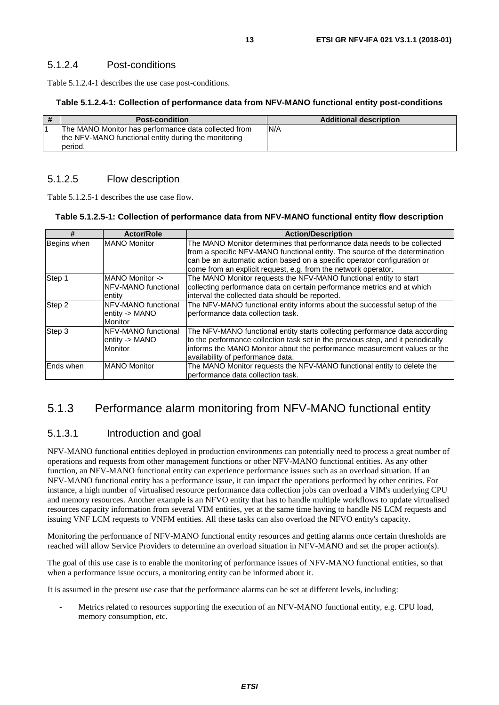<span id="page-12-0"></span>Table 5.1.2.4-1 describes the use case post-conditions.

#### **Table 5.1.2.4-1: Collection of performance data from NFV-MANO functional entity post-conditions**

| <b>Post-condition</b>                                                                                                   | <b>Additional description</b> |
|-------------------------------------------------------------------------------------------------------------------------|-------------------------------|
| The MANO Monitor has performance data collected from<br>the NFV-MANO functional entity during the monitoring<br>period. | N/A                           |

### 5.1.2.5 Flow description

Table 5.1.2.5-1 describes the use case flow.

#### **Table 5.1.2.5-1: Collection of performance data from NFV-MANO functional entity flow description**

| #           | <b>Actor/Role</b>    |                                                                                  |
|-------------|----------------------|----------------------------------------------------------------------------------|
|             |                      | <b>Action/Description</b>                                                        |
| Begins when | <b>IMANO Monitor</b> | The MANO Monitor determines that performance data needs to be collected          |
|             |                      | from a specific NFV-MANO functional entity. The source of the determination      |
|             |                      | can be an automatic action based on a specific operator configuration or         |
|             |                      | come from an explicit request, e.g. from the network operator.                   |
| Step 1      | MANO Monitor ->      | The MANO Monitor requests the NFV-MANO functional entity to start                |
|             | NFV-MANO functional  | collecting performance data on certain performance metrics and at which          |
|             | entity               | interval the collected data should be reported.                                  |
| Step 2      | NFV-MANO functional  | The NFV-MANO functional entity informs about the successful setup of the         |
|             | entity -> MANO       | berformance data collection task.                                                |
|             | <b>Monitor</b>       |                                                                                  |
| Step 3      | NFV-MANO functional  | The NFV-MANO functional entity starts collecting performance data according      |
|             | entity -> MANO       | to the performance collection task set in the previous step, and it periodically |
|             | <b>Monitor</b>       | informs the MANO Monitor about the performance measurement values or the         |
|             |                      | availability of performance data.                                                |
| Ends when   | <b>MANO Monitor</b>  | The MANO Monitor requests the NFV-MANO functional entity to delete the           |
|             |                      | performance data collection task.                                                |

## 5.1.3 Performance alarm monitoring from NFV-MANO functional entity

### 5.1.3.1 Introduction and goal

NFV-MANO functional entities deployed in production environments can potentially need to process a great number of operations and requests from other management functions or other NFV-MANO functional entities. As any other function, an NFV-MANO functional entity can experience performance issues such as an overload situation. If an NFV-MANO functional entity has a performance issue, it can impact the operations performed by other entities. For instance, a high number of virtualised resource performance data collection jobs can overload a VIM's underlying CPU and memory resources. Another example is an NFVO entity that has to handle multiple workflows to update virtualised resources capacity information from several VIM entities, yet at the same time having to handle NS LCM requests and issuing VNF LCM requests to VNFM entities. All these tasks can also overload the NFVO entity's capacity.

Monitoring the performance of NFV-MANO functional entity resources and getting alarms once certain thresholds are reached will allow Service Providers to determine an overload situation in NFV-MANO and set the proper action(s).

The goal of this use case is to enable the monitoring of performance issues of NFV-MANO functional entities, so that when a performance issue occurs, a monitoring entity can be informed about it.

It is assumed in the present use case that the performance alarms can be set at different levels, including:

Metrics related to resources supporting the execution of an NFV-MANO functional entity, e.g. CPU load, memory consumption, etc.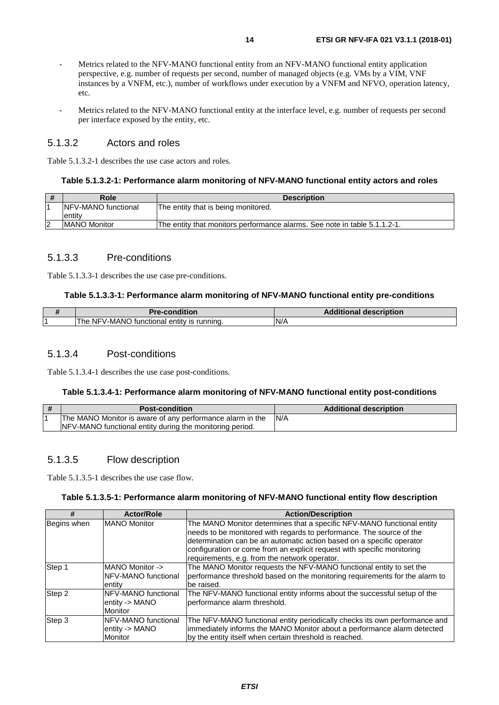- <span id="page-13-0"></span>Metrics related to the NFV-MANO functional entity from an NFV-MANO functional entity application perspective, e.g. number of requests per second, number of managed objects (e.g. VMs by a VIM, VNF instances by a VNFM, etc.), number of workflows under execution by a VNFM and NFVO, operation latency, etc.
- Metrics related to the NFV-MANO functional entity at the interface level, e.g. number of requests per second per interface exposed by the entity, etc.

#### 5.1.3.2 Actors and roles

Table 5.1.3.2-1 describes the use case actors and roles.

#### **Table 5.1.3.2-1: Performance alarm monitoring of NFV-MANO functional entity actors and roles**

| Role                        | <b>Description</b>                                                        |
|-----------------------------|---------------------------------------------------------------------------|
| <b>INFV-MANO</b> functional | The entity that is being monitored.                                       |
| entity                      |                                                                           |
| <b>IMANO Monitor</b>        | The entity that monitors performance alarms. See note in table 5.1.1.2-1. |

#### 5.1.3.3 Pre-conditions

Table 5.1.3.3-1 describes the use case pre-conditions.

#### **Table 5.1.3.3-1: Performance alarm monitoring of NFV-MANO functional entity pre-conditions**

| <b>Pre-condition</b>                                     | <b>Additional description</b> |
|----------------------------------------------------------|-------------------------------|
| NFV-MANO<br>The<br>` functional<br>runnina.<br>entity is | N/A                           |

#### 5.1.3.4 Post-conditions

Table 5.1.3.4-1 describes the use case post-conditions.

#### **Table 5.1.3.4-1: Performance alarm monitoring of NFV-MANO functional entity post-conditions**

| <b>Post-condition</b>                                     | <b>Additional description</b> |
|-----------------------------------------------------------|-------------------------------|
| The MANO Monitor is aware of any performance alarm in the | N/A                           |
| NFV-MANO functional entity during the monitoring period.  |                               |

#### 5.1.3.5 Flow description

Table 5.1.3.5-1 describes the use case flow.

#### **Table 5.1.3.5-1: Performance alarm monitoring of NFV-MANO functional entity flow description**

| #           | <b>Actor/Role</b>   | <b>Action/Description</b>                                                   |
|-------------|---------------------|-----------------------------------------------------------------------------|
| Begins when | <b>MANO Monitor</b> | The MANO Monitor determines that a specific NFV-MANO functional entity      |
|             |                     | needs to be monitored with regards to performance. The source of the        |
|             |                     | determination can be an automatic action based on a specific operator       |
|             |                     | configuration or come from an explicit request with specific monitoring     |
|             |                     | requirements, e.g. from the network operator.                               |
| Step 1      | MANO Monitor ->     | The MANO Monitor requests the NFV-MANO functional entity to set the         |
|             | NFV-MANO functional | performance threshold based on the monitoring requirements for the alarm to |
|             | lentitv             | be raised.                                                                  |
| Step 2      | NFV-MANO functional | The NFV-MANO functional entity informs about the successful setup of the    |
|             | entity -> MANO      | performance alarm threshold.                                                |
|             | <b>Monitor</b>      |                                                                             |
| Step 3      | NFV-MANO functional | The NFV-MANO functional entity periodically checks its own performance and  |
|             | entity -> MANO      | immediately informs the MANO Monitor about a performance alarm detected     |
|             | Monitor             | by the entity itself when certain threshold is reached.                     |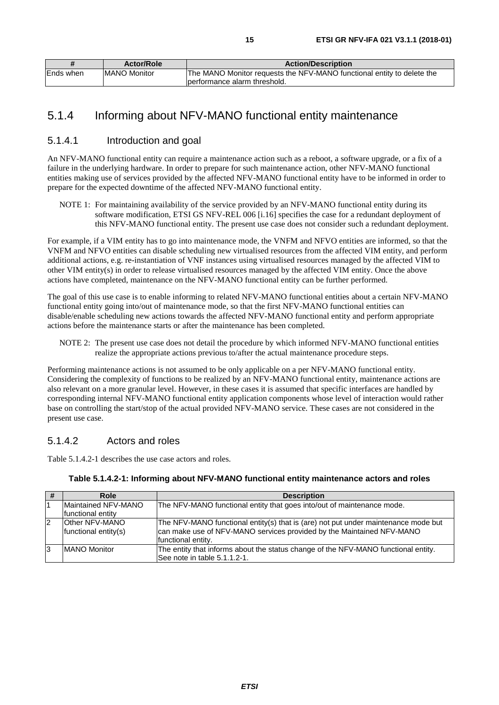<span id="page-14-0"></span>

|           | <b>Actor/Role</b>    | <b>Action/Description</b>                                              |
|-----------|----------------------|------------------------------------------------------------------------|
| Ends when | <b>IMANO Monitor</b> | The MANO Monitor requests the NFV-MANO functional entity to delete the |
|           |                      | lperformance alarm threshold.                                          |

### 5.1.4 Informing about NFV-MANO functional entity maintenance

#### 5.1.4.1 Introduction and goal

An NFV-MANO functional entity can require a maintenance action such as a reboot, a software upgrade, or a fix of a failure in the underlying hardware. In order to prepare for such maintenance action, other NFV-MANO functional entities making use of services provided by the affected NFV-MANO functional entity have to be informed in order to prepare for the expected downtime of the affected NFV-MANO functional entity.

NOTE 1: For maintaining availability of the service provided by an NFV-MANO functional entity during its software modification, ETSI GS NFV-REL 006 [[i.16](#page-7-0)] specifies the case for a redundant deployment of this NFV-MANO functional entity. The present use case does not consider such a redundant deployment.

For example, if a VIM entity has to go into maintenance mode, the VNFM and NFVO entities are informed, so that the VNFM and NFVO entities can disable scheduling new virtualised resources from the affected VIM entity, and perform additional actions, e.g. re-instantiation of VNF instances using virtualised resources managed by the affected VIM to other VIM entity(s) in order to release virtualised resources managed by the affected VIM entity. Once the above actions have completed, maintenance on the NFV-MANO functional entity can be further performed.

The goal of this use case is to enable informing to related NFV-MANO functional entities about a certain NFV-MANO functional entity going into/out of maintenance mode, so that the first NFV-MANO functional entities can disable/enable scheduling new actions towards the affected NFV-MANO functional entity and perform appropriate actions before the maintenance starts or after the maintenance has been completed.

NOTE 2: The present use case does not detail the procedure by which informed NFV-MANO functional entities realize the appropriate actions previous to/after the actual maintenance procedure steps.

Performing maintenance actions is not assumed to be only applicable on a per NFV-MANO functional entity. Considering the complexity of functions to be realized by an NFV-MANO functional entity, maintenance actions are also relevant on a more granular level. However, in these cases it is assumed that specific interfaces are handled by corresponding internal NFV-MANO functional entity application components whose level of interaction would rather base on controlling the start/stop of the actual provided NFV-MANO service. These cases are not considered in the present use case.

#### 5.1.4.2 Actors and roles

Table 5.1.4.2-1 describes the use case actors and roles.

| #  | Role                                     | <b>Description</b>                                                                                                                                                                |
|----|------------------------------------------|-----------------------------------------------------------------------------------------------------------------------------------------------------------------------------------|
|    | Maintained NFV-MANO<br>functional entity | The NFV-MANO functional entity that goes into/out of maintenance mode.                                                                                                            |
| 2  | Other NFV-MANO<br>functional entity(s)   | The NFV-MANO functional entity(s) that is (are) not put under maintenance mode but<br>can make use of NFV-MANO services provided by the Maintained NFV-MANO<br>functional entity. |
| 13 | <b>IMANO Monitor</b>                     | The entity that informs about the status change of the NFV-MANO functional entity.<br>See note in table 5.1.1.2-1.                                                                |

#### **Table 5.1.4.2-1: Informing about NFV-MANO functional entity maintenance actors and roles**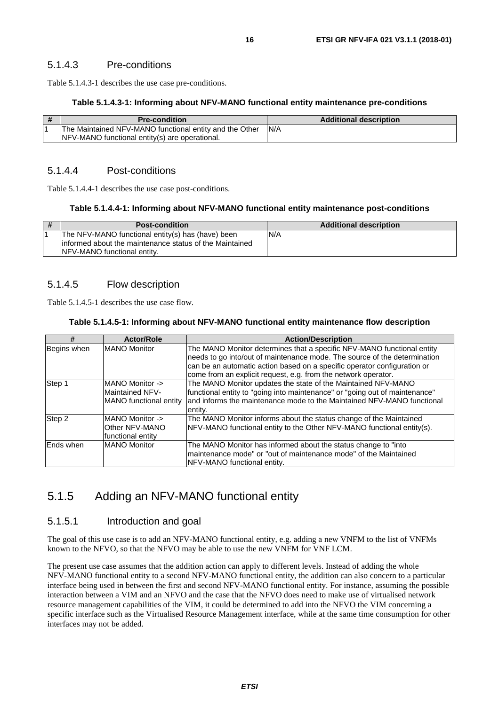<span id="page-15-0"></span>Table 5.1.4.3-1 describes the use case pre-conditions.

#### **Table 5.1.4.3-1: Informing about NFV-MANO functional entity maintenance pre-conditions**

| l# | <b>Pre-condition</b>                                    | <b>Additional description</b> |
|----|---------------------------------------------------------|-------------------------------|
|    | The Maintained NFV-MANO functional entity and the Other | IN/A                          |
|    | NFV-MANO functional entity(s) are operational.          |                               |

#### 5.1.4.4 Post-conditions

Table 5.1.4.4-1 describes the use case post-conditions.

#### **Table 5.1.4.4-1: Informing about NFV-MANO functional entity maintenance post-conditions**

| -# | <b>Post-condition</b>                                                                                                                        | <b>Additional description</b> |
|----|----------------------------------------------------------------------------------------------------------------------------------------------|-------------------------------|
|    | The NFV-MANO functional entity(s) has (have) been<br>linformed about the maintenance status of the Maintained<br>NFV-MANO functional entity. | N/A                           |

#### 5.1.4.5 Flow description

Table 5.1.4.5-1 describes the use case flow.

#### **Table 5.1.4.5-1: Informing about NFV-MANO functional entity maintenance flow description**

| #           | <b>Actor/Role</b>                                                   | <b>Action/Description</b>                                                                                                                                                                                                                                                                         |
|-------------|---------------------------------------------------------------------|---------------------------------------------------------------------------------------------------------------------------------------------------------------------------------------------------------------------------------------------------------------------------------------------------|
| Begins when | <b>MANO Monitor</b>                                                 | The MANO Monitor determines that a specific NFV-MANO functional entity<br>needs to go into/out of maintenance mode. The source of the determination<br>can be an automatic action based on a specific operator configuration or<br>come from an explicit request, e.g. from the network operator. |
| Step 1      | MANO Monitor -><br><b>Maintained NFV-</b><br>MANO functional entity | The MANO Monitor updates the state of the Maintained NFV-MANO<br>functional entity to "going into maintenance" or "going out of maintenance"<br>and informs the maintenance mode to the Maintained NFV-MANO functional<br>entity.                                                                 |
| Step 2      | MANO Monitor -><br>Other NFV-MANO<br>functional entitv              | The MANO Monitor informs about the status change of the Maintained<br>NFV-MANO functional entity to the Other NFV-MANO functional entity(s).                                                                                                                                                      |
| Ends when   | <b>MANO Monitor</b>                                                 | The MANO Monitor has informed about the status change to "into"<br>maintenance mode" or "out of maintenance mode" of the Maintained<br>NFV-MANO functional entity.                                                                                                                                |

### 5.1.5 Adding an NFV-MANO functional entity

#### 5.1.5.1 Introduction and goal

The goal of this use case is to add an NFV-MANO functional entity, e.g. adding a new VNFM to the list of VNFMs known to the NFVO, so that the NFVO may be able to use the new VNFM for VNF LCM.

The present use case assumes that the addition action can apply to different levels. Instead of adding the whole NFV-MANO functional entity to a second NFV-MANO functional entity, the addition can also concern to a particular interface being used in between the first and second NFV-MANO functional entity. For instance, assuming the possible interaction between a VIM and an NFVO and the case that the NFVO does need to make use of virtualised network resource management capabilities of the VIM, it could be determined to add into the NFVO the VIM concerning a specific interface such as the Virtualised Resource Management interface, while at the same time consumption for other interfaces may not be added.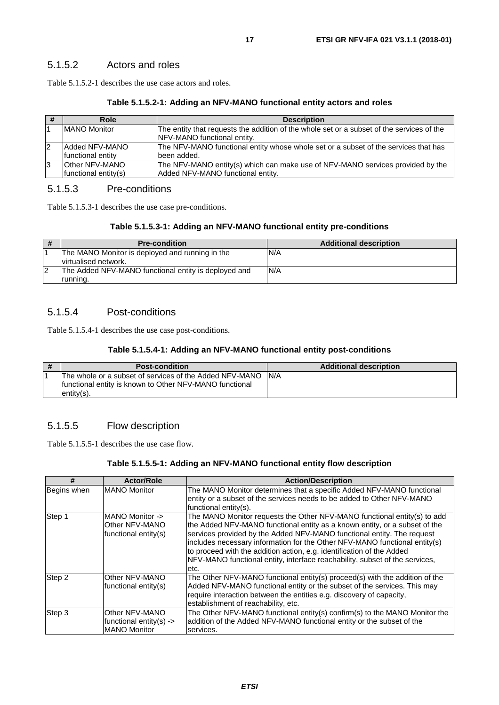#### <span id="page-16-0"></span>5.1.5.2 Actors and roles

Table 5.1.5.2-1 describes the use case actors and roles.

#### **Table 5.1.5.2-1: Adding an NFV-MANO functional entity actors and roles**

| #  | Role                      | <b>Description</b>                                                                        |
|----|---------------------------|-------------------------------------------------------------------------------------------|
|    | <b>IMANO Monitor</b>      | The entity that requests the addition of the whole set or a subset of the services of the |
|    |                           | <b>INFV-MANO</b> functional entity.                                                       |
| 12 | Added NFV-MANO            | The NFV-MANO functional entity whose whole set or a subset of the services that has       |
|    | <b>Ifunctional entity</b> | been added.                                                                               |
| 13 | Other NFV-MANO            | The NFV-MANO entity(s) which can make use of NFV-MANO services provided by the            |
|    | functional entity(s)      | Added NFV-MANO functional entity.                                                         |

#### 5.1.5.3 Pre-conditions

Table 5.1.5.3-1 describes the use case pre-conditions.

#### **Table 5.1.5.3-1: Adding an NFV-MANO functional entity pre-conditions**

| # | <b>Pre-condition</b>                                 | <b>Additional description</b> |
|---|------------------------------------------------------|-------------------------------|
|   | The MANO Monitor is deployed and running in the      | N/A                           |
|   | Ivirtualised network.                                |                               |
| 2 | The Added NFV-MANO functional entity is deployed and | N/A                           |
|   | running.                                             |                               |

#### 5.1.5.4 Post-conditions

Table 5.1.5.4-1 describes the use case post-conditions.

#### **Table 5.1.5.4-1: Adding an NFV-MANO functional entity post-conditions**

| # | <b>Post-condition</b>                                                                                                           | <b>Additional description</b> |
|---|---------------------------------------------------------------------------------------------------------------------------------|-------------------------------|
|   | The whole or a subset of services of the Added NFV-MANO<br>functional entity is known to Other NFV-MANO functional<br>entity(s) | IN/A                          |

#### 5.1.5.5 Flow description

Table 5.1.5.5-1 describes the use case flow.

#### **Table 5.1.5.5-1: Adding an NFV-MANO functional entity flow description**

| #           | <b>Actor/Role</b>                                                           | <b>Action/Description</b>                                                                                                                                                                                                                                                                                                                                                                                                                                                      |  |
|-------------|-----------------------------------------------------------------------------|--------------------------------------------------------------------------------------------------------------------------------------------------------------------------------------------------------------------------------------------------------------------------------------------------------------------------------------------------------------------------------------------------------------------------------------------------------------------------------|--|
| Begins when | <b>MANO Monitor</b>                                                         | The MANO Monitor determines that a specific Added NFV-MANO functional<br>entity or a subset of the services needs to be added to Other NFV-MANO<br>functional entity(s).                                                                                                                                                                                                                                                                                                       |  |
| Step 1      | <b>IMANO Monitor -&gt;</b><br>Other NFV-MANO<br>functional entity(s)        | The MANO Monitor requests the Other NFV-MANO functional entity(s) to add<br>the Added NFV-MANO functional entity as a known entity, or a subset of the<br>services provided by the Added NFV-MANO functional entity. The request<br>includes necessary information for the Other NFV-MANO functional entity(s)<br>to proceed with the addition action, e.g. identification of the Added<br>NFV-MANO functional entity, interface reachability, subset of the services,<br>etc. |  |
| Step 2      | Other NFV-MANO<br>functional entity(s)                                      | The Other NFV-MANO functional entity(s) proceed(s) with the addition of the<br>Added NFV-MANO functional entity or the subset of the services. This may<br>require interaction between the entities e.g. discovery of capacity,<br>establishment of reachability, etc.                                                                                                                                                                                                         |  |
| Step 3      | Other NFV-MANO<br>functional entity(s) $\rightarrow$<br><b>MANO Monitor</b> | The Other NFV-MANO functional entity(s) confirm(s) to the MANO Monitor the<br>addition of the Added NFV-MANO functional entity or the subset of the<br>services.                                                                                                                                                                                                                                                                                                               |  |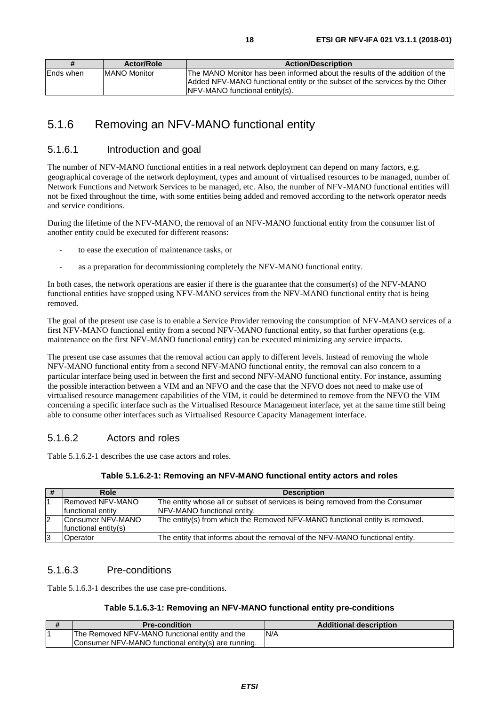<span id="page-17-0"></span>

|            | <b>Actor/Role</b>    | <b>Action/Description</b>                                                                                                                                  |
|------------|----------------------|------------------------------------------------------------------------------------------------------------------------------------------------------------|
| lEnds when | <b>IMANO Monitor</b> | The MANO Monitor has been informed about the results of the addition of the<br>Added NFV-MANO functional entity or the subset of the services by the Other |
|            |                      | INFV-MANO functional entity(s).                                                                                                                            |

## 5.1.6 Removing an NFV-MANO functional entity

#### 5.1.6.1 Introduction and goal

The number of NFV-MANO functional entities in a real network deployment can depend on many factors, e.g. geographical coverage of the network deployment, types and amount of virtualised resources to be managed, number of Network Functions and Network Services to be managed, etc. Also, the number of NFV-MANO functional entities will not be fixed throughout the time, with some entities being added and removed according to the network operator needs and service conditions.

During the lifetime of the NFV-MANO, the removal of an NFV-MANO functional entity from the consumer list of another entity could be executed for different reasons:

- to ease the execution of maintenance tasks, or
- as a preparation for decommissioning completely the NFV-MANO functional entity.

In both cases, the network operations are easier if there is the guarantee that the consumer(s) of the NFV-MANO functional entities have stopped using NFV-MANO services from the NFV-MANO functional entity that is being removed.

The goal of the present use case is to enable a Service Provider removing the consumption of NFV-MANO services of a first NFV-MANO functional entity from a second NFV-MANO functional entity, so that further operations (e.g. maintenance on the first NFV-MANO functional entity) can be executed minimizing any service impacts.

The present use case assumes that the removal action can apply to different levels. Instead of removing the whole NFV-MANO functional entity from a second NFV-MANO functional entity, the removal can also concern to a particular interface being used in between the first and second NFV-MANO functional entity. For instance, assuming the possible interaction between a VIM and an NFVO and the case that the NFVO does not need to make use of virtualised resource management capabilities of the VIM, it could be determined to remove from the NFVO the VIM concerning a specific interface such as the Virtualised Resource Management interface, yet at the same time still being able to consume other interfaces such as Virtualised Resource Capacity Management interface.

#### 5.1.6.2 Actors and roles

Table 5.1.6.2-1 describes the use case actors and roles.

| #  | Role                                      | <b>Description</b>                                                                                                   |
|----|-------------------------------------------|----------------------------------------------------------------------------------------------------------------------|
|    | Removed NFV-MANO<br>functional entity     | The entity whose all or subset of services is being removed from the Consumer<br><b>INFV-MANO</b> functional entity. |
| 12 | Consumer NFV-MANO<br>functional entity(s) | The entity(s) from which the Removed NFV-MANO functional entity is removed.                                          |
| 13 | Operator                                  | The entity that informs about the removal of the NFV-MANO functional entity.                                         |

#### 5.1.6.3 Pre-conditions

Table 5.1.6.3-1 describes the use case pre-conditions.

#### **Table 5.1.6.3-1: Removing an NFV-MANO functional entity pre-conditions**

| <b>Pre-condition</b>                                | <b>Additional description</b> |
|-----------------------------------------------------|-------------------------------|
| The Removed NFV-MANO functional entity and the      | N/A                           |
| Consumer NFV-MANO functional entity(s) are running. |                               |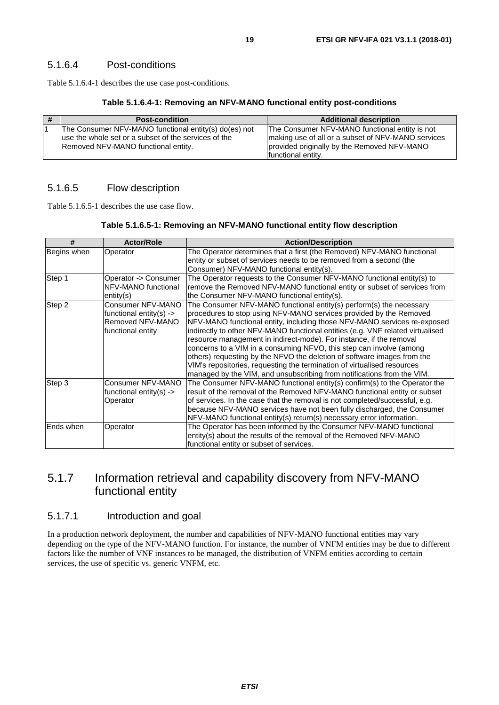<span id="page-18-0"></span>Table 5.1.6.4-1 describes the use case post-conditions.

#### **Table 5.1.6.4-1: Removing an NFV-MANO functional entity post-conditions**

| <b>Post-condition</b>                                 | <b>Additional description</b>                      |
|-------------------------------------------------------|----------------------------------------------------|
| The Consumer NFV-MANO functional entity(s) do(es) not | The Consumer NFV-MANO functional entity is not     |
| use the whole set or a subset of the services of the  | making use of all or a subset of NFV-MANO services |
| Removed NFV-MANO functional entity.                   | provided originally by the Removed NFV-MANO        |
|                                                       | functional entity.                                 |

#### 5.1.6.5 Flow description

Table 5.1.6.5-1 describes the use case flow.

#### **Table 5.1.6.5-1: Removing an NFV-MANO functional entity flow description**

| #           | <b>Actor/Role</b>                                                                     | <b>Action/Description</b>                                                                                                                                                                                                                                                                                                                                                                                                                                                                                                                                                                                                                                                             |  |
|-------------|---------------------------------------------------------------------------------------|---------------------------------------------------------------------------------------------------------------------------------------------------------------------------------------------------------------------------------------------------------------------------------------------------------------------------------------------------------------------------------------------------------------------------------------------------------------------------------------------------------------------------------------------------------------------------------------------------------------------------------------------------------------------------------------|--|
| Begins when | Operator                                                                              | The Operator determines that a first (the Removed) NFV-MANO functional<br>entity or subset of services needs to be removed from a second (the<br>Consumer) NFV-MANO functional entity(s).                                                                                                                                                                                                                                                                                                                                                                                                                                                                                             |  |
| Step 1      | Operator -> Consumer<br>NFV-MANO functional<br>entity(s)                              | The Operator requests to the Consumer NFV-MANO functional entity(s) to<br>remove the Removed NFV-MANO functional entity or subset of services from<br>the Consumer NFV-MANO functional entity(s).                                                                                                                                                                                                                                                                                                                                                                                                                                                                                     |  |
| Step 2      | Consumer NFV-MANO<br>functional entity(s) -><br>Removed NFV-MANO<br>functional entity | The Consumer NFV-MANO functional entity(s) perform(s) the necessary<br>procedures to stop using NFV-MANO services provided by the Removed<br>NFV-MANO functional entity, including those NFV-MANO services re-exposed<br>indirectly to other NFV-MANO functional entities (e.g. VNF related virtualised<br>resource management in indirect-mode). For instance, if the removal<br>concerns to a VIM in a consuming NFVO, this step can involve (among<br>others) requesting by the NFVO the deletion of software images from the<br>VIM's repositories, requesting the termination of virtualised resources<br>managed by the VIM, and unsubscribing from notifications from the VIM. |  |
| Step 3      | Consumer NFV-MANO<br>functional entity(s) $\rightarrow$<br>Operator                   | The Consumer NFV-MANO functional entity(s) confirm(s) to the Operator the<br>result of the removal of the Removed NFV-MANO functional entity or subset<br>of services. In the case that the removal is not completed/successful, e.g.<br>because NFV-MANO services have not been fully discharged, the Consumer<br>NFV-MANO functional entity(s) return(s) necessary error information.                                                                                                                                                                                                                                                                                               |  |
| Ends when   | Operator                                                                              | The Operator has been informed by the Consumer NFV-MANO functional<br>entity(s) about the results of the removal of the Removed NFV-MANO<br>functional entity or subset of services.                                                                                                                                                                                                                                                                                                                                                                                                                                                                                                  |  |

### 5.1.7 Information retrieval and capability discovery from NFV-MANO functional entity

#### 5.1.7.1 Introduction and goal

In a production network deployment, the number and capabilities of NFV-MANO functional entities may vary depending on the type of the NFV-MANO function. For instance, the number of VNFM entities may be due to different factors like the number of VNF instances to be managed, the distribution of VNFM entities according to certain services, the use of specific vs. generic VNFM, etc.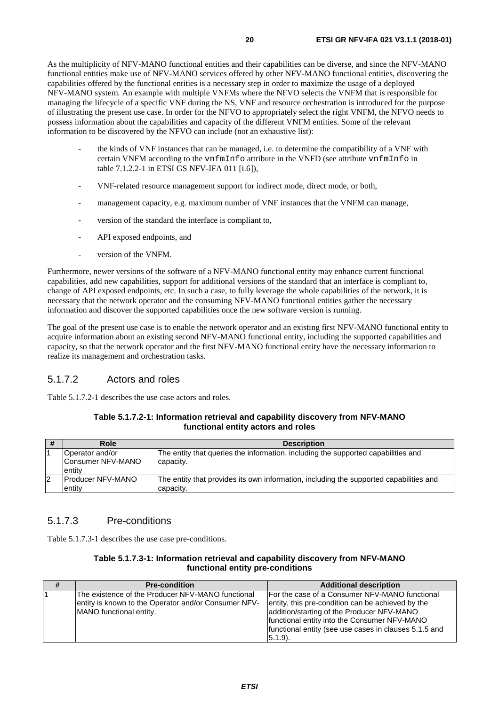<span id="page-19-0"></span>As the multiplicity of NFV-MANO functional entities and their capabilities can be diverse, and since the NFV-MANO functional entities make use of NFV-MANO services offered by other NFV-MANO functional entities, discovering the capabilities offered by the functional entities is a necessary step in order to maximize the usage of a deployed NFV-MANO system. An example with multiple VNFMs where the NFVO selects the VNFM that is responsible for managing the lifecycle of a specific VNF during the NS, VNF and resource orchestration is introduced for the purpose of illustrating the present use case. In order for the NFVO to appropriately select the right VNFM, the NFVO needs to possess information about the capabilities and capacity of the different VNFM entities. Some of the relevant information to be discovered by the NFVO can include (not an exhaustive list):

- the kinds of VNF instances that can be managed, i.e. to determine the compatibility of a VNF with certain VNFM according to the vnfmInfo attribute in the VNFD (see attribute vnfmInfo in table 7.1.2.2-1 in ETSI GS NFV-IFA 011 [\[i.6\]](#page-6-0)),
- VNF-related resource management support for indirect mode, direct mode, or both,
- management capacity, e.g. maximum number of VNF instances that the VNFM can manage,
- version of the standard the interface is compliant to,
- API exposed endpoints, and
- version of the VNFM.

Furthermore, newer versions of the software of a NFV-MANO functional entity may enhance current functional capabilities, add new capabilities, support for additional versions of the standard that an interface is compliant to, change of API exposed endpoints, etc. In such a case, to fully leverage the whole capabilities of the network, it is necessary that the network operator and the consuming NFV-MANO functional entities gather the necessary information and discover the supported capabilities once the new software version is running.

The goal of the present use case is to enable the network operator and an existing first NFV-MANO functional entity to acquire information about an existing second NFV-MANO functional entity, including the supported capabilities and capacity, so that the network operator and the first NFV-MANO functional entity have the necessary information to realize its management and orchestration tasks.

#### 5.1.7.2 Actors and roles

Table 5.1.7.2-1 describes the use case actors and roles.

| Table 5.1.7.2-1: Information retrieval and capability discovery from NFV-MANO |
|-------------------------------------------------------------------------------|
| functional entity actors and roles                                            |

| #  | Role                                           | <b>Description</b>                                                                                  |
|----|------------------------------------------------|-----------------------------------------------------------------------------------------------------|
|    | Operator and/or<br>Consumer NFV-MANO<br>entity | The entity that queries the information, including the supported capabilities and<br>capacity.      |
| 12 | <b>Producer NFV-MANO</b><br>entity             | The entity that provides its own information, including the supported capabilities and<br>capacity. |

#### 5.1.7.3 Pre-conditions

Table 5.1.7.3-1 describes the use case pre-conditions.

#### **Table 5.1.7.3-1: Information retrieval and capability discovery from NFV-MANO functional entity pre-conditions**

| #              | <b>Pre-condition</b>                                 | <b>Additional description</b>                         |
|----------------|------------------------------------------------------|-------------------------------------------------------|
| $\overline{1}$ | The existence of the Producer NFV-MANO functional    | For the case of a Consumer NFV-MANO functional        |
|                | entity is known to the Operator and/or Consumer NFV- | entity, this pre-condition can be achieved by the     |
|                | MANO functional entity.                              | addition/starting of the Producer NFV-MANO            |
|                |                                                      | functional entity into the Consumer NFV-MANO          |
|                |                                                      | functional entity (see use cases in clauses 5.1.5 and |
|                |                                                      | (5.1.9).                                              |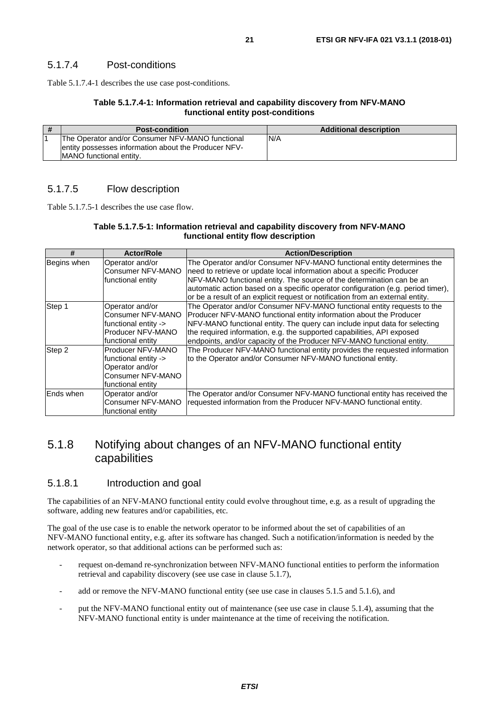<span id="page-20-0"></span>Table 5.1.7.4-1 describes the use case post-conditions.

#### **Table 5.1.7.4-1: Information retrieval and capability discovery from NFV-MANO functional entity post-conditions**

| # | <b>Post-condition</b>                                                                                     | <b>Additional description</b> |
|---|-----------------------------------------------------------------------------------------------------------|-------------------------------|
|   | The Operator and/or Consumer NFV-MANO functional<br>Jentity possesses information about the Producer NFV- | N/A                           |
|   | <b>IMANO</b> functional entity.                                                                           |                               |

#### 5.1.7.5 Flow description

Table 5.1.7.5-1 describes the use case flow.

#### **Table 5.1.7.5-1: Information retrieval and capability discovery from NFV-MANO functional entity flow description**

| #           | <b>Actor/Role</b>                                                                                             | <b>Action/Description</b>                                                                                                                                                                                                                                                                                                                                                                       |
|-------------|---------------------------------------------------------------------------------------------------------------|-------------------------------------------------------------------------------------------------------------------------------------------------------------------------------------------------------------------------------------------------------------------------------------------------------------------------------------------------------------------------------------------------|
| Begins when | Operator and/or<br>Consumer NFV-MANO<br>functional entity                                                     | The Operator and/or Consumer NFV-MANO functional entity determines the<br>need to retrieve or update local information about a specific Producer<br>NFV-MANO functional entity. The source of the determination can be an<br>automatic action based on a specific operator configuration (e.g. period timer),<br>or be a result of an explicit request or notification from an external entity. |
| Step 1      | Operator and/or<br>Consumer NFV-MANO<br>functional entity -><br>Producer NFV-MANO<br>functional entity        | The Operator and/or Consumer NFV-MANO functional entity requests to the<br>Producer NFV-MANO functional entity information about the Producer<br>NFV-MANO functional entity. The query can include input data for selecting<br>the required information, e.g. the supported capabilities, API exposed<br>endpoints, and/or capacity of the Producer NFV-MANO functional entity.                 |
| Step 2      | <b>Producer NFV-MANO</b><br>functional entity -><br>Operator and/or<br>Consumer NFV-MANO<br>functional entity | The Producer NFV-MANO functional entity provides the requested information<br>to the Operator and/or Consumer NFV-MANO functional entity.                                                                                                                                                                                                                                                       |
| Ends when   | Operator and/or<br>Consumer NFV-MANO<br>functional entity                                                     | The Operator and/or Consumer NFV-MANO functional entity has received the<br>requested information from the Producer NFV-MANO functional entity.                                                                                                                                                                                                                                                 |

### 5.1.8 Notifying about changes of an NFV-MANO functional entity capabilities

#### 5.1.8.1 Introduction and goal

The capabilities of an NFV-MANO functional entity could evolve throughout time, e.g. as a result of upgrading the software, adding new features and/or capabilities, etc.

The goal of the use case is to enable the network operator to be informed about the set of capabilities of an NFV-MANO functional entity, e.g. after its software has changed. Such a notification/information is needed by the network operator, so that additional actions can be performed such as:

- request on-demand re-synchronization between NFV-MANO functional entities to perform the information retrieval and capability discovery (see use case in clause 5.1.7),
- add or remove the NFV-MANO functional entity (see use case in clauses 5.1.5 and 5.1.6), and
- put the NFV-MANO functional entity out of maintenance (see use case in clause 5.1.4), assuming that the NFV-MANO functional entity is under maintenance at the time of receiving the notification.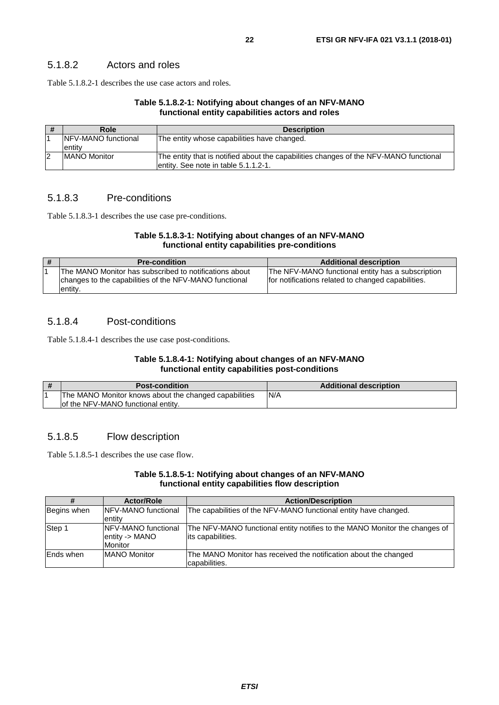#### <span id="page-21-0"></span>5.1.8.2 Actors and roles

Table 5.1.8.2-1 describes the use case actors and roles.

#### **Table 5.1.8.2-1: Notifying about changes of an NFV-MANO functional entity capabilities actors and roles**

| - 77 | Role                        | <b>Description</b>                                                                    |
|------|-----------------------------|---------------------------------------------------------------------------------------|
|      | <b>INFV-MANO</b> functional | The entity whose capabilities have changed.                                           |
|      | entity                      |                                                                                       |
|      | <b>MANO Monitor</b>         | The entity that is notified about the capabilities changes of the NFV-MANO functional |
|      |                             | entity. See note in table 5.1.1.2-1.                                                  |

#### 5.1.8.3 Pre-conditions

Table 5.1.8.3-1 describes the use case pre-conditions.

#### **Table 5.1.8.3-1: Notifying about changes of an NFV-MANO functional entity capabilities pre-conditions**

| # | <b>Pre-condition</b>                                                                                                         | <b>Additional description</b>                                                                           |
|---|------------------------------------------------------------------------------------------------------------------------------|---------------------------------------------------------------------------------------------------------|
|   | IThe MANO Monitor has subscribed to notifications about<br>changes to the capabilities of the NFV-MANO functional<br>entity. | The NFV-MANO functional entity has a subscription<br>for notifications related to changed capabilities. |

#### 5.1.8.4 Post-conditions

Table 5.1.8.4-1 describes the use case post-conditions.

#### **Table 5.1.8.4-1: Notifying about changes of an NFV-MANO functional entity capabilities post-conditions**

| <b>Post-condition</b>                                 | <b>Additional description</b> |
|-------------------------------------------------------|-------------------------------|
| The MANO Monitor knows about the changed capabilities | N/A                           |
| lof the NFV-MANO functional entity.                   |                               |

#### 5.1.8.5 Flow description

Table 5.1.8.5-1 describes the use case flow.

#### **Table 5.1.8.5-1: Notifying about changes of an NFV-MANO functional entity capabilities flow description**

|             | <b>Actor/Role</b>           | <b>Action/Description</b>                                                  |
|-------------|-----------------------------|----------------------------------------------------------------------------|
| Begins when | <b>INFV-MANO</b> functional | The capabilities of the NFV-MANO functional entity have changed.           |
|             | entity                      |                                                                            |
| Step 1      | <b>INFV-MANO</b> functional | The NFV-MANO functional entity notifies to the MANO Monitor the changes of |
|             | entity -> MANO              | its capabilities.                                                          |
|             | <b>Monitor</b>              |                                                                            |
| lEnds when  | <b>MANO Monitor</b>         | The MANO Monitor has received the notification about the changed           |
|             |                             | capabilities.                                                              |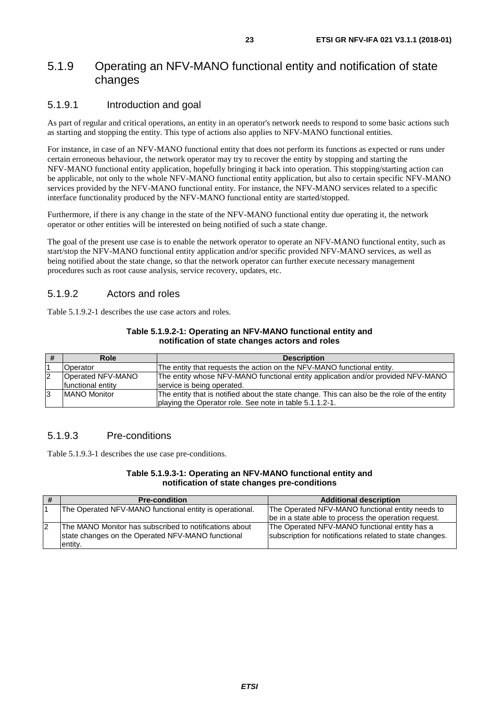### <span id="page-22-0"></span>5.1.9 Operating an NFV-MANO functional entity and notification of state changes

#### 5.1.9.1 Introduction and goal

As part of regular and critical operations, an entity in an operator's network needs to respond to some basic actions such as starting and stopping the entity. This type of actions also applies to NFV-MANO functional entities.

For instance, in case of an NFV-MANO functional entity that does not perform its functions as expected or runs under certain erroneous behaviour, the network operator may try to recover the entity by stopping and starting the NFV-MANO functional entity application, hopefully bringing it back into operation. This stopping/starting action can be applicable, not only to the whole NFV-MANO functional entity application, but also to certain specific NFV-MANO services provided by the NFV-MANO functional entity. For instance, the NFV-MANO services related to a specific interface functionality produced by the NFV-MANO functional entity are started/stopped.

Furthermore, if there is any change in the state of the NFV-MANO functional entity due operating it, the network operator or other entities will be interested on being notified of such a state change.

The goal of the present use case is to enable the network operator to operate an NFV-MANO functional entity, such as start/stop the NFV-MANO functional entity application and/or specific provided NFV-MANO services, as well as being notified about the state change, so that the network operator can further execute necessary management procedures such as root cause analysis, service recovery, updates, etc.

#### 5.1.9.2 Actors and roles

Table 5.1.9.2-1 describes the use case actors and roles.

| Table 5.1.9.2-1: Operating an NFV-MANO functional entity and |
|--------------------------------------------------------------|
| notification of state changes actors and roles               |

| Role                | <b>Description</b>                                                                          |
|---------------------|---------------------------------------------------------------------------------------------|
| Operator            | The entity that requests the action on the NFV-MANO functional entity.                      |
| Operated NFV-MANO   | The entity whose NFV-MANO functional entity application and/or provided NFV-MANO            |
| functional entity   | service is being operated.                                                                  |
| <b>MANO Monitor</b> | The entity that is notified about the state change. This can also be the role of the entity |
|                     | playing the Operator role. See note in table 5.1.1.2-1.                                     |

#### 5.1.9.3 Pre-conditions

Table 5.1.9.3-1 describes the use case pre-conditions.

#### **Table 5.1.9.3-1: Operating an NFV-MANO functional entity and notification of state changes pre-conditions**

| <b>Pre-condition</b>                                                                                                   | <b>Additional description</b>                                                                             |
|------------------------------------------------------------------------------------------------------------------------|-----------------------------------------------------------------------------------------------------------|
| The Operated NFV-MANO functional entity is operational.                                                                | The Operated NFV-MANO functional entity needs to<br>be in a state able to process the operation request.  |
| The MANO Monitor has subscribed to notifications about<br>state changes on the Operated NFV-MANO functional<br>entity. | The Operated NFV-MANO functional entity has a<br>subscription for notifications related to state changes. |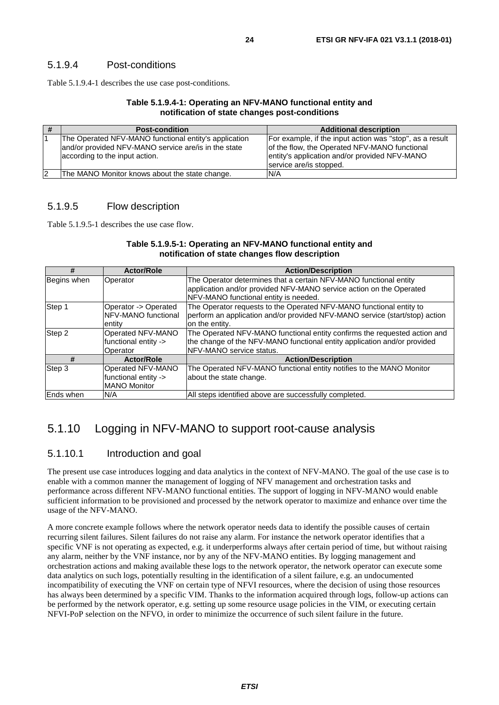#### <span id="page-23-0"></span>5.1.9.4 Post-conditions

Table 5.1.9.4-1 describes the use case post-conditions.

#### **Table 5.1.9.4-1: Operating an NFV-MANO functional entity and notification of state changes post-conditions**

|    | <b>Post-condition</b>                                 | <b>Additional description</b>                            |
|----|-------------------------------------------------------|----------------------------------------------------------|
|    | The Operated NFV-MANO functional entity's application | For example, if the input action was "stop", as a result |
|    | and/or provided NFV-MANO service are/is in the state  | of the flow, the Operated NFV-MANO functional            |
|    | according to the input action.                        | entity's application and/or provided NFV-MANO            |
|    |                                                       | service are/is stopped.                                  |
| 12 | The MANO Monitor knows about the state change.        | N/A                                                      |

#### 5.1.9.5 Flow description

Table 5.1.9.5-1 describes the use case flow.

#### **Table 5.1.9.5-1: Operating an NFV-MANO functional entity and notification of state changes flow description**

| #           | <b>Actor/Role</b>    | <b>Action/Description</b>                                                   |
|-------------|----------------------|-----------------------------------------------------------------------------|
| Begins when | Operator             | The Operator determines that a certain NFV-MANO functional entity           |
|             |                      | application and/or provided NFV-MANO service action on the Operated         |
|             |                      | NFV-MANO functional entity is needed.                                       |
| Step 1      | Operator -> Operated | The Operator requests to the Operated NFV-MANO functional entity to         |
|             | NFV-MANO functional  | perform an application and/or provided NFV-MANO service (start/stop) action |
|             | entitv               | lon the entitv.                                                             |
| Step 2      | Operated NFV-MANO    | The Operated NFV-MANO functional entity confirms the requested action and   |
|             | functional entity -> | the change of the NFV-MANO functional entity application and/or provided    |
|             | Operator             | <b>INFV-MANO</b> service status.                                            |
| #           | <b>Actor/Role</b>    | <b>Action/Description</b>                                                   |
| Step 3      | Operated NFV-MANO    | The Operated NFV-MANO functional entity notifies to the MANO Monitor        |
|             | functional entity -> | about the state change.                                                     |
|             | <b>MANO Monitor</b>  |                                                                             |
| Ends when   | N/A                  | All steps identified above are successfully completed.                      |

## 5.1.10 Logging in NFV-MANO to support root-cause analysis

#### 5.1.10.1 Introduction and goal

The present use case introduces logging and data analytics in the context of NFV-MANO. The goal of the use case is to enable with a common manner the management of logging of NFV management and orchestration tasks and performance across different NFV-MANO functional entities. The support of logging in NFV-MANO would enable sufficient information to be provisioned and processed by the network operator to maximize and enhance over time the usage of the NFV-MANO.

A more concrete example follows where the network operator needs data to identify the possible causes of certain recurring silent failures. Silent failures do not raise any alarm. For instance the network operator identifies that a specific VNF is not operating as expected, e.g. it underperforms always after certain period of time, but without raising any alarm, neither by the VNF instance, nor by any of the NFV-MANO entities. By logging management and orchestration actions and making available these logs to the network operator, the network operator can execute some data analytics on such logs, potentially resulting in the identification of a silent failure, e.g. an undocumented incompatibility of executing the VNF on certain type of NFVI resources, where the decision of using those resources has always been determined by a specific VIM. Thanks to the information acquired through logs, follow-up actions can be performed by the network operator, e.g. setting up some resource usage policies in the VIM, or executing certain NFVI-PoP selection on the NFVO, in order to minimize the occurrence of such silent failure in the future.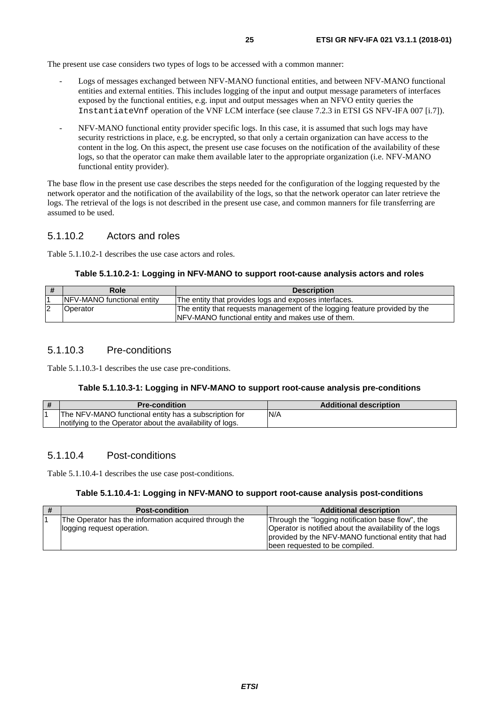<span id="page-24-0"></span>The present use case considers two types of logs to be accessed with a common manner:

- Logs of messages exchanged between NFV-MANO functional entities, and between NFV-MANO functional entities and external entities. This includes logging of the input and output message parameters of interfaces exposed by the functional entities, e.g. input and output messages when an NFVO entity queries the InstantiateVnf operation of the VNF LCM interface (see clause 7.2.3 in ETSI GS NFV-IFA 007 [\[i.7](#page-6-0)]).
- NFV-MANO functional entity provider specific logs. In this case, it is assumed that such logs may have security restrictions in place, e.g. be encrypted, so that only a certain organization can have access to the content in the log. On this aspect, the present use case focuses on the notification of the availability of these logs, so that the operator can make them available later to the appropriate organization (i.e. NFV-MANO functional entity provider).

The base flow in the present use case describes the steps needed for the configuration of the logging requested by the network operator and the notification of the availability of the logs, so that the network operator can later retrieve the logs. The retrieval of the logs is not described in the present use case, and common manners for file transferring are assumed to be used.

#### 5.1.10.2 Actors and roles

Table 5.1.10.2-1 describes the use case actors and roles.

#### **Table 5.1.10.2-1: Logging in NFV-MANO to support root-cause analysis actors and roles**

| Role                               | <b>Description</b>                                                                                                               |
|------------------------------------|----------------------------------------------------------------------------------------------------------------------------------|
| <b>INFV-MANO</b> functional entity | The entity that provides logs and exposes interfaces.                                                                            |
| Operator                           | The entity that requests management of the logging feature provided by the<br>INFV-MANO functional entity and makes use of them. |

#### 5.1.10.3 Pre-conditions

Table 5.1.10.3-1 describes the use case pre-conditions.

#### **Table 5.1.10.3-1: Logging in NFV-MANO to support root-cause analysis pre-conditions**

| l# | <b>Pre-condition</b>                                      | <b>Additional description</b> |
|----|-----------------------------------------------------------|-------------------------------|
|    | The NFV-MANO functional entity has a subscription for     | N/A                           |
|    | notifying to the Operator about the availability of logs. |                               |

#### 5.1.10.4 Post-conditions

Table 5.1.10.4-1 describes the use case post-conditions.

#### **Table 5.1.10.4-1: Logging in NFV-MANO to support root-cause analysis post-conditions**

| # | <b>Post-condition</b>                                 | <b>Additional description</b>                           |
|---|-------------------------------------------------------|---------------------------------------------------------|
|   | The Operator has the information acquired through the | Through the "logging notification base flow", the       |
|   | logging request operation.                            | Operator is notified about the availability of the logs |
|   |                                                       | provided by the NFV-MANO functional entity that had     |
|   |                                                       | Ibeen requested to be compiled.                         |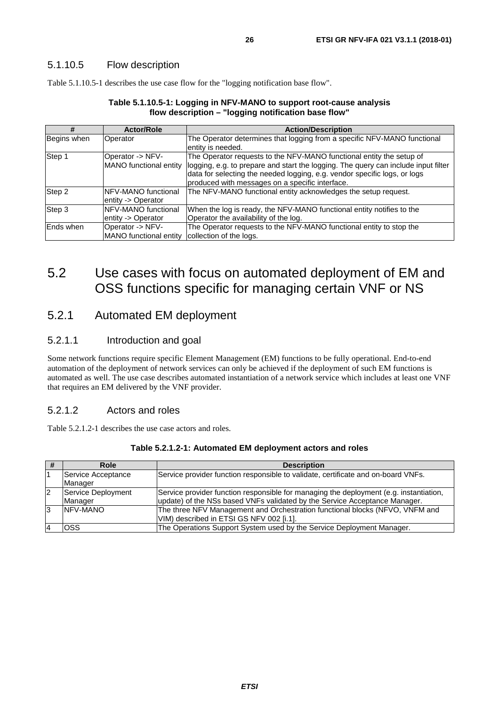#### <span id="page-25-0"></span>5.1.10.5 Flow description

Table 5.1.10.5-1 describes the use case flow for the "logging notification base flow".

#### **Table 5.1.10.5-1: Logging in NFV-MANO to support root-cause analysis flow description – "logging notification base flow"**

| #           | <b>Actor/Role</b>                              | <b>Action/Description</b>                                                                                 |
|-------------|------------------------------------------------|-----------------------------------------------------------------------------------------------------------|
| Begins when | Operator                                       | The Operator determines that logging from a specific NFV-MANO functional                                  |
|             |                                                | entity is needed.                                                                                         |
| Step 1      | Operator -> NFV-                               | The Operator requests to the NFV-MANO functional entity the setup of                                      |
|             |                                                | MANO functional entity logging, e.g. to prepare and start the logging. The query can include input filter |
|             |                                                | data for selecting the needed logging, e.g. vendor specific logs, or logs                                 |
|             |                                                | produced with messages on a specific interface.                                                           |
| Step 2      | INFV-MANO functional                           | The NFV-MANO functional entity acknowledges the setup request.                                            |
|             | entity -> Operator                             |                                                                                                           |
| Step 3      | <b>INFV-MANO</b> functional                    | When the log is ready, the NFV-MANO functional entity notifies to the                                     |
|             | entity -> Operator                             | Operator the availability of the log.                                                                     |
| Ends when   | Operator -> NFV-                               | The Operator requests to the NFV-MANO functional entity to stop the                                       |
|             | MANO functional entity collection of the logs. |                                                                                                           |

## 5.2 Use cases with focus on automated deployment of EM and OSS functions specific for managing certain VNF or NS

### 5.2.1 Automated EM deployment

#### 5.2.1.1 Introduction and goal

Some network functions require specific Element Management (EM) functions to be fully operational. End-to-end automation of the deployment of network services can only be achieved if the deployment of such EM functions is automated as well. The use case describes automated instantiation of a network service which includes at least one VNF that requires an EM delivered by the VNF provider.

#### 5.2.1.2 Actors and roles

Table 5.2.1.2-1 describes the use case actors and roles.

|   | Role                          | <b>Description</b>                                                                                                                                                   |
|---|-------------------------------|----------------------------------------------------------------------------------------------------------------------------------------------------------------------|
|   | Service Acceptance<br>Manager | Service provider function responsible to validate, certificate and on-board VNFs.                                                                                    |
| 2 | Service Deployment<br>Manager | Service provider function responsible for managing the deployment (e.g. instantiation,<br>update) of the NSs based VNFs validated by the Service Acceptance Manager. |
| 3 | NFV-MANO                      | The three NFV Management and Orchestration functional blocks (NFVO, VNFM and<br>VIM) described in ETSI GS NFV 002 [i.1].                                             |
|   | OSS                           | The Operations Support System used by the Service Deployment Manager.                                                                                                |

**Table 5.2.1.2-1: Automated EM deployment actors and roles**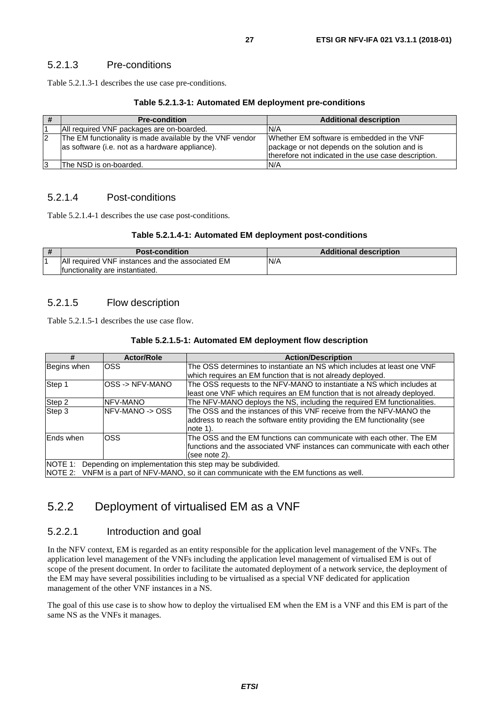#### <span id="page-26-0"></span>5.2.1.3 Pre-conditions

Table 5.2.1.3-1 describes the use case pre-conditions.

#### **Table 5.2.1.3-1: Automated EM deployment pre-conditions**

| l# | <b>Pre-condition</b>                                                                                        | <b>Additional description</b>                                                                                                                       |
|----|-------------------------------------------------------------------------------------------------------------|-----------------------------------------------------------------------------------------------------------------------------------------------------|
|    | All required VNF packages are on-boarded.                                                                   | N/A                                                                                                                                                 |
| 2  | The EM functionality is made available by the VNF vendor<br>as software (i.e. not as a hardware appliance). | Whether EM software is embedded in the VNF<br>package or not depends on the solution and is<br>therefore not indicated in the use case description. |
| 3  | The NSD is on-boarded.                                                                                      | N/A                                                                                                                                                 |

#### 5.2.1.4 Post-conditions

Table 5.2.1.4-1 describes the use case post-conditions.

#### **Table 5.2.1.4-1: Automated EM deployment post-conditions**

| # | <b>Post-condition</b>                             | <b>Additional description</b> |
|---|---------------------------------------------------|-------------------------------|
|   | IAII required VNF instances and the associated EM | N/A                           |
|   | Ifunctionality are instantiated.                  |                               |

#### 5.2.1.5 Flow description

Table 5.2.1.5-1 describes the use case flow.

#### **Table 5.2.1.5-1: Automated EM deployment flow description**

| #           | <b>Actor/Role</b> | <b>Action/Description</b>                                                                |
|-------------|-------------------|------------------------------------------------------------------------------------------|
| Begins when | OSS               | The OSS determines to instantiate an NS which includes at least one VNF                  |
|             |                   | which requires an EM function that is not already deployed.                              |
| Step 1      | OSS -> NFV-MANO   | The OSS requests to the NFV-MANO to instantiate a NS which includes at                   |
|             |                   | least one VNF which requires an EM function that is not already deployed.                |
| Step 2      | <b>NFV-MANO</b>   | The NFV-MANO deploys the NS, including the required EM functionalities.                  |
| Step 3      | NFV-MANO -> OSS   | The OSS and the instances of this VNF receive from the NFV-MANO the                      |
|             |                   | address to reach the software entity providing the EM functionality (see                 |
|             |                   | note $1$ ).                                                                              |
| Ends when   | OSS               | The OSS and the EM functions can communicate with each other. The EM                     |
|             |                   | functions and the associated VNF instances can communicate with each other               |
|             |                   | (see note 2).                                                                            |
| NOTE 1:     |                   | Depending on implementation this step may be subdivided.                                 |
|             |                   | NOTE 2: VNFM is a part of NFV-MANO, so it can communicate with the EM functions as well. |

### 5.2.2 Deployment of virtualised EM as a VNF

#### 5.2.2.1 Introduction and goal

In the NFV context, EM is regarded as an entity responsible for the application level management of the VNFs. The application level management of the VNFs including the application level management of virtualised EM is out of scope of the present document. In order to facilitate the automated deployment of a network service, the deployment of the EM may have several possibilities including to be virtualised as a special VNF dedicated for application management of the other VNF instances in a NS.

The goal of this use case is to show how to deploy the virtualised EM when the EM is a VNF and this EM is part of the same NS as the VNFs it manages.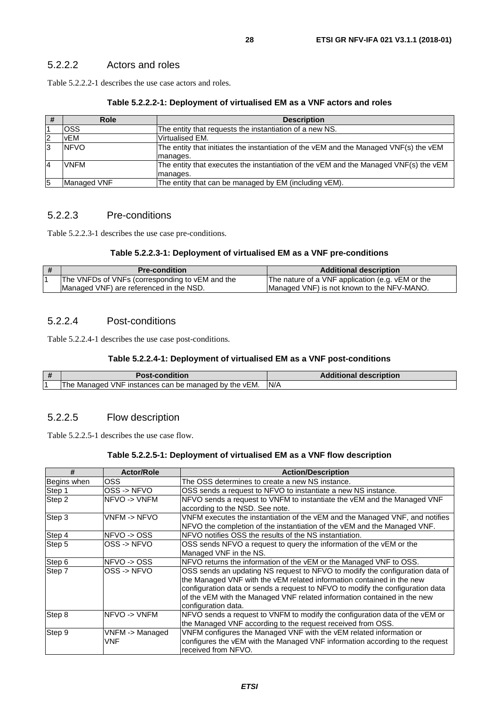<span id="page-27-0"></span>Table 5.2.2.2-1 describes the use case actors and roles.

#### **Table 5.2.2.2-1: Deployment of virtualised EM as a VNF actors and roles**

| #              | <b>Role</b> | <b>Description</b>                                                                    |
|----------------|-------------|---------------------------------------------------------------------------------------|
|                | <b>OSS</b>  | The entity that requests the instantiation of a new NS.                               |
| 12             | vEM         | Virtualised EM.                                                                       |
| 13             | <b>NFVO</b> | The entity that initiates the instantiation of the vEM and the Managed VNF(s) the vEM |
|                |             | manages.                                                                              |
| $\overline{A}$ | <b>VNFM</b> | The entity that executes the instantiation of the vEM and the Managed VNF(s) the vEM  |
|                |             | manages.                                                                              |
| 5              | Managed VNF | The entity that can be managed by EM (including vEM).                                 |

#### 5.2.2.3 Pre-conditions

Table 5.2.2.3-1 describes the use case pre-conditions.

#### **Table 5.2.2.3-1: Deployment of virtualised EM as a VNF pre-conditions**

| <b>Pre-condition</b>                            | <b>Additional description</b>                    |
|-------------------------------------------------|--------------------------------------------------|
| The VNFDs of VNFs (corresponding to vEM and the | The nature of a VNF application (e.g. vEM or the |
| Managed VNF) are referenced in the NSD.         | Managed VNF) is not known to the NFV-MANO.       |

#### 5.2.2.4 Post-conditions

Table 5.2.2.4-1 describes the use case post-conditions.

#### **Table 5.2.2.4-1: Deployment of virtualised EM as a VNF post-conditions**

| $\mathbf{H}$ | <b>Post-condition</b>                                     | <b>Additional description</b> |
|--------------|-----------------------------------------------------------|-------------------------------|
|              | J VNF instances can be managed by the vEM.<br>The Managed | N/A                           |

#### 5.2.2.5 Flow description

Table 5.2.2.5-1 describes the use case flow.

#### **Table 5.2.2.5-1: Deployment of virtualised EM as a VNF flow description**

| #           | <b>Actor/Role</b>      | <b>Action/Description</b>                                                                                                                                                                                                                                                                                                                  |
|-------------|------------------------|--------------------------------------------------------------------------------------------------------------------------------------------------------------------------------------------------------------------------------------------------------------------------------------------------------------------------------------------|
| Begins when | OSS                    | The OSS determines to create a new NS instance.                                                                                                                                                                                                                                                                                            |
| Step 1      | OSS -> NFVO            | OSS sends a request to NFVO to instantiate a new NS instance.                                                                                                                                                                                                                                                                              |
| Step 2      | NFVO -> VNFM           | NFVO sends a request to VNFM to instantiate the vEM and the Managed VNF<br>according to the NSD. See note.                                                                                                                                                                                                                                 |
| Step 3      | VNFM -> NFVO           | VNFM executes the instantiation of the vEM and the Managed VNF, and notifies<br>NFVO the completion of the instantiation of the vEM and the Managed VNF.                                                                                                                                                                                   |
| Step 4      | NFVO-> OSS             | NFVO notifies OSS the results of the NS instantiation.                                                                                                                                                                                                                                                                                     |
| Step 5      | OSS -> NFVO            | OSS sends NFVO a request to query the information of the vEM or the<br>Managed VNF in the NS.                                                                                                                                                                                                                                              |
| Step 6      | NFVO-> OSS             | NFVO returns the information of the vEM or the Managed VNF to OSS.                                                                                                                                                                                                                                                                         |
| Step 7      | OSS -> NFVO            | OSS sends an updating NS request to NFVO to modify the configuration data of<br>the Managed VNF with the vEM related information contained in the new<br>configuration data or sends a request to NFVO to modify the configuration data<br>of the vEM with the Managed VNF related information contained in the new<br>configuration data. |
| Step 8      | INFVO -> VNFM          | NFVO sends a request to VNFM to modify the configuration data of the vEM or<br>the Managed VNF according to the request received from OSS.                                                                                                                                                                                                 |
| Step 9      | VNFM -> Managed<br>VNF | VNFM configures the Managed VNF with the vEM related information or<br>configures the vEM with the Managed VNF information according to the request<br>received from NFVO.                                                                                                                                                                 |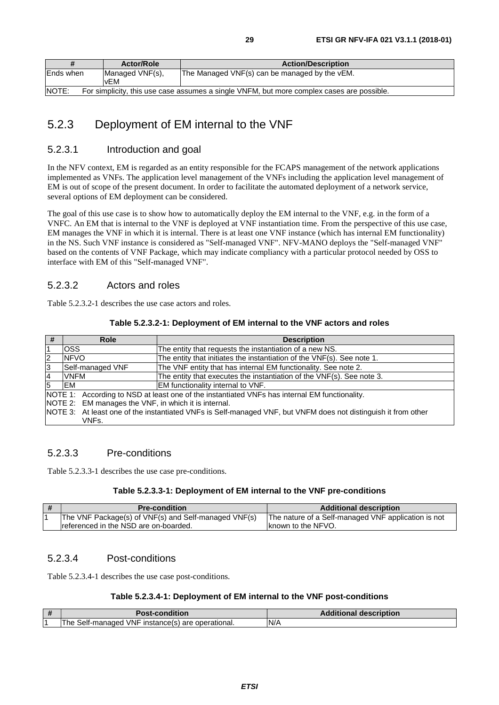<span id="page-28-0"></span>

| #                                                                                                  | <b>Actor/Role</b>      | <b>Action/Description</b>                     |
|----------------------------------------------------------------------------------------------------|------------------------|-----------------------------------------------|
| Ends when                                                                                          | Managed VNF(s),<br>vEM | The Managed VNF(s) can be managed by the vEM. |
| NOTE:<br>For simplicity, this use case assumes a single VNFM, but more complex cases are possible. |                        |                                               |

## 5.2.3 Deployment of EM internal to the VNF

#### 5.2.3.1 Introduction and goal

In the NFV context, EM is regarded as an entity responsible for the FCAPS management of the network applications implemented as VNFs. The application level management of the VNFs including the application level management of EM is out of scope of the present document. In order to facilitate the automated deployment of a network service, several options of EM deployment can be considered.

The goal of this use case is to show how to automatically deploy the EM internal to the VNF, e.g. in the form of a VNFC. An EM that is internal to the VNF is deployed at VNF instantiation time. From the perspective of this use case, EM manages the VNF in which it is internal. There is at least one VNF instance (which has internal EM functionality) in the NS. Such VNF instance is considered as "Self-managed VNF". NFV-MANO deploys the "Self-managed VNF" based on the contents of VNF Package, which may indicate compliancy with a particular protocol needed by OSS to interface with EM of this "Self-managed VNF".

#### 5.2.3.2 Actors and roles

Table 5.2.3.2-1 describes the use case actors and roles.

#### **Table 5.2.3.2-1: Deployment of EM internal to the VNF actors and roles**

| #                     | <b>Role</b><br><b>Description</b>                                                                              |                                                                        |  |  |
|-----------------------|----------------------------------------------------------------------------------------------------------------|------------------------------------------------------------------------|--|--|
| $\overline{1}$        | OSS                                                                                                            | The entity that requests the instantiation of a new NS.                |  |  |
| $\overline{2}$        | <b>NFVO</b>                                                                                                    | The entity that initiates the instantiation of the VNF(s). See note 1. |  |  |
| 3<br>Self-managed VNF |                                                                                                                | The VNF entity that has internal EM functionality. See note 2.         |  |  |
| $\overline{4}$        | <b>VNFM</b>                                                                                                    | The entity that executes the instantiation of the VNF(s). See note 3.  |  |  |
| 5                     | EM                                                                                                             | EM functionality internal to VNF.                                      |  |  |
|                       | NOTE 1: According to NSD at least one of the instantiated VNFs has internal EM functionality.                  |                                                                        |  |  |
|                       | NOTE 2: EM manages the VNF, in which it is internal.                                                           |                                                                        |  |  |
|                       | NOTE 3: At least one of the instantiated VNFs is Self-managed VNF, but VNFM does not distinguish it from other |                                                                        |  |  |
|                       | VNFs.                                                                                                          |                                                                        |  |  |

#### 5.2.3.3 Pre-conditions

Table 5.2.3.3-1 describes the use case pre-conditions.

#### **Table 5.2.3.3-1: Deployment of EM internal to the VNF pre-conditions**

| # | <b>Pre-condition</b>                                 | <b>Additional description</b>                       |
|---|------------------------------------------------------|-----------------------------------------------------|
|   | The VNF Package(s) of VNF(s) and Self-managed VNF(s) | The nature of a Self-managed VNF application is not |
|   | Treferenced in the NSD are on-boarded.               | <b>Iknown to the NFVO.</b>                          |

#### 5.2.3.4 Post-conditions

Table 5.2.3.4-1 describes the use case post-conditions.

#### **Table 5.2.3.4-1: Deployment of EM internal to the VNF post-conditions**

| $\mathbf{u}$ | Post-condition                                         | <b>Additional description</b> |  |
|--------------|--------------------------------------------------------|-------------------------------|--|
|              | Self-managed VNF instance(s) are operational.<br>The 、 | N/A                           |  |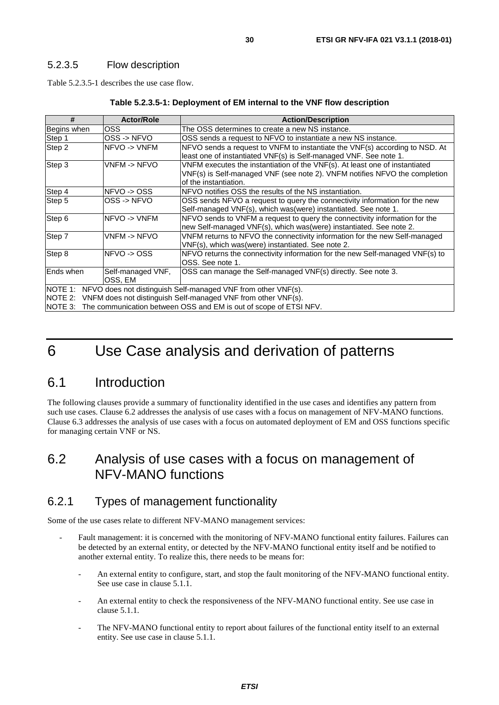#### <span id="page-29-0"></span>5.2.3.5 Flow description

Table 5.2.3.5-1 describes the use case flow.

| #<br><b>Actor/Role</b>                                                   |                              | <b>Action/Description</b>                                                                                                                                                          |  |  |
|--------------------------------------------------------------------------|------------------------------|------------------------------------------------------------------------------------------------------------------------------------------------------------------------------------|--|--|
| Begins when                                                              | OSS.                         | The OSS determines to create a new NS instance.                                                                                                                                    |  |  |
| Step 1                                                                   | OSS -> NFVO                  | OSS sends a request to NFVO to instantiate a new NS instance.                                                                                                                      |  |  |
| Step 2                                                                   | NFVO-> VNFM                  | NFVO sends a request to VNFM to instantiate the VNF(s) according to NSD. At<br>least one of instantiated VNF(s) is Self-managed VNF. See note 1.                                   |  |  |
| Step 3                                                                   | VNFM -> NFVO                 | VNFM executes the instantiation of the VNF(s). At least one of instantiated<br>VNF(s) is Self-managed VNF (see note 2). VNFM notifies NFVO the completion<br>of the instantiation. |  |  |
| Step 4                                                                   | NFVO -> OSS                  | NFVO notifies OSS the results of the NS instantiation.                                                                                                                             |  |  |
| Step 5                                                                   | OSS -> NFVO                  | OSS sends NFVO a request to query the connectivity information for the new<br>Self-managed VNF(s), which was (were) instantiated. See note 1.                                      |  |  |
| Step 6                                                                   | NFVO-> VNFM                  | NFVO sends to VNFM a request to query the connectivity information for the<br>new Self-managed VNF(s), which was (were) instantiated. See note 2.                                  |  |  |
| Step 7                                                                   | VNFM -> NFVO                 | VNFM returns to NFVO the connectivity information for the new Self-managed<br>VNF(s), which was(were) instantiated. See note 2.                                                    |  |  |
| Step 8                                                                   | NFVO-> OSS                   | NFVO returns the connectivity information for the new Self-managed VNF(s) to<br>OSS. See note 1.                                                                                   |  |  |
| <b>Ends</b> when                                                         | Self-managed VNF,<br>OSS, EM | OSS can manage the Self-managed VNF(s) directly. See note 3.                                                                                                                       |  |  |
| NOTE 1:<br>NFVO does not distinguish Self-managed VNF from other VNF(s). |                              |                                                                                                                                                                                    |  |  |
| NOTE 2: VNFM does not distinguish Self-managed VNF from other VNF(s).    |                              |                                                                                                                                                                                    |  |  |
| NOTE 3:                                                                  |                              | The communication between OSS and EM is out of scope of ETSI NFV.                                                                                                                  |  |  |

## 6 Use Case analysis and derivation of patterns

## 6.1 Introduction

The following clauses provide a summary of functionality identified in the use cases and identifies any pattern from such use cases. Clause 6.2 addresses the analysis of use cases with a focus on management of NFV-MANO functions. Clause 6.3 addresses the analysis of use cases with a focus on automated deployment of EM and OSS functions specific for managing certain VNF or NS.

## 6.2 Analysis of use cases with a focus on management of NFV-MANO functions

### 6.2.1 Types of management functionality

Some of the use cases relate to different NFV-MANO management services:

- Fault management: it is concerned with the monitoring of NFV-MANO functional entity failures. Failures can be detected by an external entity, or detected by the NFV-MANO functional entity itself and be notified to another external entity. To realize this, there needs to be means for:
	- An external entity to configure, start, and stop the fault monitoring of the NFV-MANO functional entity. See use case in clause 5.1.1.
	- An external entity to check the responsiveness of the NFV-MANO functional entity. See use case in clause 5.1.1.
	- The NFV-MANO functional entity to report about failures of the functional entity itself to an external entity. See use case in clause 5.1.1.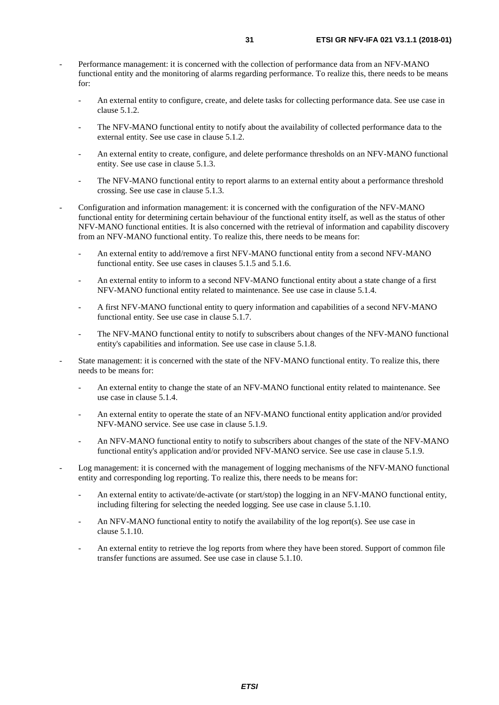- Performance management: it is concerned with the collection of performance data from an NFV-MANO functional entity and the monitoring of alarms regarding performance. To realize this, there needs to be means for:
	- An external entity to configure, create, and delete tasks for collecting performance data. See use case in clause 5.1.2.
	- The NFV-MANO functional entity to notify about the availability of collected performance data to the external entity. See use case in clause 5.1.2.
	- An external entity to create, configure, and delete performance thresholds on an NFV-MANO functional entity. See use case in clause 5.1.3.
	- The NFV-MANO functional entity to report alarms to an external entity about a performance threshold crossing. See use case in clause 5.1.3.
- Configuration and information management: it is concerned with the configuration of the NFV-MANO functional entity for determining certain behaviour of the functional entity itself, as well as the status of other NFV-MANO functional entities. It is also concerned with the retrieval of information and capability discovery from an NFV-MANO functional entity. To realize this, there needs to be means for:
	- An external entity to add/remove a first NFV-MANO functional entity from a second NFV-MANO functional entity. See use cases in clauses 5.1.5 and 5.1.6.
	- An external entity to inform to a second NFV-MANO functional entity about a state change of a first NFV-MANO functional entity related to maintenance. See use case in clause 5.1.4.
	- A first NFV-MANO functional entity to query information and capabilities of a second NFV-MANO functional entity. See use case in clause 5.1.7.
	- The NFV-MANO functional entity to notify to subscribers about changes of the NFV-MANO functional entity's capabilities and information. See use case in clause 5.1.8.
- State management: it is concerned with the state of the NFV-MANO functional entity. To realize this, there needs to be means for:
	- An external entity to change the state of an NFV-MANO functional entity related to maintenance. See use case in clause 5.1.4.
	- An external entity to operate the state of an NFV-MANO functional entity application and/or provided NFV-MANO service. See use case in clause 5.1.9.
	- An NFV-MANO functional entity to notify to subscribers about changes of the state of the NFV-MANO functional entity's application and/or provided NFV-MANO service. See use case in clause 5.1.9.
- Log management: it is concerned with the management of logging mechanisms of the NFV-MANO functional entity and corresponding log reporting. To realize this, there needs to be means for:
	- An external entity to activate/de-activate (or start/stop) the logging in an NFV-MANO functional entity, including filtering for selecting the needed logging. See use case in clause 5.1.10.
	- An NFV-MANO functional entity to notify the availability of the log report(s). See use case in clause 5.1.10.
	- An external entity to retrieve the log reports from where they have been stored. Support of common file transfer functions are assumed. See use case in clause 5.1.10.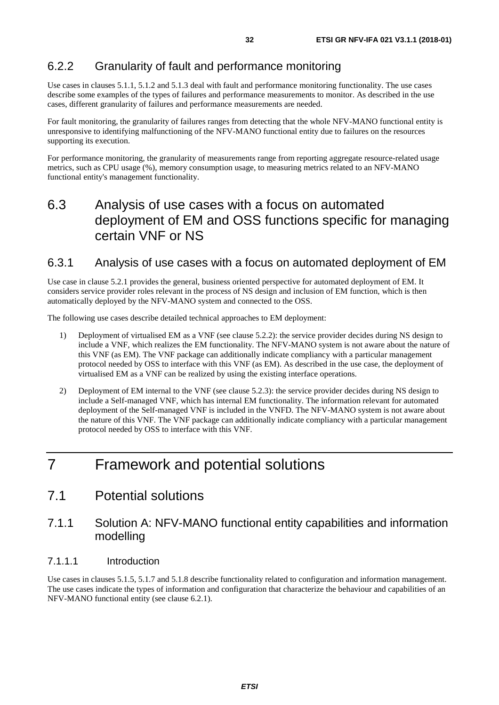### <span id="page-31-0"></span>6.2.2 Granularity of fault and performance monitoring

Use cases in clauses 5.1.1, 5.1.2 and 5.1.3 deal with fault and performance monitoring functionality. The use cases describe some examples of the types of failures and performance measurements to monitor. As described in the use cases, different granularity of failures and performance measurements are needed.

For fault monitoring, the granularity of failures ranges from detecting that the whole NFV-MANO functional entity is unresponsive to identifying malfunctioning of the NFV-MANO functional entity due to failures on the resources supporting its execution.

For performance monitoring, the granularity of measurements range from reporting aggregate resource-related usage metrics, such as CPU usage (%), memory consumption usage, to measuring metrics related to an NFV-MANO functional entity's management functionality.

## 6.3 Analysis of use cases with a focus on automated deployment of EM and OSS functions specific for managing certain VNF or NS

### 6.3.1 Analysis of use cases with a focus on automated deployment of EM

Use case in clause 5.2.1 provides the general, business oriented perspective for automated deployment of EM. It considers service provider roles relevant in the process of NS design and inclusion of EM function, which is then automatically deployed by the NFV-MANO system and connected to the OSS.

The following use cases describe detailed technical approaches to EM deployment:

- 1) Deployment of virtualised EM as a VNF (see clause 5.2.2): the service provider decides during NS design to include a VNF, which realizes the EM functionality. The NFV-MANO system is not aware about the nature of this VNF (as EM). The VNF package can additionally indicate compliancy with a particular management protocol needed by OSS to interface with this VNF (as EM). As described in the use case, the deployment of virtualised EM as a VNF can be realized by using the existing interface operations.
- 2) Deployment of EM internal to the VNF (see clause 5.2.3): the service provider decides during NS design to include a Self-managed VNF, which has internal EM functionality. The information relevant for automated deployment of the Self-managed VNF is included in the VNFD. The NFV-MANO system is not aware about the nature of this VNF. The VNF package can additionally indicate compliancy with a particular management protocol needed by OSS to interface with this VNF.

## 7 Framework and potential solutions

### 7.1 Potential solutions

### 7.1.1 Solution A: NFV-MANO functional entity capabilities and information modelling

#### 7.1.1.1 Introduction

Use cases in clauses 5.1.5, 5.1.7 and 5.1.8 describe functionality related to configuration and information management. The use cases indicate the types of information and configuration that characterize the behaviour and capabilities of an NFV-MANO functional entity (see clause 6.2.1).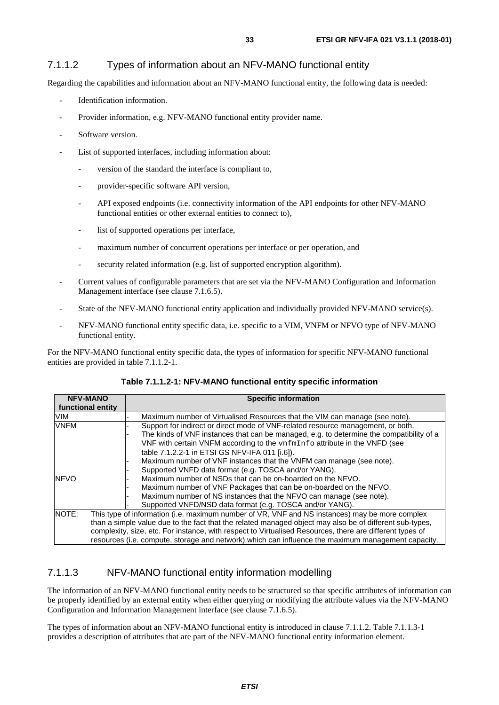#### <span id="page-32-0"></span>7.1.1.2 Types of information about an NFV-MANO functional entity

Regarding the capabilities and information about an NFV-MANO functional entity, the following data is needed:

- Identification information.
- Provider information, e.g. NFV-MANO functional entity provider name.
- Software version.
- List of supported interfaces, including information about:
	- version of the standard the interface is compliant to,
	- provider-specific software API version,
	- API exposed endpoints (i.e. connectivity information of the API endpoints for other NFV-MANO functional entities or other external entities to connect to),
	- list of supported operations per interface,
	- maximum number of concurrent operations per interface or per operation, and
	- security related information (e.g. list of supported encryption algorithm).
- Current values of configurable parameters that are set via the NFV-MANO Configuration and Information Management interface (see clause 7.1.6.5).
- State of the NFV-MANO functional entity application and individually provided NFV-MANO service(s).
- NFV-MANO functional entity specific data, i.e. specific to a VIM, VNFM or NFVO type of NFV-MANO functional entity.

For the NFV-MANO functional entity specific data, the types of information for specific NFV-MANO functional entities are provided in table 7.1.1.2-1.

| <b>NFV-MANO</b>   | <b>Specific information</b>                                                                              |  |  |
|-------------------|----------------------------------------------------------------------------------------------------------|--|--|
| functional entity |                                                                                                          |  |  |
| VIM               | Maximum number of Virtualised Resources that the VIM can manage (see note).                              |  |  |
| <b>VNFM</b>       | Support for indirect or direct mode of VNF-related resource management, or both.                         |  |  |
|                   | The kinds of VNF instances that can be managed, e.g. to determine the compatibility of a                 |  |  |
|                   | VNF with certain VNFM according to the $\text{vnfmInf}\circ$ attribute in the VNFD (see                  |  |  |
|                   | table 7.1.2.2-1 in ETSI GS NFV-IFA 011 [i.6]).                                                           |  |  |
|                   | Maximum number of VNF instances that the VNFM can manage (see note).                                     |  |  |
|                   | Supported VNFD data format (e.g. TOSCA and/or YANG).                                                     |  |  |
| <b>NFVO</b>       | Maximum number of NSDs that can be on-boarded on the NFVO.                                               |  |  |
|                   | Maximum number of VNF Packages that can be on-boarded on the NFVO.                                       |  |  |
|                   | Maximum number of NS instances that the NFVO can manage (see note).                                      |  |  |
|                   | Supported VNFD/NSD data format (e.g. TOSCA and/or YANG).                                                 |  |  |
| NOTE:             | This type of information (i.e. maximum number of VR, VNF and NS instances) may be more complex           |  |  |
|                   | than a simple value due to the fact that the related managed object may also be of different sub-types,  |  |  |
|                   | complexity, size, etc. For instance, with respect to Virtualised Resources, there are different types of |  |  |
|                   | resources (i.e. compute, storage and network) which can influence the maximum management capacity.       |  |  |

#### 7.1.1.3 NFV-MANO functional entity information modelling

The information of an NFV-MANO functional entity needs to be structured so that specific attributes of information can be properly identified by an external entity when either querying or modifying the attribute values via the NFV-MANO Configuration and Information Management interface (see clause 7.1.6.5).

The types of information about an NFV-MANO functional entity is introduced in clause 7.1.1.2. Table 7.1.1.3-1 provides a description of attributes that are part of the NFV-MANO functional entity information element.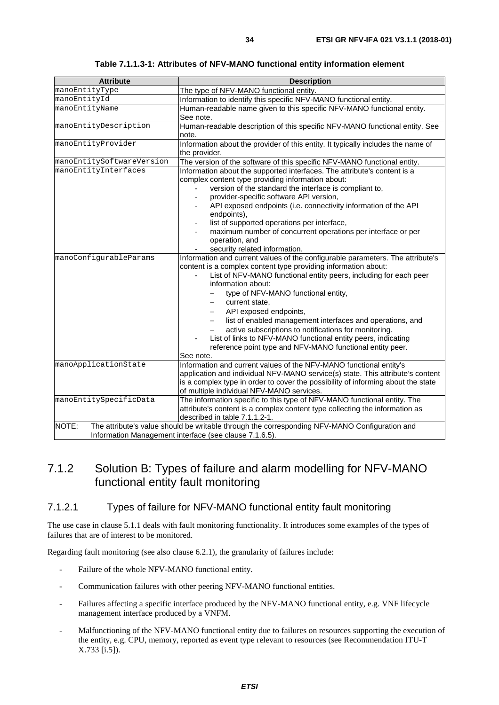<span id="page-33-0"></span>

| <b>Attribute</b>          | <b>Description</b>                                                                                                                                                                                                                                                                                                                                                                                                                                                                                                                                                                                   |  |  |
|---------------------------|------------------------------------------------------------------------------------------------------------------------------------------------------------------------------------------------------------------------------------------------------------------------------------------------------------------------------------------------------------------------------------------------------------------------------------------------------------------------------------------------------------------------------------------------------------------------------------------------------|--|--|
| manoEntityType            | The type of NFV-MANO functional entity.                                                                                                                                                                                                                                                                                                                                                                                                                                                                                                                                                              |  |  |
| manoEntityId              | Information to identify this specific NFV-MANO functional entity.                                                                                                                                                                                                                                                                                                                                                                                                                                                                                                                                    |  |  |
| manoEntityName            | Human-readable name given to this specific NFV-MANO functional entity.<br>See note.                                                                                                                                                                                                                                                                                                                                                                                                                                                                                                                  |  |  |
| manoEntityDescription     | Human-readable description of this specific NFV-MANO functional entity. See<br>note.                                                                                                                                                                                                                                                                                                                                                                                                                                                                                                                 |  |  |
| manoEntityProvider        | Information about the provider of this entity. It typically includes the name of<br>the provider.                                                                                                                                                                                                                                                                                                                                                                                                                                                                                                    |  |  |
| manoEntitySoftwareVersion | The version of the software of this specific NFV-MANO functional entity.                                                                                                                                                                                                                                                                                                                                                                                                                                                                                                                             |  |  |
| manoEntityInterfaces      | Information about the supported interfaces. The attribute's content is a<br>complex content type providing information about:<br>version of the standard the interface is compliant to,<br>provider-specific software API version,<br>API exposed endpoints (i.e. connectivity information of the API<br>endpoints),<br>list of supported operations per interface,<br>$\overline{\phantom{a}}$<br>maximum number of concurrent operations per interface or per<br>operation, and<br>security related information.                                                                                   |  |  |
| manoConfigurableParams    | Information and current values of the configurable parameters. The attribute's<br>content is a complex content type providing information about:<br>List of NFV-MANO functional entity peers, including for each peer<br>information about:<br>type of NFV-MANO functional entity,<br>current state,<br>API exposed endpoints,<br>list of enabled management interfaces and operations, and<br>-<br>active subscriptions to notifications for monitoring.<br>List of links to NFV-MANO functional entity peers, indicating<br>reference point type and NFV-MANO functional entity peer.<br>See note. |  |  |
| manoApplicationState      | Information and current values of the NFV-MANO functional entity's<br>application and individual NFV-MANO service(s) state. This attribute's content<br>is a complex type in order to cover the possibility of informing about the state<br>of multiple individual NFV-MANO services.                                                                                                                                                                                                                                                                                                                |  |  |
| manoEntitySpecificData    | The information specific to this type of NFV-MANO functional entity. The<br>attribute's content is a complex content type collecting the information as<br>described in table 7.1.1.2-1.                                                                                                                                                                                                                                                                                                                                                                                                             |  |  |
| NOTE:                     | The attribute's value should be writable through the corresponding NFV-MANO Configuration and<br>Information Management interface (see clause 7.1.6.5).                                                                                                                                                                                                                                                                                                                                                                                                                                              |  |  |

**Table 7.1.1.3-1: Attributes of NFV-MANO functional entity information element** 

## 7.1.2 Solution B: Types of failure and alarm modelling for NFV-MANO functional entity fault monitoring

#### 7.1.2.1 Types of failure for NFV-MANO functional entity fault monitoring

The use case in clause 5.1.1 deals with fault monitoring functionality. It introduces some examples of the types of failures that are of interest to be monitored.

Regarding fault monitoring (see also clause 6.2.1), the granularity of failures include:

- Failure of the whole NFV-MANO functional entity.
- Communication failures with other peering NFV-MANO functional entities.
- Failures affecting a specific interface produced by the NFV-MANO functional entity, e.g. VNF lifecycle management interface produced by a VNFM.
- Malfunctioning of the NFV-MANO functional entity due to failures on resources supporting the execution of the entity, e.g. CPU, memory, reported as event type relevant to resources (see Recommendation ITU-T X.733 [\[i.5](#page-6-0)]).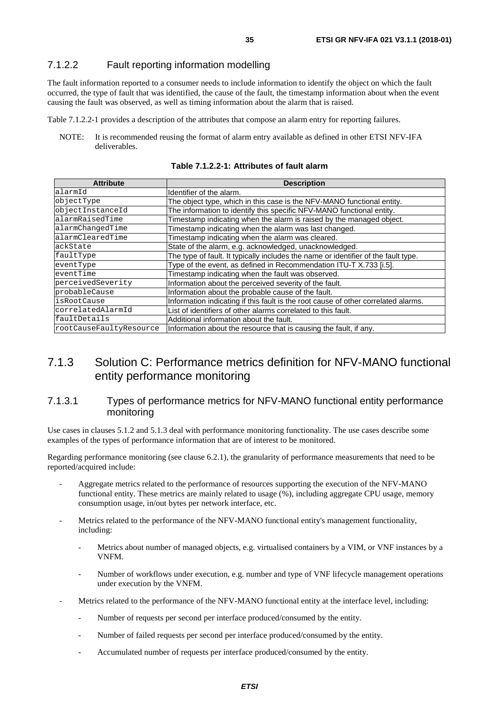#### <span id="page-34-0"></span>7.1.2.2 Fault reporting information modelling

The fault information reported to a consumer needs to include information to identify the object on which the fault occurred, the type of fault that was identified, the cause of the fault, the timestamp information about when the event causing the fault was observed, as well as timing information about the alarm that is raised.

Table 7.1.2.2-1 provides a description of the attributes that compose an alarm entry for reporting failures.

NOTE: It is recommended reusing the format of alarm entry available as defined in other ETSI NFV-IFA deliverables.

**Table 7.1.2.2-1: Attributes of fault alarm** 

| <b>Attribute</b>        | <b>Description</b>                                                                 |  |  |
|-------------------------|------------------------------------------------------------------------------------|--|--|
| alarmId                 | Identifier of the alarm.                                                           |  |  |
| objectType              | The object type, which in this case is the NFV-MANO functional entity.             |  |  |
| objectInstanceId        | The information to identify this specific NFV-MANO functional entity.              |  |  |
| alarmRaisedTime         | Timestamp indicating when the alarm is raised by the managed object.               |  |  |
| alarmChangedTime        | Timestamp indicating when the alarm was last changed.                              |  |  |
| alarmClearedTime        | Timestamp indicating when the alarm was cleared.                                   |  |  |
| ackState                | State of the alarm, e.g. acknowledged, unacknowledged.                             |  |  |
| faultType               | The type of fault. It typically includes the name or identifier of the fault type. |  |  |
| eventType               | Type of the event, as defined in Recommendation ITU-T X.733 [i.5].                 |  |  |
| eventTime               | Timestamp indicating when the fault was observed.                                  |  |  |
| perceivedSeverity       | Information about the perceived severity of the fault.                             |  |  |
| probableCause           | Information about the probable cause of the fault.                                 |  |  |
| isRootCause             | Information indicating if this fault is the root cause of other correlated alarms. |  |  |
| correlatedAlarmId       | List of identifiers of other alarms correlated to this fault.                      |  |  |
| faultDetails            | Additional information about the fault.                                            |  |  |
| rootCauseFaultyResource | Information about the resource that is causing the fault, if any.                  |  |  |

### 7.1.3 Solution C: Performance metrics definition for NFV-MANO functional entity performance monitoring

#### 7.1.3.1 Types of performance metrics for NFV-MANO functional entity performance monitoring

Use cases in clauses 5.1.2 and 5.1.3 deal with performance monitoring functionality. The use cases describe some examples of the types of performance information that are of interest to be monitored.

Regarding performance monitoring (see clause 6.2.1), the granularity of performance measurements that need to be reported/acquired include:

- Aggregate metrics related to the performance of resources supporting the execution of the NFV-MANO functional entity. These metrics are mainly related to usage (%), including aggregate CPU usage, memory consumption usage, in/out bytes per network interface, etc.
- Metrics related to the performance of the NFV-MANO functional entity's management functionality, including:
	- Metrics about number of managed objects, e.g. virtualised containers by a VIM, or VNF instances by a VNFM.
	- Number of workflows under execution, e.g. number and type of VNF lifecycle management operations under execution by the VNFM.
- Metrics related to the performance of the NFV-MANO functional entity at the interface level, including:
	- Number of requests per second per interface produced/consumed by the entity.
	- Number of failed requests per second per interface produced/consumed by the entity.
	- Accumulated number of requests per interface produced/consumed by the entity.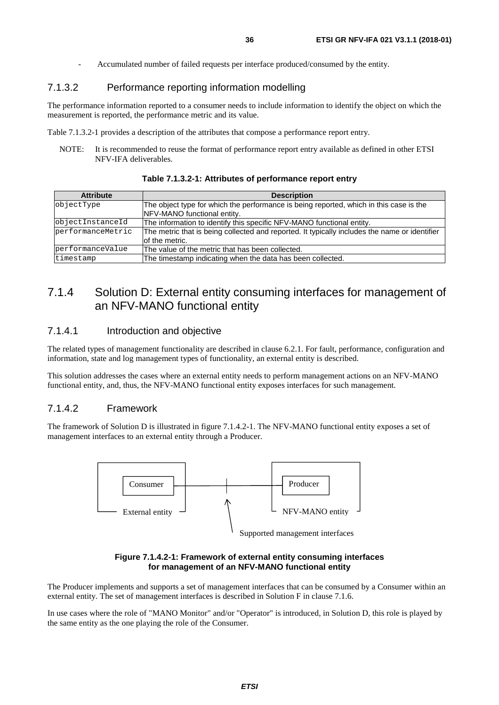- Accumulated number of failed requests per interface produced/consumed by the entity.

#### <span id="page-35-0"></span>7.1.3.2 Performance reporting information modelling

The performance information reported to a consumer needs to include information to identify the object on which the measurement is reported, the performance metric and its value.

Table 7.1.3.2-1 provides a description of the attributes that compose a performance report entry.

NOTE: It is recommended to reuse the format of performance report entry available as defined in other ETSI NFV-IFA deliverables.

| <b>Attribute</b>                                                                          | <b>Description</b>                                                                            |  |  |
|-------------------------------------------------------------------------------------------|-----------------------------------------------------------------------------------------------|--|--|
| objectType                                                                                | The object type for which the performance is being reported, which in this case is the        |  |  |
|                                                                                           | NFV-MANO functional entity.                                                                   |  |  |
| objectInstanceId<br>The information to identify this specific NFV-MANO functional entity. |                                                                                               |  |  |
| performanceMetric                                                                         | The metric that is being collected and reported. It typically includes the name or identifier |  |  |
|                                                                                           | of the metric.                                                                                |  |  |
| performanceValue                                                                          | The value of the metric that has been collected.                                              |  |  |
| timestamp                                                                                 | The timestamp indicating when the data has been collected.                                    |  |  |

#### **Table 7.1.3.2-1: Attributes of performance report entry**

### 7.1.4 Solution D: External entity consuming interfaces for management of an NFV-MANO functional entity

#### 7.1.4.1 Introduction and objective

The related types of management functionality are described in clause 6.2.1. For fault, performance, configuration and information, state and log management types of functionality, an external entity is described.

This solution addresses the cases where an external entity needs to perform management actions on an NFV-MANO functional entity, and, thus, the NFV-MANO functional entity exposes interfaces for such management.

#### 7.1.4.2 Framework

The framework of Solution D is illustrated in figure 7.1.4.2-1. The NFV-MANO functional entity exposes a set of management interfaces to an external entity through a Producer.



Supported management interfaces

#### **Figure 7.1.4.2-1: Framework of external entity consuming interfaces for management of an NFV-MANO functional entity**

The Producer implements and supports a set of management interfaces that can be consumed by a Consumer within an external entity. The set of management interfaces is described in Solution F in clause 7.1.6.

In use cases where the role of "MANO Monitor" and/or "Operator" is introduced, in Solution D, this role is played by the same entity as the one playing the role of the Consumer.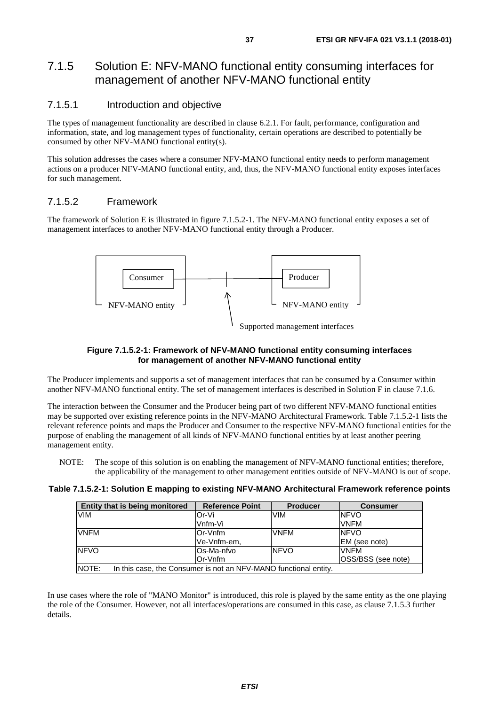### <span id="page-36-0"></span>7.1.5 Solution E: NFV-MANO functional entity consuming interfaces for management of another NFV-MANO functional entity

#### 7.1.5.1 Introduction and objective

The types of management functionality are described in clause 6.2.1. For fault, performance, configuration and information, state, and log management types of functionality, certain operations are described to potentially be consumed by other NFV-MANO functional entity(s).

This solution addresses the cases where a consumer NFV-MANO functional entity needs to perform management actions on a producer NFV-MANO functional entity, and, thus, the NFV-MANO functional entity exposes interfaces for such management.

#### 7.1.5.2 Framework

The framework of Solution E is illustrated in figure 7.1.5.2-1. The NFV-MANO functional entity exposes a set of management interfaces to another NFV-MANO functional entity through a Producer.



#### **Figure 7.1.5.2-1: Framework of NFV-MANO functional entity consuming interfaces for management of another NFV-MANO functional entity**

The Producer implements and supports a set of management interfaces that can be consumed by a Consumer within another NFV-MANO functional entity. The set of management interfaces is described in Solution F in clause 7.1.6.

The interaction between the Consumer and the Producer being part of two different NFV-MANO functional entities may be supported over existing reference points in the NFV-MANO Architectural Framework. Table 7.1.5.2-1 lists the relevant reference points and maps the Producer and Consumer to the respective NFV-MANO functional entities for the purpose of enabling the management of all kinds of NFV-MANO functional entities by at least another peering management entity.

NOTE: The scope of this solution is on enabling the management of NFV-MANO functional entities; therefore, the applicability of the management to other management entities outside of NFV-MANO is out of scope.

| Table 7.1.5.2-1: Solution E mapping to existing NFV-MANO Architectural Framework reference points |  |
|---------------------------------------------------------------------------------------------------|--|
|---------------------------------------------------------------------------------------------------|--|

| Entity that is being monitored | <b>Reference Point</b>                                           | <b>Producer</b> | <b>Consumer</b>    |
|--------------------------------|------------------------------------------------------------------|-----------------|--------------------|
| <b>VIM</b>                     | Or-Vi                                                            | <b>VIM</b>      | <b>NFVO</b>        |
|                                | Vnfm-Vi                                                          |                 | <b>VNFM</b>        |
| <b>VNFM</b>                    | Or-Vnfm                                                          | <b>VNFM</b>     | <b>INFVO</b>       |
|                                | Ve-Vnfm-em.                                                      |                 | EM (see note)      |
| <b>NFVO</b>                    | lOs-Ma-nfvo                                                      | <b>NFVO</b>     | <b>VNFM</b>        |
|                                | Or-Vnfm                                                          |                 | OSS/BSS (see note) |
| NOTE:                          | In this case, the Consumer is not an NFV-MANO functional entity. |                 |                    |

In use cases where the role of "MANO Monitor" is introduced, this role is played by the same entity as the one playing the role of the Consumer. However, not all interfaces/operations are consumed in this case, as clause 7.1.5.3 further details.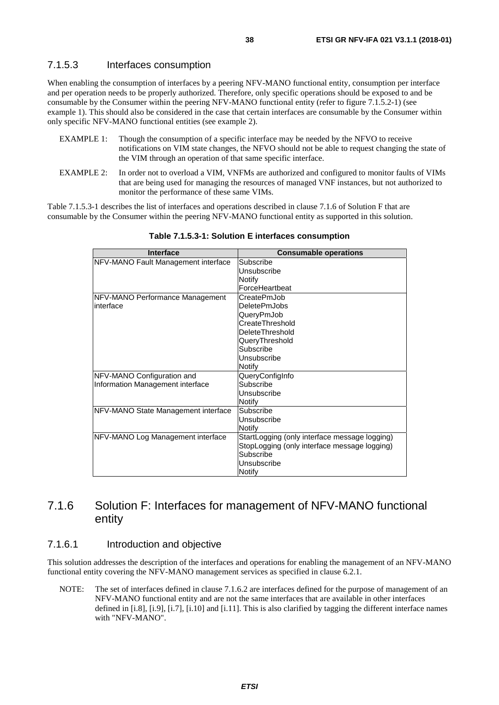#### <span id="page-37-0"></span>7.1.5.3 Interfaces consumption

When enabling the consumption of interfaces by a peering NFV-MANO functional entity, consumption per interface and per operation needs to be properly authorized. Therefore, only specific operations should be exposed to and be consumable by the Consumer within the peering NFV-MANO functional entity (refer to figure 7.1.5.2-1) (see example 1). This should also be considered in the case that certain interfaces are consumable by the Consumer within only specific NFV-MANO functional entities (see example 2).

- EXAMPLE 1: Though the consumption of a specific interface may be needed by the NFVO to receive notifications on VIM state changes, the NFVO should not be able to request changing the state of the VIM through an operation of that same specific interface.
- EXAMPLE 2: In order not to overload a VIM, VNFMs are authorized and configured to monitor faults of VIMs that are being used for managing the resources of managed VNF instances, but not authorized to monitor the performance of these same VIMs.

Table 7.1.5.3-1 describes the list of interfaces and operations described in clause 7.1.6 of Solution F that are consumable by the Consumer within the peering NFV-MANO functional entity as supported in this solution.

| <b>Interface</b>                    | <b>Consumable operations</b>                  |
|-------------------------------------|-----------------------------------------------|
| NFV-MANO Fault Management interface | Subscribe                                     |
|                                     | Unsubscribe                                   |
|                                     | Notify                                        |
|                                     | ForceHeartbeat                                |
| NFV-MANO Performance Management     | CreatePmJob                                   |
| interface                           | <b>DeletePmJobs</b>                           |
|                                     | QueryPmJob                                    |
|                                     | CreateThreshold                               |
|                                     | DeleteThreshold                               |
|                                     | QueryThreshold                                |
|                                     | Subscribe                                     |
|                                     | Unsubscribe                                   |
|                                     | Notify                                        |
| NFV-MANO Configuration and          | QueryConfigInfo                               |
| Information Management interface    | Subscribe                                     |
|                                     | Unsubscribe                                   |
|                                     | Notify                                        |
| NFV-MANO State Management interface | Subscribe                                     |
|                                     | Unsubscribe                                   |
|                                     | Notify                                        |
| NFV-MANO Log Management interface   | StartLogging (only interface message logging) |
|                                     | StopLogging (only interface message logging)  |
|                                     | Subscribe                                     |
|                                     | Unsubscribe                                   |
|                                     | Notify                                        |

**Table 7.1.5.3-1: Solution E interfaces consumption** 

### 7.1.6 Solution F: Interfaces for management of NFV-MANO functional entity

#### 7.1.6.1 Introduction and objective

This solution addresses the description of the interfaces and operations for enabling the management of an NFV-MANO functional entity covering the NFV-MANO management services as specified in clause 6.2.1.

NOTE: The set of interfaces defined in clause 7.1.6.2 are interfaces defined for the purpose of management of an NFV-MANO functional entity and are not the same interfaces that are available in other interfaces defined in [\[i.8\]](#page-6-0), [\[i.9\]](#page-6-0), [\[i.7\]](#page-6-0), [\[i.10\]](#page-7-0) and [\[i.11\]](#page-7-0). This is also clarified by tagging the different interface names with "NFV-MANO".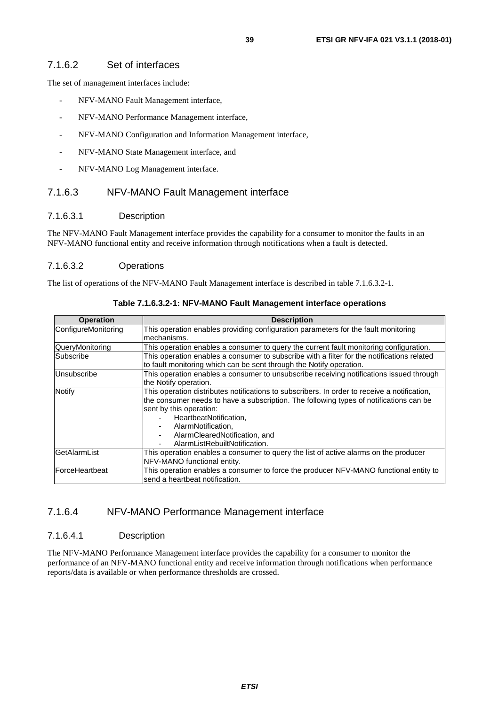#### <span id="page-38-0"></span>7.1.6.2 Set of interfaces

The set of management interfaces include:

- NFV-MANO Fault Management interface,
- NFV-MANO Performance Management interface,
- NFV-MANO Configuration and Information Management interface,
- NFV-MANO State Management interface, and
- NFV-MANO Log Management interface.

#### 7.1.6.3 NFV-MANO Fault Management interface

#### 7.1.6.3.1 Description

The NFV-MANO Fault Management interface provides the capability for a consumer to monitor the faults in an NFV-MANO functional entity and receive information through notifications when a fault is detected.

#### 7.1.6.3.2 Operations

The list of operations of the NFV-MANO Fault Management interface is described in table 7.1.6.3.2-1.

| <b>Operation</b>    | <b>Description</b>                                                                                                                                                                                                                                                                                                                  |  |  |
|---------------------|-------------------------------------------------------------------------------------------------------------------------------------------------------------------------------------------------------------------------------------------------------------------------------------------------------------------------------------|--|--|
| ConfigureMonitoring | This operation enables providing configuration parameters for the fault monitoring<br>mechanisms.                                                                                                                                                                                                                                   |  |  |
| QueryMonitoring     | This operation enables a consumer to query the current fault monitoring configuration.                                                                                                                                                                                                                                              |  |  |
| Subscribe           | This operation enables a consumer to subscribe with a filter for the notifications related<br>to fault monitoring which can be sent through the Notify operation.                                                                                                                                                                   |  |  |
| Unsubscribe         | This operation enables a consumer to unsubscribe receiving notifications issued through<br>the Notify operation.                                                                                                                                                                                                                    |  |  |
| <b>Notify</b>       | This operation distributes notifications to subscribers. In order to receive a notification,<br>the consumer needs to have a subscription. The following types of notifications can be<br>sent by this operation:<br>HeartbeatNotification,<br>AlarmNotification,<br>AlarmClearedNotification, and<br>AlarmListRebuiltNotification. |  |  |
| GetAlarmList        | This operation enables a consumer to query the list of active alarms on the producer<br>NFV-MANO functional entity.                                                                                                                                                                                                                 |  |  |
| ForceHeartbeat      | This operation enables a consumer to force the producer NFV-MANO functional entity to<br>send a heartbeat notification.                                                                                                                                                                                                             |  |  |

**Table 7.1.6.3.2-1: NFV-MANO Fault Management interface operations** 

#### 7.1.6.4 NFV-MANO Performance Management interface

#### 7.1.6.4.1 Description

The NFV-MANO Performance Management interface provides the capability for a consumer to monitor the performance of an NFV-MANO functional entity and receive information through notifications when performance reports/data is available or when performance thresholds are crossed.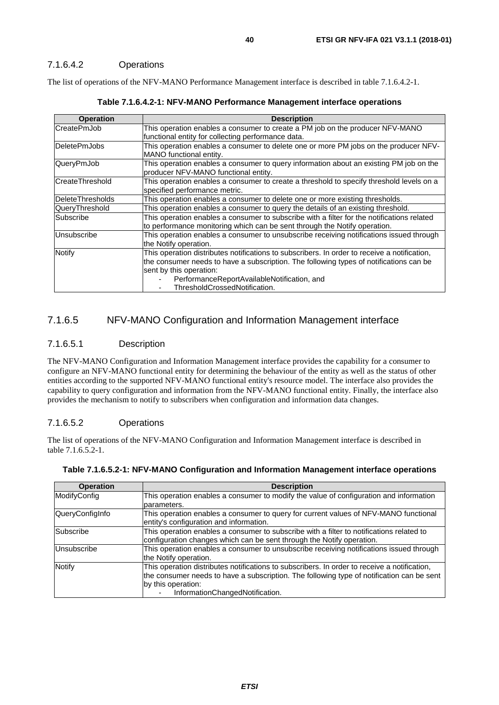#### <span id="page-39-0"></span>7.1.6.4.2 Operations

The list of operations of the NFV-MANO Performance Management interface is described in table 7.1.6.4.2-1.

| <b>Operation</b>                                                                                        | <b>Description</b>                                                                           |  |  |
|---------------------------------------------------------------------------------------------------------|----------------------------------------------------------------------------------------------|--|--|
| lCreatePmJob                                                                                            | This operation enables a consumer to create a PM job on the producer NFV-MANO                |  |  |
|                                                                                                         | functional entity for collecting performance data.                                           |  |  |
| <b>DeletePmJobs</b>                                                                                     | This operation enables a consumer to delete one or more PM jobs on the producer NFV-         |  |  |
|                                                                                                         | MANO functional entity.                                                                      |  |  |
| QueryPmJob                                                                                              | This operation enables a consumer to query information about an existing PM job on the       |  |  |
|                                                                                                         | producer NFV-MANO functional entity.                                                         |  |  |
| lCreateThreshold                                                                                        | This operation enables a consumer to create a threshold to specify threshold levels on a     |  |  |
|                                                                                                         | specified performance metric.                                                                |  |  |
| <b>DeleteThresholds</b>                                                                                 | This operation enables a consumer to delete one or more existing thresholds.                 |  |  |
| QueryThreshold                                                                                          | This operation enables a consumer to query the details of an existing threshold.             |  |  |
| This operation enables a consumer to subscribe with a filter for the notifications related<br>Subscribe |                                                                                              |  |  |
|                                                                                                         | to performance monitoring which can be sent through the Notify operation.                    |  |  |
| Unsubscribe                                                                                             | This operation enables a consumer to unsubscribe receiving notifications issued through      |  |  |
|                                                                                                         | the Notify operation.                                                                        |  |  |
| <b>Notify</b>                                                                                           | This operation distributes notifications to subscribers. In order to receive a notification, |  |  |
|                                                                                                         | the consumer needs to have a subscription. The following types of notifications can be       |  |  |
|                                                                                                         | sent by this operation:                                                                      |  |  |
|                                                                                                         | PerformanceReportAvailableNotification, and                                                  |  |  |
|                                                                                                         | ThresholdCrossedNotification.                                                                |  |  |

#### 7.1.6.5 NFV-MANO Configuration and Information Management interface

#### 7.1.6.5.1 Description

The NFV-MANO Configuration and Information Management interface provides the capability for a consumer to configure an NFV-MANO functional entity for determining the behaviour of the entity as well as the status of other entities according to the supported NFV-MANO functional entity's resource model. The interface also provides the capability to query configuration and information from the NFV-MANO functional entity. Finally, the interface also provides the mechanism to notify to subscribers when configuration and information data changes.

#### 7.1.6.5.2 Operations

The list of operations of the NFV-MANO Configuration and Information Management interface is described in table 7.1.6.5.2-1.

| <b>Operation</b> | <b>Description</b>                                                                                                                                                                                                                                 |  |  |
|------------------|----------------------------------------------------------------------------------------------------------------------------------------------------------------------------------------------------------------------------------------------------|--|--|
| ModifyConfig     | This operation enables a consumer to modify the value of configuration and information                                                                                                                                                             |  |  |
|                  | parameters.                                                                                                                                                                                                                                        |  |  |
| QueryConfigInfo  | This operation enables a consumer to query for current values of NFV-MANO functional<br>entity's configuration and information.                                                                                                                    |  |  |
| <b>Subscribe</b> | This operation enables a consumer to subscribe with a filter to notifications related to<br>configuration changes which can be sent through the Notify operation.                                                                                  |  |  |
| Unsubscribe      | This operation enables a consumer to unsubscribe receiving notifications issued through<br>the Notify operation.                                                                                                                                   |  |  |
| <b>Notify</b>    | This operation distributes notifications to subscribers. In order to receive a notification,<br>the consumer needs to have a subscription. The following type of notification can be sent<br>by this operation:<br>InformationChangedNotification. |  |  |

| Table 7.1.6.5.2-1: NFV-MANO Configuration and Information Management interface operations |  |  |
|-------------------------------------------------------------------------------------------|--|--|
|                                                                                           |  |  |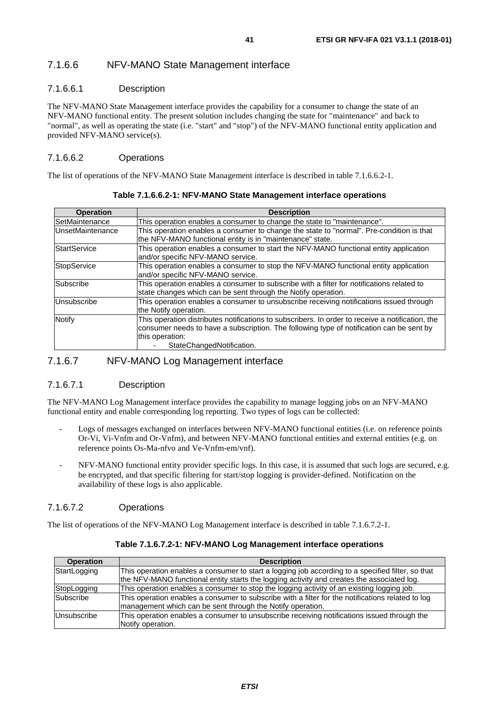#### <span id="page-40-0"></span>7.1.6.6 NFV-MANO State Management interface

#### 7.1.6.6.1 Description

The NFV-MANO State Management interface provides the capability for a consumer to change the state of an NFV-MANO functional entity. The present solution includes changing the state for "maintenance" and back to "normal", as well as operating the state (i.e. "start" and "stop") of the NFV-MANO functional entity application and provided NFV-MANO service(s).

#### 7.1.6.6.2 Operations

The list of operations of the NFV-MANO State Management interface is described in table 7.1.6.6.2-1.

| <b>Operation</b>    | <b>Description</b>                                                                               |  |  |
|---------------------|--------------------------------------------------------------------------------------------------|--|--|
| SetMaintenance      | This operation enables a consumer to change the state to "maintenance".                          |  |  |
| UnsetMaintenance    | This operation enables a consumer to change the state to "normal". Pre-condition is that         |  |  |
|                     | the NFV-MANO functional entity is in "maintenance" state.                                        |  |  |
| <b>StartService</b> | This operation enables a consumer to start the NFV-MANO functional entity application            |  |  |
|                     | and/or specific NFV-MANO service.                                                                |  |  |
| StopService         | This operation enables a consumer to stop the NFV-MANO functional entity application             |  |  |
|                     | and/or specific NFV-MANO service.                                                                |  |  |
| Subscribe           | This operation enables a consumer to subscribe with a filter for notifications related to        |  |  |
|                     | state changes which can be sent through the Notify operation.                                    |  |  |
| Unsubscribe         | This operation enables a consumer to unsubscribe receiving notifications issued through          |  |  |
|                     | the Notify operation.                                                                            |  |  |
| Notify              | This operation distributes notifications to subscribers. In order to receive a notification, the |  |  |
|                     | consumer needs to have a subscription. The following type of notification can be sent by         |  |  |
|                     | this operation:                                                                                  |  |  |
|                     | StateChangedNotification.                                                                        |  |  |

#### 7.1.6.7 NFV-MANO Log Management interface

#### 7.1.6.7.1 Description

The NFV-MANO Log Management interface provides the capability to manage logging jobs on an NFV-MANO functional entity and enable corresponding log reporting. Two types of logs can be collected:

- Logs of messages exchanged on interfaces between NFV-MANO functional entities (i.e. on reference points Or-Vi, Vi-Vnfm and Or-Vnfm), and between NFV-MANO functional entities and external entities (e.g. on reference points Os-Ma-nfvo and Ve-Vnfm-em/vnf).
- NFV-MANO functional entity provider specific logs. In this case, it is assumed that such logs are secured, e.g. be encrypted, and that specific filtering for start/stop logging is provider-defined. Notification on the availability of these logs is also applicable.

#### 7.1.6.7.2 Operations

The list of operations of the NFV-MANO Log Management interface is described in table 7.1.6.7.2-1.

| <b>Operation</b> | <b>Description</b>                                                                                                                                                                              |
|------------------|-------------------------------------------------------------------------------------------------------------------------------------------------------------------------------------------------|
| StartLogging     | This operation enables a consumer to start a logging job according to a specified filter, so that<br>the NFV-MANO functional entity starts the logging activity and creates the associated log. |
| StopLogging      | This operation enables a consumer to stop the logging activity of an existing logging job.                                                                                                      |
| <b>Subscribe</b> | This operation enables a consumer to subscribe with a filter for the notifications related to log<br>management which can be sent through the Notify operation.                                 |
| lUnsubscribe     | This operation enables a consumer to unsubscribe receiving notifications issued through the<br>Notify operation.                                                                                |

#### **Table 7.1.6.7.2-1: NFV-MANO Log Management interface operations**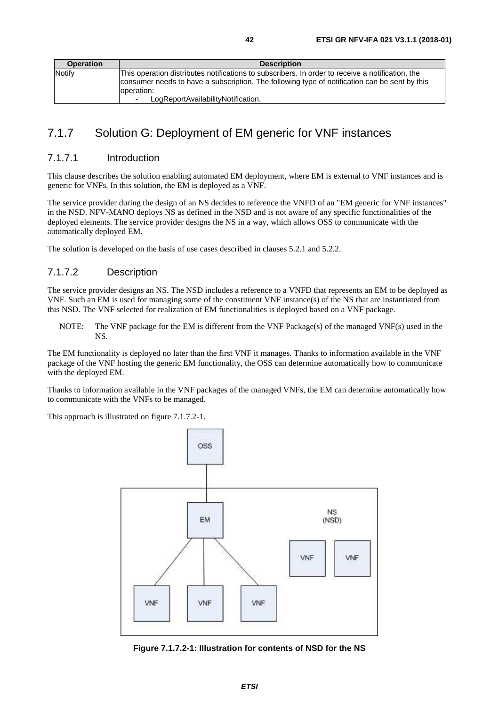<span id="page-41-0"></span>

| <b>Operation</b> | <b>Description</b>                                                                               |  |
|------------------|--------------------------------------------------------------------------------------------------|--|
| Notify           | This operation distributes notifications to subscribers. In order to receive a notification, the |  |
|                  | consumer needs to have a subscription. The following type of notification can be sent by this    |  |
|                  | loperation:                                                                                      |  |
|                  | LogReportAvailabilityNotification.                                                               |  |

## 7.1.7 Solution G: Deployment of EM generic for VNF instances

#### 7.1.7.1 Introduction

This clause describes the solution enabling automated EM deployment, where EM is external to VNF instances and is generic for VNFs. In this solution, the EM is deployed as a VNF.

The service provider during the design of an NS decides to reference the VNFD of an "EM generic for VNF instances" in the NSD. NFV-MANO deploys NS as defined in the NSD and is not aware of any specific functionalities of the deployed elements. The service provider designs the NS in a way, which allows OSS to communicate with the automatically deployed EM.

The solution is developed on the basis of use cases described in clauses 5.2.1 and 5.2.2.

#### 7.1.7.2 Description

The service provider designs an NS. The NSD includes a reference to a VNFD that represents an EM to be deployed as VNF. Such an EM is used for managing some of the constituent VNF instance(s) of the NS that are instantiated from this NSD. The VNF selected for realization of EM functionalities is deployed based on a VNF package.

NOTE: The VNF package for the EM is different from the VNF Package(s) of the managed VNF(s) used in the NS.

The EM functionality is deployed no later than the first VNF it manages. Thanks to information available in the VNF package of the VNF hosting the generic EM functionality, the OSS can determine automatically how to communicate with the deployed EM.

Thanks to information available in the VNF packages of the managed VNFs, the EM can determine automatically how to communicate with the VNFs to be managed.

This approach is illustrated on figure 7.1.7.2-1.



**Figure 7.1.7.2-1: Illustration for contents of NSD for the NS**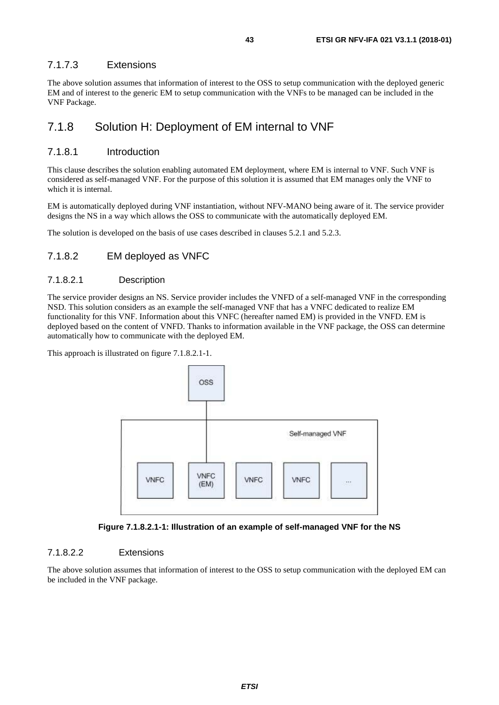#### <span id="page-42-0"></span>7.1.7.3 Extensions

The above solution assumes that information of interest to the OSS to setup communication with the deployed generic EM and of interest to the generic EM to setup communication with the VNFs to be managed can be included in the VNF Package.

### 7.1.8 Solution H: Deployment of EM internal to VNF

#### 7.1.8.1 Introduction

This clause describes the solution enabling automated EM deployment, where EM is internal to VNF. Such VNF is considered as self-managed VNF. For the purpose of this solution it is assumed that EM manages only the VNF to which it is internal.

EM is automatically deployed during VNF instantiation, without NFV-MANO being aware of it. The service provider designs the NS in a way which allows the OSS to communicate with the automatically deployed EM.

The solution is developed on the basis of use cases described in clauses 5.2.1 and 5.2.3.

#### 7.1.8.2 EM deployed as VNFC

#### 7.1.8.2.1 Description

The service provider designs an NS. Service provider includes the VNFD of a self-managed VNF in the corresponding NSD. This solution considers as an example the self-managed VNF that has a VNFC dedicated to realize EM functionality for this VNF. Information about this VNFC (hereafter named EM) is provided in the VNFD. EM is deployed based on the content of VNFD. Thanks to information available in the VNF package, the OSS can determine automatically how to communicate with the deployed EM.

This approach is illustrated on figure 7.1.8.2.1-1.





#### 7.1.8.2.2 Extensions

The above solution assumes that information of interest to the OSS to setup communication with the deployed EM can be included in the VNF package.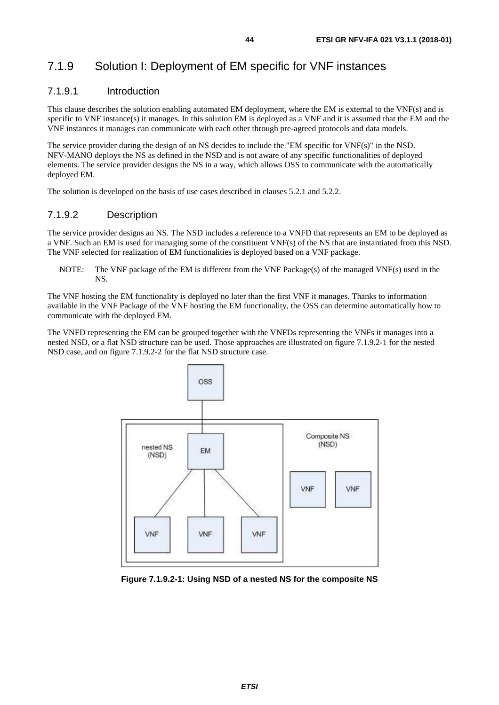## <span id="page-43-0"></span>7.1.9 Solution I: Deployment of EM specific for VNF instances

#### 7.1.9.1 Introduction

This clause describes the solution enabling automated EM deployment, where the EM is external to the VNF(s) and is specific to VNF instance(s) it manages. In this solution EM is deployed as a VNF and it is assumed that the EM and the VNF instances it manages can communicate with each other through pre-agreed protocols and data models.

The service provider during the design of an NS decides to include the "EM specific for VNF(s)" in the NSD. NFV-MANO deploys the NS as defined in the NSD and is not aware of any specific functionalities of deployed elements. The service provider designs the NS in a way, which allows OSS to communicate with the automatically deployed EM.

The solution is developed on the basis of use cases described in clauses 5.2.1 and 5.2.2.

#### 7.1.9.2 Description

The service provider designs an NS. The NSD includes a reference to a VNFD that represents an EM to be deployed as a VNF. Such an EM is used for managing some of the constituent VNF(s) of the NS that are instantiated from this NSD. The VNF selected for realization of EM functionalities is deployed based on a VNF package.

NOTE: The VNF package of the EM is different from the VNF Package(s) of the managed VNF(s) used in the NS.

The VNF hosting the EM functionality is deployed no later than the first VNF it manages. Thanks to information available in the VNF Package of the VNF hosting the EM functionality, the OSS can determine automatically how to communicate with the deployed EM.

The VNFD representing the EM can be grouped together with the VNFDs representing the VNFs it manages into a nested NSD, or a flat NSD structure can be used. Those approaches are illustrated on figure 7.1.9.2-1 for the nested NSD case, and on figure 7.1.9.2-2 for the flat NSD structure case.



**Figure 7.1.9.2-1: Using NSD of a nested NS for the composite NS**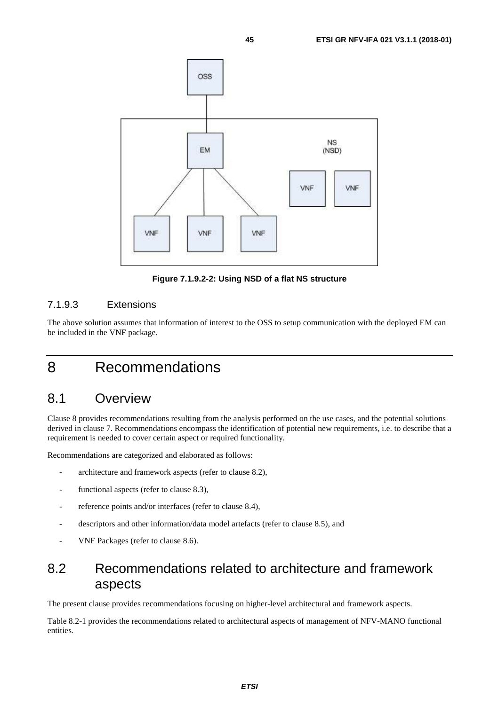<span id="page-44-0"></span>

**Figure 7.1.9.2-2: Using NSD of a flat NS structure** 

#### 7.1.9.3 Extensions

The above solution assumes that information of interest to the OSS to setup communication with the deployed EM can be included in the VNF package.

## 8 Recommendations

## 8.1 Overview

Clause 8 provides recommendations resulting from the analysis performed on the use cases, and the potential solutions derived in clause 7. Recommendations encompass the identification of potential new requirements, i.e. to describe that a requirement is needed to cover certain aspect or required functionality.

Recommendations are categorized and elaborated as follows:

- architecture and framework aspects (refer to clause 8.2),
- functional aspects (refer to clause 8.3),
- reference points and/or interfaces (refer to clause 8.4),
- descriptors and other information/data model artefacts (refer to clause 8.5), and
- VNF Packages (refer to clause 8.6).

## 8.2 Recommendations related to architecture and framework aspects

The present clause provides recommendations focusing on higher-level architectural and framework aspects.

Table 8.2-1 provides the recommendations related to architectural aspects of management of NFV-MANO functional entities.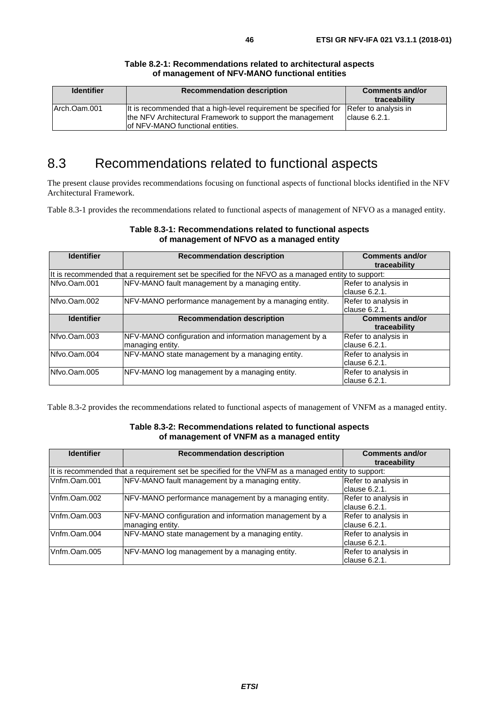<span id="page-45-0"></span>

| <b>Identifier</b> | <b>Recommendation description</b>                                                                                                                                  | <b>Comments and/or</b><br>traceability |
|-------------------|--------------------------------------------------------------------------------------------------------------------------------------------------------------------|----------------------------------------|
| Arch.Oam.001      | It is recommended that a high-level requirement be specified for<br>the NFV Architectural Framework to support the management<br>lof NFV-MANO functional entities. | Refer to analysis in<br>Iclause 6.2.1. |

#### **Table 8.2-1: Recommendations related to architectural aspects of management of NFV-MANO functional entities**

## 8.3 Recommendations related to functional aspects

The present clause provides recommendations focusing on functional aspects of functional blocks identified in the NFV Architectural Framework.

Table 8.3-1 provides the recommendations related to functional aspects of management of NFVO as a managed entity.

| <b>Identifier</b> | <b>Recommendation description</b>                                                                  | <b>Comments and/or</b><br>traceability |  |  |
|-------------------|----------------------------------------------------------------------------------------------------|----------------------------------------|--|--|
|                   | It is recommended that a requirement set be specified for the NFVO as a managed entity to support: |                                        |  |  |
| Nfvo.Oam.001      | NFV-MANO fault management by a managing entity.                                                    | Refer to analysis in                   |  |  |
|                   |                                                                                                    | clause 6.2.1.                          |  |  |
| Nfvo.Oam.002      | NFV-MANO performance management by a managing entity.                                              | Refer to analysis in                   |  |  |
|                   |                                                                                                    | clause 6.2.1.                          |  |  |
| <b>Identifier</b> | <b>Recommendation description</b>                                                                  | <b>Comments and/or</b>                 |  |  |
|                   |                                                                                                    | traceability                           |  |  |
| Nfvo.Oam.003      | NFV-MANO configuration and information management by a                                             | Refer to analysis in                   |  |  |
|                   | managing entity.                                                                                   | clause 6.2.1.                          |  |  |
| Nfvo.Oam.004      | NFV-MANO state management by a managing entity.                                                    | Refer to analysis in                   |  |  |
|                   |                                                                                                    | clause 6.2.1.                          |  |  |
| Nfvo.Oam.005      | NFV-MANO log management by a managing entity.                                                      | Refer to analysis in                   |  |  |
|                   |                                                                                                    | clause 6.2.1.                          |  |  |

#### **Table 8.3-1: Recommendations related to functional aspects of management of NFVO as a managed entity**

Table 8.3-2 provides the recommendations related to functional aspects of management of VNFM as a managed entity.

#### **Table 8.3-2: Recommendations related to functional aspects of management of VNFM as a managed entity**

| <b>Identifier</b> | <b>Recommendation description</b>                                                                  | <b>Comments and/or</b><br>traceability |
|-------------------|----------------------------------------------------------------------------------------------------|----------------------------------------|
|                   | It is recommended that a requirement set be specified for the VNFM as a managed entity to support: |                                        |
| Vnfm.Oam.001      | NFV-MANO fault management by a managing entity.                                                    | Refer to analysis in<br>clause 6.2.1.  |
| Vnfm.Oam.002      | NFV-MANO performance management by a managing entity.                                              | Refer to analysis in<br>clause 6.2.1.  |
| Vnfm.Oam.003      | NFV-MANO configuration and information management by a<br>managing entity.                         | Refer to analysis in<br>clause 6.2.1.  |
| Vnfm.Oam.004      | NFV-MANO state management by a managing entity.                                                    | Refer to analysis in<br>clause 6.2.1.  |
| Vnfm.Oam.005      | NFV-MANO log management by a managing entity.                                                      | Refer to analysis in<br>lclause 6.2.1. |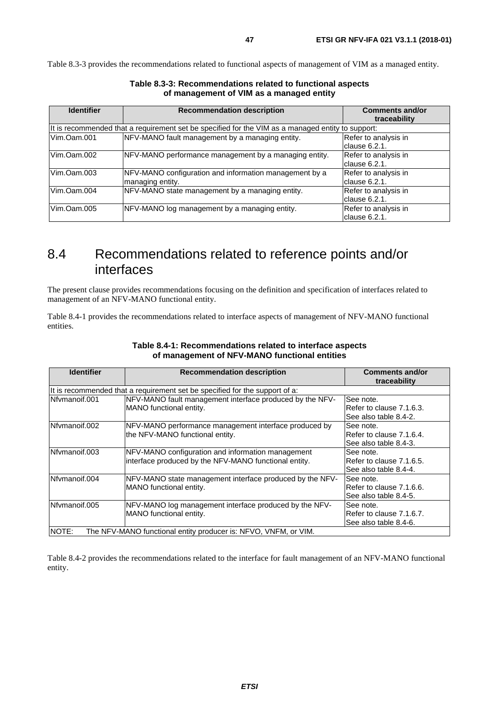<span id="page-46-0"></span>Table 8.3-3 provides the recommendations related to functional aspects of management of VIM as a managed entity.

| <b>Identifier</b> | <b>Recommendation description</b>                                                                 | <b>Comments and/or</b><br>traceability |
|-------------------|---------------------------------------------------------------------------------------------------|----------------------------------------|
|                   | It is recommended that a requirement set be specified for the VIM as a managed entity to support: |                                        |
| Vim.Oam.001       | NFV-MANO fault management by a managing entity.                                                   | Refer to analysis in<br>Iclause 6.2.1. |
| Vim.Oam.002       | NFV-MANO performance management by a managing entity.                                             | Refer to analysis in<br>clause 6.2.1.  |
| Vim.Oam.003       | NFV-MANO configuration and information management by a<br>managing entity.                        | Refer to analysis in<br>lclause 6.2.1. |
| Vim.Oam.004       | NFV-MANO state management by a managing entity.                                                   | Refer to analysis in<br>clause 6.2.1.  |
| Vim.Oam.005       | NFV-MANO log management by a managing entity.                                                     | Refer to analysis in<br>lclause 6.2.1. |

**Table 8.3-3: Recommendations related to functional aspects of management of VIM as a managed entity** 

## 8.4 Recommendations related to reference points and/or interfaces

The present clause provides recommendations focusing on the definition and specification of interfaces related to management of an NFV-MANO functional entity.

Table 8.4-1 provides the recommendations related to interface aspects of management of NFV-MANO functional entities.

| <b>Identifier</b> | <b>Recommendation description</b>                                                                          | <b>Comments and/or</b><br>traceability                           |
|-------------------|------------------------------------------------------------------------------------------------------------|------------------------------------------------------------------|
|                   | It is recommended that a requirement set be specified for the support of a:                                |                                                                  |
| Nfvmanoif.001     | NFV-MANO fault management interface produced by the NFV-<br>MANO functional entity.                        | lSee note.<br>IRefer to clause 7.1.6.3.<br>See also table 8.4-2. |
| Nfvmanoif.002     | NFV-MANO performance management interface produced by<br>the NFV-MANO functional entity.                   | lSee note.<br>IRefer to clause 7.1.6.4.<br>See also table 8.4-3. |
| Nfymanoif.003     | NFV-MANO configuration and information management<br>interface produced by the NFV-MANO functional entity. | lSee note.<br>IRefer to clause 7.1.6.5.<br>See also table 8.4-4. |
| Nfvmanoif.004     | NFV-MANO state management interface produced by the NFV-<br>MANO functional entity.                        | See note.<br>IRefer to clause 7.1.6.6.<br>See also table 8.4-5.  |
| Nfvmanoif.005     | NFV-MANO log management interface produced by the NFV-<br>MANO functional entity.                          | lSee note.<br>Refer to clause 7.1.6.7.<br>See also table 8.4-6.  |
| NOTE:             | The NFV-MANO functional entity producer is: NFVO, VNFM, or VIM.                                            |                                                                  |

#### **Table 8.4-1: Recommendations related to interface aspects of management of NFV-MANO functional entities**

Table 8.4-2 provides the recommendations related to the interface for fault management of an NFV-MANO functional entity.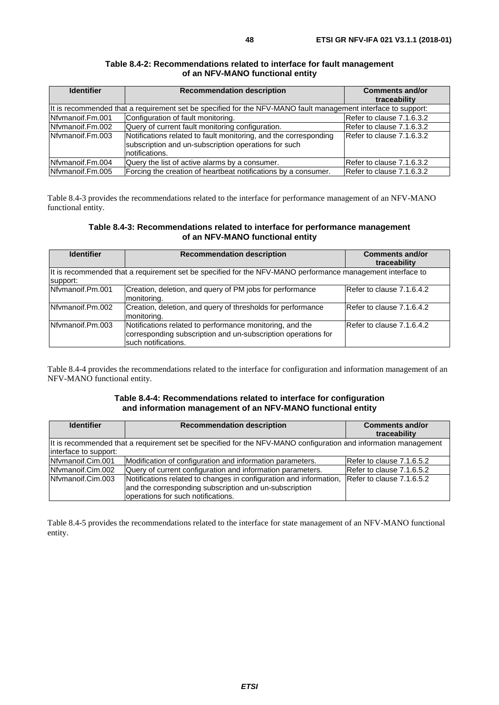| <b>Identifier</b> | <b>Recommendation description</b>                                                                                                           | <b>Comments and/or</b><br>traceability |
|-------------------|---------------------------------------------------------------------------------------------------------------------------------------------|----------------------------------------|
|                   | It is recommended that a requirement set be specified for the NFV-MANO fault management interface to support:                               |                                        |
| INfymanoif.Fm.001 | Configuration of fault monitoring.                                                                                                          | Refer to clause 7.1.6.3.2              |
| Nfymanoif.Fm.002  | Query of current fault monitoring configuration.                                                                                            | Refer to clause 7.1.6.3.2              |
| Nfymanoif.Fm.003  | Notifications related to fault monitoring, and the corresponding<br>subscription and un-subscription operations for such<br>Inotifications. | Refer to clause 7.1.6.3.2              |
| Nfymanoif.Fm.004  | Query the list of active alarms by a consumer.                                                                                              | Refer to clause 7.1.6.3.2              |
| Nfymanoif.Fm.005  | Forcing the creation of heartbeat notifications by a consumer.                                                                              | Refer to clause 7.1.6.3.2              |

#### **Table 8.4-2: Recommendations related to interface for fault management of an NFV-MANO functional entity**

Table 8.4-3 provides the recommendations related to the interface for performance management of an NFV-MANO functional entity.

#### **Table 8.4-3: Recommendations related to interface for performance management of an NFV-MANO functional entity**

| <b>Identifier</b> | <b>Recommendation description</b>                                                                                                                 | <b>Comments and/or</b><br>traceability |
|-------------------|---------------------------------------------------------------------------------------------------------------------------------------------------|----------------------------------------|
| support:          | It is recommended that a requirement set be specified for the NFV-MANO performance management interface to                                        |                                        |
| Nfymanoif.Pm.001  | Creation, deletion, and query of PM jobs for performance<br>monitoring.                                                                           | Refer to clause 7.1.6.4.2              |
| Nfymanoif.Pm.002  | Creation, deletion, and query of thresholds for performance<br>monitoring.                                                                        | Refer to clause 7.1.6.4.2              |
| Nfymanoif.Pm.003  | Notifications related to performance monitoring, and the<br>corresponding subscription and un-subscription operations for<br>Isuch notifications. | Refer to clause 7.1.6.4.2              |

Table 8.4-4 provides the recommendations related to the interface for configuration and information management of an NFV-MANO functional entity.

#### **Table 8.4-4: Recommendations related to interface for configuration and information management of an NFV-MANO functional entity**

| <b>Identifier</b>     | <b>Recommendation description</b>                                                                                                                                                            | <b>Comments and/or</b><br>traceability |  |
|-----------------------|----------------------------------------------------------------------------------------------------------------------------------------------------------------------------------------------|----------------------------------------|--|
| interface to support: | It is recommended that a requirement set be specified for the NFV-MANO configuration and information management                                                                              |                                        |  |
| Nfymanoif.Cim.001     | Modification of configuration and information parameters.                                                                                                                                    | Refer to clause 7.1.6.5.2              |  |
| Nfymanoif.Cim.002     | Query of current configuration and information parameters.                                                                                                                                   | Refer to clause 7.1.6.5.2              |  |
| Nfymanoif.Cim.003     | Notifications related to changes in configuration and information, Refer to clause 7.1.6.5.2<br>and the corresponding subscription and un-subscription<br>operations for such notifications. |                                        |  |

Table 8.4-5 provides the recommendations related to the interface for state management of an NFV-MANO functional entity.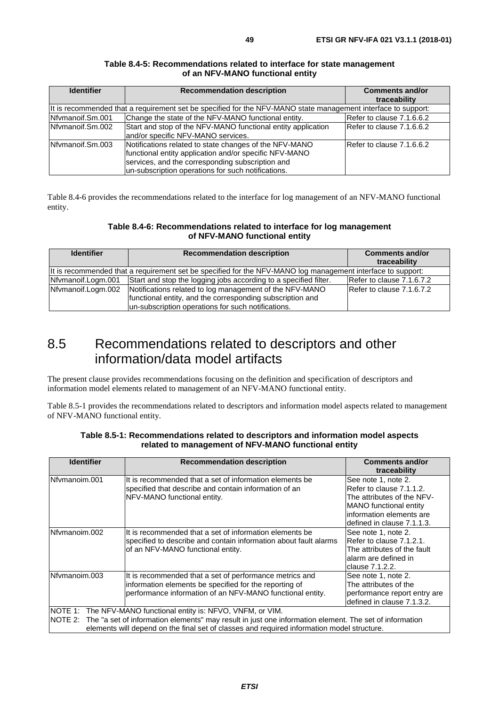<span id="page-48-0"></span>

| <b>Identifier</b> | <b>Recommendation description</b>                                                                                                                                                                                          | <b>Comments and/or</b><br>traceability |
|-------------------|----------------------------------------------------------------------------------------------------------------------------------------------------------------------------------------------------------------------------|----------------------------------------|
|                   | It is recommended that a requirement set be specified for the NFV-MANO state management interface to support:                                                                                                              |                                        |
| Nfvmanoif.Sm.001  | Change the state of the NFV-MANO functional entity.                                                                                                                                                                        | Refer to clause 7.1.6.6.2              |
| Nfvmanoif.Sm.002  | Start and stop of the NFV-MANO functional entity application<br>and/or specific NFV-MANO services.                                                                                                                         | Refer to clause 7.1.6.6.2              |
| Nfymanoif.Sm.003  | Notifications related to state changes of the NFV-MANO<br>functional entity application and/or specific NFV-MANO<br>services, and the corresponding subscription and<br>un-subscription operations for such notifications. | Refer to clause 7.1.6.6.2              |

#### **Table 8.4-5: Recommendations related to interface for state management of an NFV-MANO functional entity**

Table 8.4-6 provides the recommendations related to the interface for log management of an NFV-MANO functional entity.

#### **Table 8.4-6: Recommendations related to interface for log management of NFV-MANO functional entity**

| <b>Identifier</b>  | <b>Recommendation description</b>                                                                           | <b>Comments and/or</b><br>traceability |
|--------------------|-------------------------------------------------------------------------------------------------------------|----------------------------------------|
|                    | It is recommended that a requirement set be specified for the NFV-MANO log management interface to support: |                                        |
| Nfymanoif.Logm.001 | Start and stop the logging jobs according to a specified filter.                                            | Refer to clause 7.1.6.7.2              |
| Nfvmanoif.Logm.002 | Notifications related to log management of the NFV-MANO                                                     | Refer to clause 7.1.6.7.2              |
|                    | functional entity, and the corresponding subscription and                                                   |                                        |
|                    | un-subscription operations for such notifications.                                                          |                                        |

## 8.5 Recommendations related to descriptors and other information/data model artifacts

The present clause provides recommendations focusing on the definition and specification of descriptors and information model elements related to management of an NFV-MANO functional entity.

Table 8.5-1 provides the recommendations related to descriptors and information model aspects related to management of NFV-MANO functional entity.

| <b>Identifier</b>                                                                                                                                                                                                                                                              | <b>Recommendation description</b>                                                                                                                                              | <b>Comments and/or</b><br>traceability                                                                                     |
|--------------------------------------------------------------------------------------------------------------------------------------------------------------------------------------------------------------------------------------------------------------------------------|--------------------------------------------------------------------------------------------------------------------------------------------------------------------------------|----------------------------------------------------------------------------------------------------------------------------|
| INfvmanoim.001                                                                                                                                                                                                                                                                 | It is recommended that a set of information elements be<br>specified that describe and contain information of an<br>NFV-MANO functional entity.                                | See note 1, note 2.<br>Refer to clause 7.1.1.2.<br>The attributes of the NFV-                                              |
|                                                                                                                                                                                                                                                                                |                                                                                                                                                                                | <b>MANO</b> functional entity<br>linformation elements are<br>defined in clause 7.1.1.3.                                   |
| Nfvmanoim.002                                                                                                                                                                                                                                                                  | It is recommended that a set of information elements be<br>specified to describe and contain information about fault alarms<br>of an NFV-MANO functional entity.               | See note 1, note 2.<br>Refer to clause 7.1.2.1.<br>The attributes of the fault<br>lalarm are defined in<br>clause 7.1.2.2. |
| Nfvmanoim.003                                                                                                                                                                                                                                                                  | It is recommended that a set of performance metrics and<br>information elements be specified for the reporting of<br>performance information of an NFV-MANO functional entity. | See note 1, note 2.<br>The attributes of the<br>performance report entry are<br>defined in clause 7.1.3.2.                 |
| NOTE 1: The NFV-MANO functional entity is: NFVO, VNFM, or VIM.<br>NOTE 2: The "a set of information elements" may result in just one information element. The set of information<br>elements will depend on the final set of classes and required information model structure. |                                                                                                                                                                                |                                                                                                                            |

#### **Table 8.5-1: Recommendations related to descriptors and information model aspects related to management of NFV-MANO functional entity**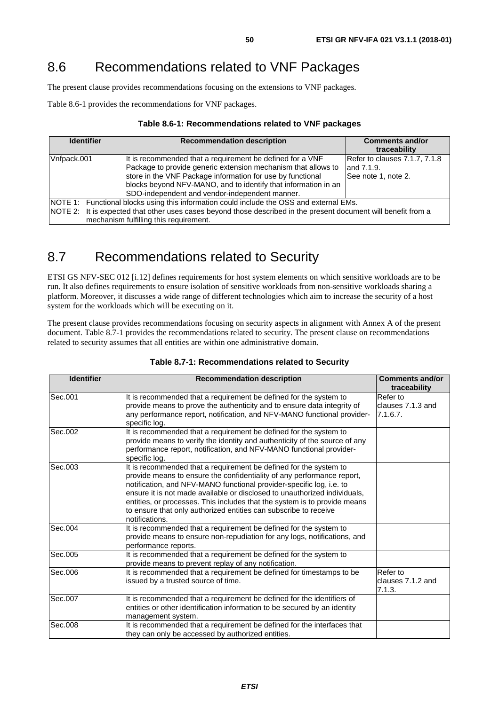## <span id="page-49-0"></span>8.6 Recommendations related to VNF Packages

The present clause provides recommendations focusing on the extensions to VNF packages.

Table 8.6-1 provides the recommendations for VNF packages.

| Table 8.6-1: Recommendations related to VNF packages |  |  |
|------------------------------------------------------|--|--|
|------------------------------------------------------|--|--|

| <b>Identifier</b>                                                                                                                                                                                                                                     | <b>Recommendation description</b>                                                                                                                                                                                                                                                                            | <b>Comments and/or</b><br>traceability                              |
|-------------------------------------------------------------------------------------------------------------------------------------------------------------------------------------------------------------------------------------------------------|--------------------------------------------------------------------------------------------------------------------------------------------------------------------------------------------------------------------------------------------------------------------------------------------------------------|---------------------------------------------------------------------|
| Vnfpack.001                                                                                                                                                                                                                                           | It is recommended that a requirement be defined for a VNF<br>Package to provide generic extension mechanism that allows to<br>store in the VNF Package information for use by functional<br>blocks beyond NFV-MANO, and to identify that information in an<br>SDO-independent and vendor-independent manner. | Refer to clauses 7.1.7, 7.1.8<br>land 7.1.9.<br>See note 1, note 2. |
| NOTE 1: Functional blocks using this information could include the OSS and external EMs.<br>NOTE 2: It is expected that other uses cases beyond those described in the present document will benefit from a<br>mechanism fulfilling this requirement. |                                                                                                                                                                                                                                                                                                              |                                                                     |

## 8.7 Recommendations related to Security

ETSI GS NFV-SEC 012 [\[i.12](#page-7-0)] defines requirements for host system elements on which sensitive workloads are to be run. It also defines requirements to ensure isolation of sensitive workloads from non-sensitive workloads sharing a platform. Moreover, it discusses a wide range of different technologies which aim to increase the security of a host system for the workloads which will be executing on it.

The present clause provides recommendations focusing on security aspects in alignment with Annex A of the present document. Table 8.7-1 provides the recommendations related to security. The present clause on recommendations related to security assumes that all entities are within one administrative domain.

| <b>Identifier</b> | <b>Recommendation description</b>                                                                                                                                                                                                                                                                                                                                                                                                                                   | <b>Comments and/or</b><br>traceability    |
|-------------------|---------------------------------------------------------------------------------------------------------------------------------------------------------------------------------------------------------------------------------------------------------------------------------------------------------------------------------------------------------------------------------------------------------------------------------------------------------------------|-------------------------------------------|
| Sec.001           | It is recommended that a requirement be defined for the system to<br>provide means to prove the authenticity and to ensure data integrity of<br>any performance report, notification, and NFV-MANO functional provider-<br>specific log.                                                                                                                                                                                                                            | Refer to<br>clauses 7.1.3 and<br>7.1.6.7. |
| Sec.002           | It is recommended that a requirement be defined for the system to<br>provide means to verify the identity and authenticity of the source of any<br>performance report, notification, and NFV-MANO functional provider-<br>specific log.                                                                                                                                                                                                                             |                                           |
| Sec.003           | It is recommended that a requirement be defined for the system to<br>provide means to ensure the confidentiality of any performance report,<br>notification, and NFV-MANO functional provider-specific log, i.e. to<br>ensure it is not made available or disclosed to unauthorized individuals,<br>entities, or processes. This includes that the system is to provide means<br>to ensure that only authorized entities can subscribe to receive<br>notifications. |                                           |
| Sec.004           | It is recommended that a requirement be defined for the system to<br>provide means to ensure non-repudiation for any logs, notifications, and<br>performance reports.                                                                                                                                                                                                                                                                                               |                                           |
| Sec.005           | It is recommended that a requirement be defined for the system to<br>provide means to prevent replay of any notification.                                                                                                                                                                                                                                                                                                                                           |                                           |
| Sec.006           | It is recommended that a requirement be defined for timestamps to be<br>issued by a trusted source of time.                                                                                                                                                                                                                                                                                                                                                         | Refer to<br>clauses 7.1.2 and<br>7.1.3.   |
| Sec.007           | It is recommended that a requirement be defined for the identifiers of<br>entities or other identification information to be secured by an identity<br>management system.                                                                                                                                                                                                                                                                                           |                                           |
| Sec.008           | It is recommended that a requirement be defined for the interfaces that<br>they can only be accessed by authorized entities.                                                                                                                                                                                                                                                                                                                                        |                                           |

#### **Table 8.7-1: Recommendations related to Security**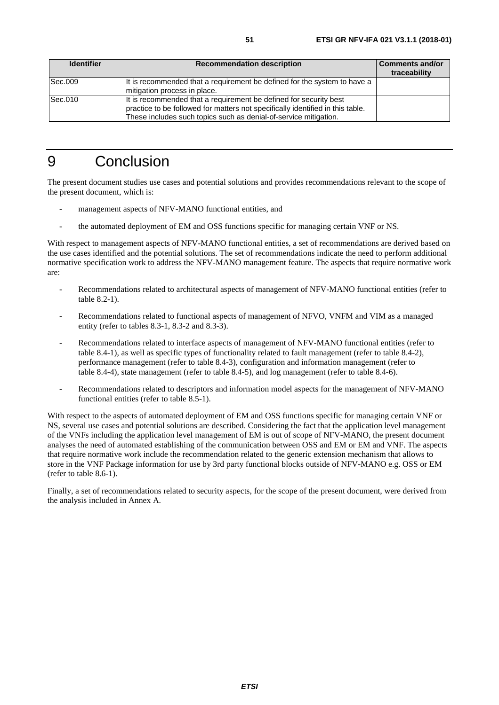<span id="page-50-0"></span>

| <b>Identifier</b> | <b>Recommendation description</b>                                                                                                                                                                                       | <b>Comments and/or</b><br>traceability |
|-------------------|-------------------------------------------------------------------------------------------------------------------------------------------------------------------------------------------------------------------------|----------------------------------------|
| Sec.009           | It is recommended that a requirement be defined for the system to have a<br>mitigation process in place.                                                                                                                |                                        |
| Sec.010           | It is recommended that a requirement be defined for security best<br>practice to be followed for matters not specifically identified in this table.<br>These includes such topics such as denial-of-service mitigation. |                                        |

## 9 Conclusion

The present document studies use cases and potential solutions and provides recommendations relevant to the scope of the present document, which is:

- management aspects of NFV-MANO functional entities, and
- the automated deployment of EM and OSS functions specific for managing certain VNF or NS.

With respect to management aspects of NFV-MANO functional entities, a set of recommendations are derived based on the use cases identified and the potential solutions. The set of recommendations indicate the need to perform additional normative specification work to address the NFV-MANO management feature. The aspects that require normative work are:

- Recommendations related to architectural aspects of management of NFV-MANO functional entities (refer to table 8.2-1).
- Recommendations related to functional aspects of management of NFVO, VNFM and VIM as a managed entity (refer to tables 8.3-1, 8.3-2 and 8.3-3).
- Recommendations related to interface aspects of management of NFV-MANO functional entities (refer to table 8.4-1), as well as specific types of functionality related to fault management (refer to table 8.4-2), performance management (refer to table 8.4-3), configuration and information management (refer to table 8.4-4), state management (refer to table 8.4-5), and log management (refer to table 8.4-6).
- Recommendations related to descriptors and information model aspects for the management of NFV-MANO functional entities (refer to table 8.5-1).

With respect to the aspects of automated deployment of EM and OSS functions specific for managing certain VNF or NS, several use cases and potential solutions are described. Considering the fact that the application level management of the VNFs including the application level management of EM is out of scope of NFV-MANO, the present document analyses the need of automated establishing of the communication between OSS and EM or EM and VNF. The aspects that require normative work include the recommendation related to the generic extension mechanism that allows to store in the VNF Package information for use by 3rd party functional blocks outside of NFV-MANO e.g. OSS or EM (refer to table 8.6-1).

Finally, a set of recommendations related to security aspects, for the scope of the present document, were derived from the analysis included in Annex A.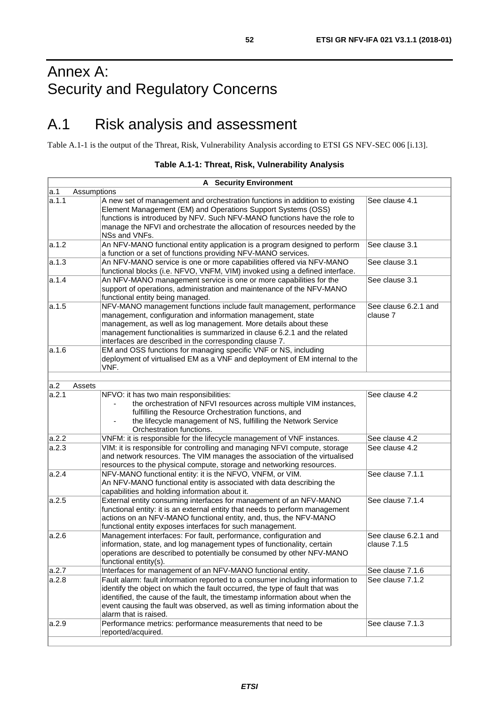## <span id="page-51-0"></span>Annex A: Security and Regulatory Concerns

## A.1 Risk analysis and assessment

Table A.1-1 is the output of the Threat, Risk, Vulnerability Analysis according to ETSI GS NFV-SEC 006 [\[i.13](#page-7-0)].

|       | <b>A</b> Security Environment                                                                                                                                                                                                                                                                                                                           |                                      |
|-------|---------------------------------------------------------------------------------------------------------------------------------------------------------------------------------------------------------------------------------------------------------------------------------------------------------------------------------------------------------|--------------------------------------|
| a.1   | Assumptions                                                                                                                                                                                                                                                                                                                                             |                                      |
| a.1.1 | A new set of management and orchestration functions in addition to existing<br>Element Management (EM) and Operations Support Systems (OSS)<br>functions is introduced by NFV. Such NFV-MANO functions have the role to<br>manage the NFVI and orchestrate the allocation of resources needed by the<br>NSs and VNFs.                                   | See clause 4.1                       |
| a.1.2 | An NFV-MANO functional entity application is a program designed to perform<br>a function or a set of functions providing NFV-MANO services.                                                                                                                                                                                                             | See clause 3.1                       |
| a.1.3 | An NFV-MANO service is one or more capabilities offered via NFV-MANO<br>functional blocks (i.e. NFVO, VNFM, VIM) invoked using a defined interface.                                                                                                                                                                                                     | See clause 3.1                       |
| a.1.4 | An NFV-MANO management service is one or more capabilities for the<br>support of operations, administration and maintenance of the NFV-MANO<br>functional entity being managed.                                                                                                                                                                         | See clause 3.1                       |
| a.1.5 | NFV-MANO management functions include fault management, performance<br>management, configuration and information management, state<br>management, as well as log management. More details about these<br>management functionalities is summarized in clause 6.2.1 and the related<br>interfaces are described in the corresponding clause 7.            | See clause 6.2.1 and<br>clause 7     |
| a.1.6 | EM and OSS functions for managing specific VNF or NS, including<br>deployment of virtualised EM as a VNF and deployment of EM internal to the<br>VNF.                                                                                                                                                                                                   |                                      |
|       |                                                                                                                                                                                                                                                                                                                                                         |                                      |
| a.2   | Assets                                                                                                                                                                                                                                                                                                                                                  |                                      |
| a.2.1 | NFVO: it has two main responsibilities:<br>the orchestration of NFVI resources across multiple VIM instances,<br>fulfilling the Resource Orchestration functions, and<br>the lifecycle management of NS, fulfilling the Network Service<br>Orchestration functions.                                                                                     | See clause 4.2                       |
| a.2.2 | VNFM: it is responsible for the lifecycle management of VNF instances.                                                                                                                                                                                                                                                                                  | See clause 4.2                       |
| a.2.3 | VIM: it is responsible for controlling and managing NFVI compute, storage<br>and network resources. The VIM manages the association of the virtualised<br>resources to the physical compute, storage and networking resources.                                                                                                                          | See clause 4.2                       |
| a.2.4 | NFV-MANO functional entity: it is the NFVO, VNFM, or VIM.<br>An NFV-MANO functional entity is associated with data describing the<br>capabilities and holding information about it.                                                                                                                                                                     | See clause 7.1.1                     |
| a.2.5 | External entity consuming interfaces for management of an NFV-MANO<br>functional entity: it is an external entity that needs to perform management<br>actions on an NFV-MANO functional entity, and, thus, the NFV-MANO<br>functional entity exposes interfaces for such management.                                                                    | See clause 7.1.4                     |
| a.2.6 | Management interfaces: For fault, performance, configuration and<br>information, state, and log management types of functionality, certain<br>operations are described to potentially be consumed by other NFV-MANO<br>functional entity(s).                                                                                                            | See clause 6.2.1 and<br>clause 7.1.5 |
| a.2.7 | Interfaces for management of an NFV-MANO functional entity.                                                                                                                                                                                                                                                                                             | See clause 7.1.6                     |
| a.2.8 | Fault alarm: fault information reported to a consumer including information to<br>identify the object on which the fault occurred, the type of fault that was<br>identified, the cause of the fault, the timestamp information about when the<br>event causing the fault was observed, as well as timing information about the<br>alarm that is raised. | See clause 7.1.2                     |
| a.2.9 | Performance metrics: performance measurements that need to be<br>reported/acquired.                                                                                                                                                                                                                                                                     | See clause 7.1.3                     |

#### **Table A.1-1: Threat, Risk, Vulnerability Analysis**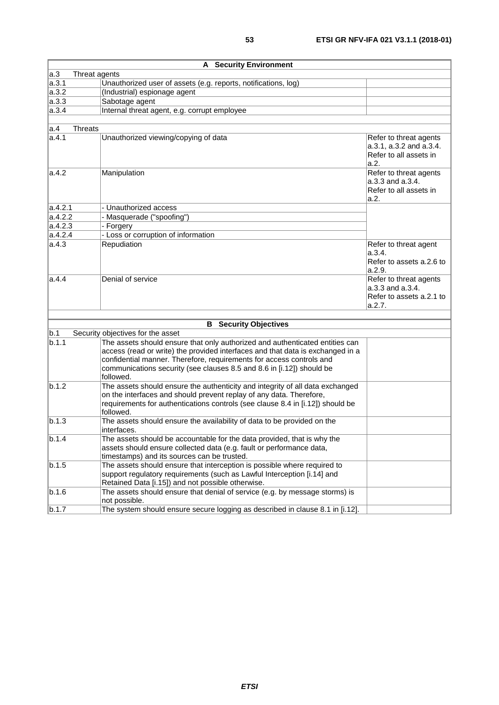| <b>A</b> Security Environment |                                                                                                                                                                                                                                                                                                                              |                                                                                     |  |  |  |
|-------------------------------|------------------------------------------------------------------------------------------------------------------------------------------------------------------------------------------------------------------------------------------------------------------------------------------------------------------------------|-------------------------------------------------------------------------------------|--|--|--|
| a.3                           | Threat agents                                                                                                                                                                                                                                                                                                                |                                                                                     |  |  |  |
| a.3.1                         | Unauthorized user of assets (e.g. reports, notifications, log)                                                                                                                                                                                                                                                               |                                                                                     |  |  |  |
| a.3.2                         | (Industrial) espionage agent                                                                                                                                                                                                                                                                                                 |                                                                                     |  |  |  |
| a.3.3                         | Sabotage agent                                                                                                                                                                                                                                                                                                               |                                                                                     |  |  |  |
| a.3.4                         | Internal threat agent, e.g. corrupt employee                                                                                                                                                                                                                                                                                 |                                                                                     |  |  |  |
|                               |                                                                                                                                                                                                                                                                                                                              |                                                                                     |  |  |  |
| <b>Threats</b><br>a.4         |                                                                                                                                                                                                                                                                                                                              |                                                                                     |  |  |  |
| la.4.1                        | Unauthorized viewing/copying of data                                                                                                                                                                                                                                                                                         | Refer to threat agents<br>a.3.1, a.3.2 and a.3.4.<br>Refer to all assets in<br>a.2. |  |  |  |
| a.4.2                         | Manipulation                                                                                                                                                                                                                                                                                                                 | Refer to threat agents<br>a.3.3 and a.3.4.<br>Refer to all assets in<br>a.2.        |  |  |  |
| a.4.2.1                       | - Unauthorized access                                                                                                                                                                                                                                                                                                        |                                                                                     |  |  |  |
| a.4.2.2                       | - Masquerade ("spoofing")                                                                                                                                                                                                                                                                                                    |                                                                                     |  |  |  |
| a.4.2.3                       | - Forgery                                                                                                                                                                                                                                                                                                                    |                                                                                     |  |  |  |
| a.4.2.4                       | - Loss or corruption of information                                                                                                                                                                                                                                                                                          |                                                                                     |  |  |  |
| la.4.3                        | Repudiation                                                                                                                                                                                                                                                                                                                  | Refer to threat agent<br>a.3.4.<br>Refer to assets a.2.6 to<br>a.2.9.               |  |  |  |
| la.4.4                        | Denial of service                                                                                                                                                                                                                                                                                                            | Refer to threat agents<br>a.3.3 and a.3.4.<br>Refer to assets a.2.1 to<br>a.2.7.    |  |  |  |
|                               |                                                                                                                                                                                                                                                                                                                              |                                                                                     |  |  |  |
|                               | <b>B</b> Security Objectives                                                                                                                                                                                                                                                                                                 |                                                                                     |  |  |  |
| b.1                           | Security objectives for the asset                                                                                                                                                                                                                                                                                            |                                                                                     |  |  |  |
| b.1.1                         | The assets should ensure that only authorized and authenticated entities can<br>access (read or write) the provided interfaces and that data is exchanged in a<br>confidential manner. Therefore, requirements for access controls and<br>communications security (see clauses 8.5 and 8.6 in [i.12]) should be<br>followed. |                                                                                     |  |  |  |
| b.1.2                         | The assets should ensure the authenticity and integrity of all data exchanged<br>on the interfaces and should prevent replay of any data. Therefore,<br>requirements for authentications controls (see clause 8.4 in [i.12]) should be<br>followed.                                                                          |                                                                                     |  |  |  |
| b.1.3                         | The assets should ensure the availability of data to be provided on the<br>interfaces.                                                                                                                                                                                                                                       |                                                                                     |  |  |  |
| b.1.4                         | The assets should be accountable for the data provided, that is why the<br>assets should ensure collected data (e.g. fault or performance data,<br>timestamps) and its sources can be trusted.                                                                                                                               |                                                                                     |  |  |  |
| b.1.5                         | The assets should ensure that interception is possible where required to<br>support regulatory requirements (such as Lawful Interception [i.14] and<br>Retained Data [i.15]) and not possible otherwise.                                                                                                                     |                                                                                     |  |  |  |
| b.1.6                         | The assets should ensure that denial of service (e.g. by message storms) is<br>not possible.                                                                                                                                                                                                                                 |                                                                                     |  |  |  |
| b.1.7                         | The system should ensure secure logging as described in clause 8.1 in [i.12].                                                                                                                                                                                                                                                |                                                                                     |  |  |  |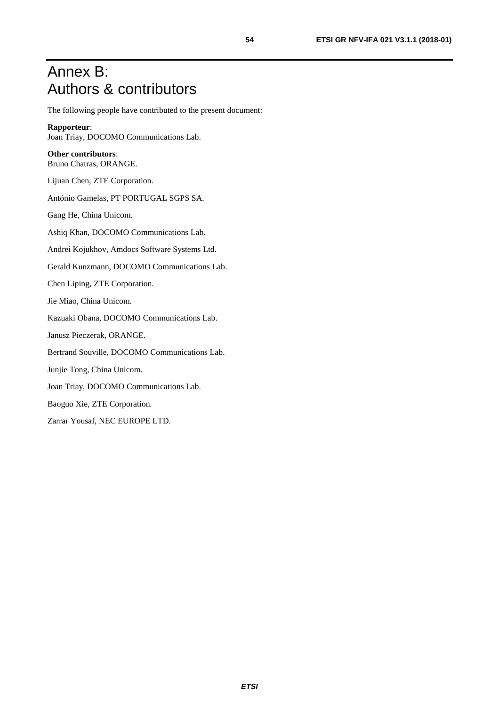## <span id="page-53-0"></span>Annex B: Authors & contributors

The following people have contributed to the present document:

#### **Rapporteur**:

Joan Triay, DOCOMO Communications Lab.

#### **Other contributors**:

Bruno Chatras, ORANGE.

Lijuan Chen, ZTE Corporation.

António Gamelas, PT PORTUGAL SGPS SA.

Gang He, China Unicom.

Ashiq Khan, DOCOMO Communications Lab.

Andrei Kojukhov, Amdocs Software Systems Ltd.

Gerald Kunzmann, DOCOMO Communications Lab.

Chen Liping, ZTE Corporation.

Jie Miao, China Unicom.

Kazuaki Obana, DOCOMO Communications Lab.

Janusz Pieczerak, ORANGE.

Bertrand Souville, DOCOMO Communications Lab.

Junjie Tong, China Unicom.

Joan Triay, DOCOMO Communications Lab.

Baoguo Xie, ZTE Corporation.

Zarrar Yousaf, NEC EUROPE LTD.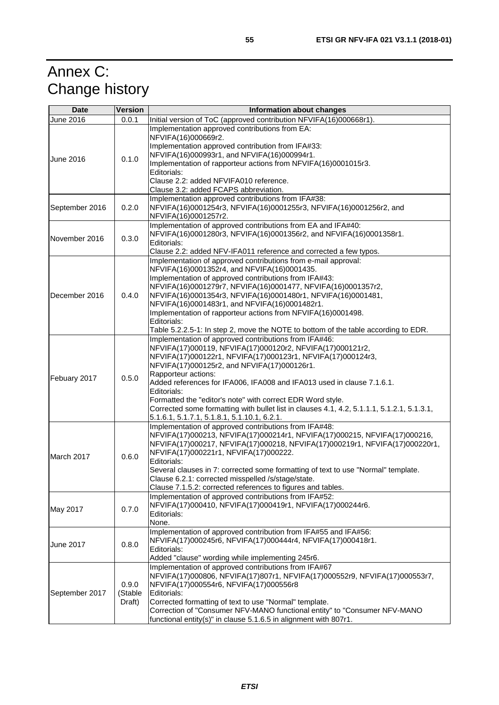## <span id="page-54-0"></span>Annex C: Change history

| <b>Date</b>      | <b>Version</b>             | Information about changes                                                                                                                                                                                                                                                                                                                                                                                                                                                                                                                                   |
|------------------|----------------------------|-------------------------------------------------------------------------------------------------------------------------------------------------------------------------------------------------------------------------------------------------------------------------------------------------------------------------------------------------------------------------------------------------------------------------------------------------------------------------------------------------------------------------------------------------------------|
| June 2016        | 0.0.1                      | Initial version of ToC (approved contribution NFVIFA(16)000668r1).                                                                                                                                                                                                                                                                                                                                                                                                                                                                                          |
| <b>June 2016</b> | 0.1.0                      | Implementation approved contributions from EA:<br>NFVIFA(16)000669r2.<br>Implementation approved contribution from IFA#33:<br>NFVIFA(16)000993r1, and NFVIFA(16)000994r1.<br>Implementation of rapporteur actions from NFVIFA(16)0001015r3.<br>Editorials:<br>Clause 2.2: added NFVIFA010 reference.<br>Clause 3.2: added FCAPS abbreviation.                                                                                                                                                                                                               |
| September 2016   | 0.2.0                      | Implementation approved contributions from IFA#38:<br>NFVIFA(16)0001254r3, NFVIFA(16)0001255r3, NFVIFA(16)0001256r2, and<br>NFVIFA(16)0001257r2.                                                                                                                                                                                                                                                                                                                                                                                                            |
| November 2016    | 0.3.0                      | Implementation of approved contributions from EA and IFA#40:<br>NFVIFA(16)0001280r3, NFVIFA(16)0001356r2, and NFVIFA(16)0001358r1.<br>Editorials:<br>Clause 2.2: added NFV-IFA011 reference and corrected a few typos.                                                                                                                                                                                                                                                                                                                                      |
| December 2016    | 0.4.0                      | Implementation of approved contributions from e-mail approval:<br>NFVIFA(16)0001352r4, and NFVIFA(16)0001435.<br>Implementation of approved contributions from IFA#43:<br>NFVIFA(16)0001279r7, NFVIFA(16)0001477, NFVIFA(16)0001357r2,<br>NFVIFA(16)0001354r3, NFVIFA(16)0001480r1, NFVIFA(16)0001481,<br>NFVIFA(16)0001483r1, and NFVIFA(16)0001482r1.<br>Implementation of rapporteur actions from NFVIFA(16)0001498.<br>Editorials:<br>Table 5.2.2.5-1: In step 2, move the NOTE to bottom of the table according to EDR.                                |
| Febuary 2017     | 0.5.0                      | Implementation of approved contributions from IFA#46:<br>NFVIFA(17)000119, NFVIFA(17)000120r2, NFVIFA(17)000121r2,<br>NFVIFA(17)000122r1, NFVIFA(17)000123r1, NFVIFA(17)000124r3,<br>NFVIFA(17)000125r2, and NFVIFA(17)000126r1.<br>Rapporteur actions:<br>Added references for IFA006, IFA008 and IFA013 used in clause 7.1.6.1.<br>Editorials:<br>Formatted the "editor's note" with correct EDR Word style.<br>Corrected some formatting with bullet list in clauses 4.1, 4.2, 5.1.1.1, 5.1.2.1, 5.1.3.1,<br>5.1.6.1, 5.1.7.1, 5.1.8.1, 5.1.10.1, 6.2.1. |
| March 2017       | 0.6.0                      | Implementation of approved contributions from IFA#48:<br>NFVIFA(17)000213, NFVIFA(17)000214r1, NFVIFA(17)000215, NFVIFA(17)000216,<br>NFVIFA(17)000217, NFVIFA(17)000218, NFVIFA(17)000219r1, NFVIFA(17)000220r1,<br>NFVIFA(17)000221r1, NFVIFA(17)000222.<br>Editorials:<br>Several clauses in 7: corrected some formatting of text to use "Normal" template.<br>Clause 6.2.1: corrected misspelled /s/stage/state.<br>Clause 7.1.5.2: corrected references to figures and tables.                                                                         |
| May 2017         | 0.7.0                      | Implementation of approved contributions from IFA#52:<br>NFVIFA(17)000410, NFVIFA(17)000419r1, NFVIFA(17)000244r6.<br>Editorials:<br>None.                                                                                                                                                                                                                                                                                                                                                                                                                  |
| June 2017        | 0.8.0                      | Implementation of approved contribution from IFA#55 and IFA#56:<br>NFVIFA(17)000245r6, NFVIFA(17)000444r4, NFVIFA(17)000418r1.<br>Editorials:<br>Added "clause" wording while implementing 245r6.                                                                                                                                                                                                                                                                                                                                                           |
| September 2017   | 0.9.0<br>(Stable<br>Draft) | Implementation of approved contributions from IFA#67<br>NFVIFA(17)000806, NFVIFA(17)807r1, NFVIFA(17)000552r9, NFVIFA(17)000553r7,<br>NFVIFA(17)000554r6, NFVIFA(17)000556r8<br>Editorials:<br>Corrected formatting of text to use "Normal" template.<br>Correction of "Consumer NFV-MANO functional entity" to "Consumer NFV-MANO<br>functional entity(s)" in clause 5.1.6.5 in alignment with 807r1.                                                                                                                                                      |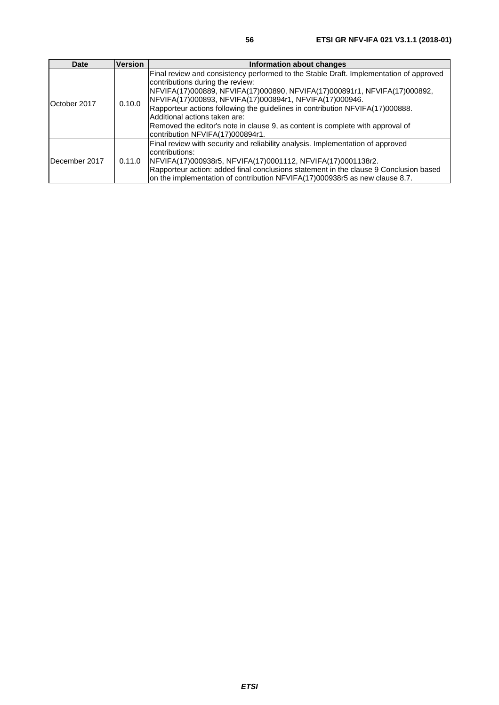| Date          | <b>Version</b> | Information about changes                                                                                                                                                                                                                                                                                                                                                                                                                                                                                   |
|---------------|----------------|-------------------------------------------------------------------------------------------------------------------------------------------------------------------------------------------------------------------------------------------------------------------------------------------------------------------------------------------------------------------------------------------------------------------------------------------------------------------------------------------------------------|
| October 2017  | 0.10.0         | Final review and consistency performed to the Stable Draft. Implementation of approved<br>contributions during the review:<br> NFVIFA(17)000889, NFVIFA(17)000890, NFVIFA(17)000891r1, NFVIFA(17)000892,<br>NFVIFA(17)000893, NFVIFA(17)000894r1, NFVIFA(17)000946.<br>Rapporteur actions following the guidelines in contribution NFVIFA(17)000888.<br>Additional actions taken are:<br>Removed the editor's note in clause 9, as content is complete with approval of<br>contribution NFVIFA(17)000894r1. |
| December 2017 | 0.11.0         | Final review with security and reliability analysis. Implementation of approved<br>contributions:<br> NFVIFA(17)000938r5, NFVIFA(17)0001112, NFVIFA(17)0001138r2.<br>Rapporteur action: added final conclusions statement in the clause 9 Conclusion based<br>on the implementation of contribution NFVIFA(17)000938r5 as new clause 8.7.                                                                                                                                                                   |